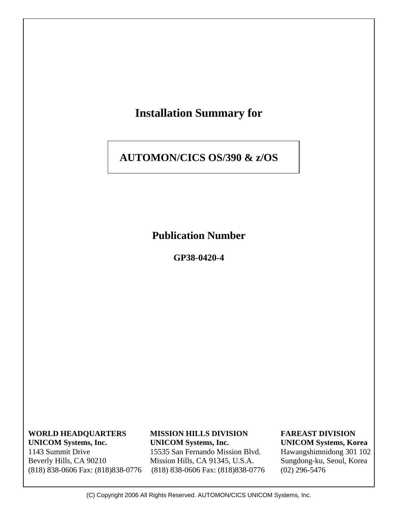

 1143 Summit Drive 15535 San Fernando Mission Blvd. Hawangshimnidong 301 102 Beverly Hills, CA 90210 Mission Hills, CA 91345, U.S.A. Sungdong-ku, Seoul, Korea (818) 838-0606 Fax: (818)838-0776 (818) 838-0606 Fax: (818)838-0776 (02) 296-5476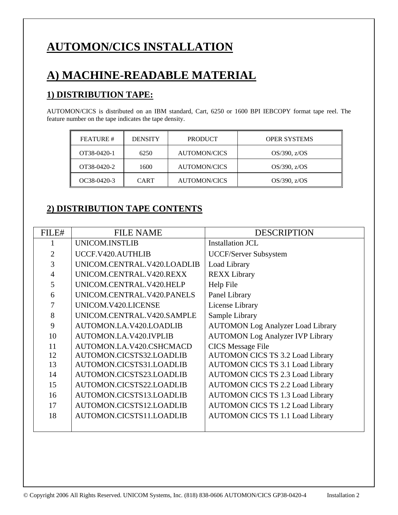# **AUTOMON/CICS INSTALLATION**

# **A) MACHINE-READABLE MATERIAL**

## **1) DISTRIBUTION TAPE:**

AUTOMON/CICS is distributed on an IBM standard, Cart, 6250 or 1600 BPI IEBCOPY format tape reel. The feature number on the tape indicates the tape density.

| <b>FEATURE</b> # | <b>DENSITY</b> | <b>PRODUCT</b>      | <b>OPER SYSTEMS</b> |
|------------------|----------------|---------------------|---------------------|
| OT38-0420-1      | 6250           | <b>AUTOMON/CICS</b> | $OS/390$ , $z/OS$   |
| OT38-0420-2      | 1600           | <b>AUTOMON/CICS</b> | $OS/390$ , $z/OS$   |
| OC38-0420-3      | <b>CART</b>    | <b>AUTOMON/CICS</b> | $OS/390$ , $z/OS$   |

## **2) DISTRIBUTION TAPE CONTENTS**

| FILE#          | <b>FILE NAME</b>            | <b>DESCRIPTION</b>                       |
|----------------|-----------------------------|------------------------------------------|
|                | UNICOM.INSTLIB              | <b>Installation JCL</b>                  |
| $\overline{2}$ | UCCF.V420.AUTHLIB           | <b>UCCF/Server Subsystem</b>             |
| 3              | UNICOM.CENTRAL.V420.LOADLIB | Load Library                             |
| $\overline{4}$ | UNICOM.CENTRAL.V420.REXX    | <b>REXX Library</b>                      |
| 5              | UNICOM.CENTRAL.V420.HELP    | Help File                                |
| 6              | UNICOM.CENTRAL.V420.PANELS  | Panel Library                            |
| 7              | UNICOM.V420.LICENSE         | License Library                          |
| 8              | UNICOM.CENTRAL.V420.SAMPLE  | Sample Library                           |
| 9              | AUTOMON.LA.V420.LOADLIB     | <b>AUTOMON Log Analyzer Load Library</b> |
| 10             | AUTOMON.LA.V420.IVPLIB      | <b>AUTOMON Log Analyzer IVP Library</b>  |
| 11             | AUTOMON.LA.V420.CSHCMACD    | <b>CICS</b> Message File                 |
| 12             | AUTOMON.CICSTS32.LOADLIB    | <b>AUTOMON CICS TS 3.2 Load Library</b>  |
| 13             | AUTOMON.CICSTS31.LOADLIB    | <b>AUTOMON CICS TS 3.1 Load Library</b>  |
| 14             | AUTOMON.CICSTS23.LOADLIB    | <b>AUTOMON CICS TS 2.3 Load Library</b>  |
| 15             | AUTOMON.CICSTS22.LOADLIB    | <b>AUTOMON CICS TS 2.2 Load Library</b>  |
| 16             | AUTOMON.CICSTS13.LOADLIB    | <b>AUTOMON CICS TS 1.3 Load Library</b>  |
| 17             | AUTOMON.CICSTS12.LOADLIB    | <b>AUTOMON CICS TS 1.2 Load Library</b>  |
| 18             | AUTOMON.CICSTS11.LOADLIB    | <b>AUTOMON CICS TS 1.1 Load Library</b>  |
|                |                             |                                          |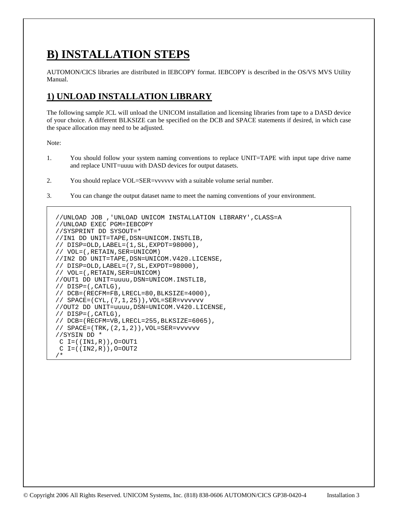# **B) INSTALLATION STEPS**

AUTOMON/CICS libraries are distributed in IEBCOPY format. IEBCOPY is described in the OS/VS MVS Utility Manual.

# **1) UNLOAD INSTALLATION LIBRARY**

The following sample JCL will unload the UNICOM installation and licensing libraries from tape to a DASD device of your choice. A different BLKSIZE can be specified on the DCB and SPACE statements if desired, in which case the space allocation may need to be adjusted.

- 1. You should follow your system naming conventions to replace UNIT=TAPE with input tape drive name and replace UNIT=uuuu with DASD devices for output datasets.
- 2. You should replace VOL=SER=vvvvvv with a suitable volume serial number.
- 3. You can change the output dataset name to meet the naming conventions of your environment.

```
//UNLOAD JOB ,'UNLOAD UNICOM INSTALLATION LIBRARY',CLASS=A 
//UNLOAD EXEC PGM=IEBCOPY 
//SYSPRINT DD SYSOUT=* 
//IN1 DD UNIT=TAPE,DSN=UNICOM.INSTLIB, 
// DISP=OLD,LABEL=(1,SL,EXPDT=98000), 
// VOL=(,RETAIN,SER=UNICOM) 
//IN2 DD UNIT=TAPE,DSN=UNICOM.V420.LICENSE, 
// DISP=OLD,LABEL=(7,SL,EXPDT=98000), 
// VOL=(,RETAIN,SER=UNICOM) 
//OUT1 DD UNIT=uuuu,DSN=UNICOM.INSTLIB, 
// DISP=(,CATLG), 
// DCB=(RECFM=FB,LRECL=80,BLKSIZE=4000), 
// SPACE=(CYL,(7,1,25)),VOL=SER=vvvvvv 
//OUT2 DD UNIT=uuuu,DSN=UNICOM.V420.LICENSE, 
// DISP=(,CATLG), 
// DCB=(RECFM=VB,LRECL=255,BLKSIZE=6065), 
// SPACE=(TRK,(2,1,2)),VOL=SER=vvvvvv 
//SYSIN DD * 
C I = ((IN1, R)), O = OUT1C I = ((IN2, R)), O = OUT2/*
```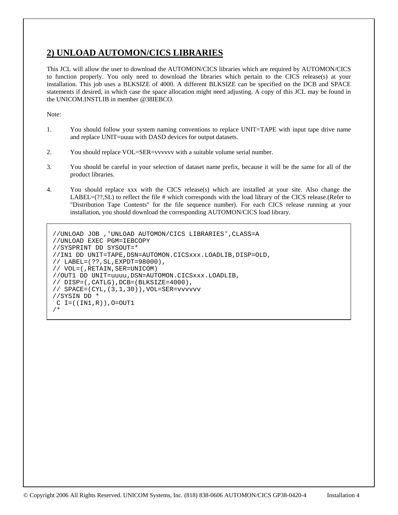## **2) UNLOAD AUTOMON/CICS LIBRARIES**

This JCL will allow the user to download the AUTOMON/CICS libraries which are required by AUTOMON/CICS to function properly. You only need to download the libraries which pertain to the CICS release(s) at your installation. This job uses a BLKSIZE of 4000. A different BLKSIZE can be specified on the DCB and SPACE statements if desired, in which case the space allocation might need adjusting. A copy of this JCL may be found in the UNICOM.INSTLIB in member @38IEBCO.

- 1. You should follow your system naming conventions to replace UNIT=TAPE with input tape drive name and replace UNIT=uuuu with DASD devices for output datasets.
- 2. You should replace VOL=SER=vvvvvv with a suitable volume serial number.
- 3. You should be careful in your selection of dataset name prefix, because it will be the same for all of the product libraries.
- 4. You should replace xxx with the CICS release(s) which are installed at your site. Also change the LABEL=(??,SL) to reflect the file # which corresponds with the load library of the CICS release.(Refer to "Distribution Tape Contents" for the file sequence number). For each CICS release running at your installation, you should download the corresponding AUTOMON/CICS load library.

```
//UNLOAD JOB ,'UNLOAD AUTOMON/CICS LIBRARIES',CLASS=A 
//UNLOAD EXEC PGM=IEBCOPY 
//SYSPRINT DD SYSOUT=* 
//IN1 DD UNIT=TAPE,DSN=AUTOMON.CICSxxx.LOADLIB,DISP=OLD, 
// LABEL=(??,SL,EXPDT=98000), 
// VOL=(,RETAIN,SER=UNICOM) 
//OUT1 DD UNIT=uuuu,DSN=AUTOMON.CICSxxx.LOADLIB, 
// DISP=(,CATLG),DCB=(BLKSIZE=4000), 
// SPACE=(CYL,(3,1,30)),VOL=SER=vvvvvv 
//SYSIN DD * 
C I = ((IN1, R)), O=OUT1
/*
```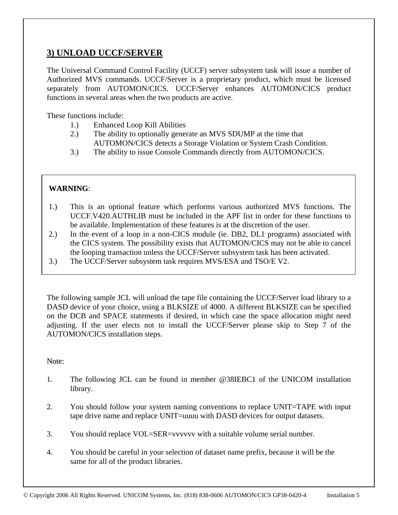## **3) UNLOAD UCCF/SERVER**

The Universal Command Control Facility (UCCF) server subsystem task will issue a number of Authorized MVS commands. UCCF/Server is a proprietary product, which must be licensed separately from AUTOMON/CICS. UCCF/Server enhances AUTOMON/CICS product functions in several areas when the two products are active.

These functions include:

- 1.) Enhanced Loop Kill Abilities
- 2.) The ability to optionally generate an MVS SDUMP at the time that AUTOMON/CICS detects a Storage Violation or System Crash Condition.
- 3.) The ability to issue Console Commands directly from AUTOMON/CICS.

#### **WARNING**:

- 1.) This is an optional feature which performs various authorized MVS functions. The UCCF.V420.AUTHLIB must be included in the APF list in order for these functions to be available. Implementation of these features is at the discretion of the user.
- 2.) In the event of a loop in a non-CICS module (ie. DB2, DL1 programs) associated with the CICS system. The possibility exists that AUTOMON/CICS may not be able to cancel the looping transaction unless the UCCF/Server subsystem task has been activated.
- 3.) The UCCF/Server subsystem task requires MVS/ESA and TSO/E V2.

The following sample JCL will unload the tape file containing the UCCF/Server load library to a DASD device of your choice, using a BLKSIZE of 4000. A different BLKSIZE can be specified on the DCB and SPACE statements if desired, in which case the space allocation might need adjusting. If the user elects not to install the UCCF/Server please skip to Step 7 of the AUTOMON/CICS installation steps.

- 1. The following JCL can be found in member @38IEBC1 of the UNICOM installation library.
- 2. You should follow your system naming conventions to replace UNIT=TAPE with input tape drive name and replace UNIT=uuuu with DASD devices for output datasets.
- 3. You should replace VOL=SER=vvvvvv with a suitable volume serial number.
- 4. You should be careful in your selection of dataset name prefix, because it will be the same for all of the product libraries.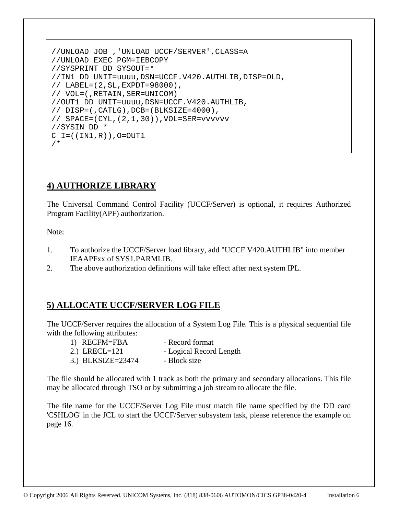```
 //UNLOAD JOB ,'UNLOAD UCCF/SERVER',CLASS=A 
 //UNLOAD EXEC PGM=IEBCOPY 
 //SYSPRINT DD SYSOUT=* 
 //IN1 DD UNIT=uuuu,DSN=UCCF.V420.AUTHLIB,DISP=OLD, 
 // LABEL=(2,SL,EXPDT=98000), 
 // VOL=(,RETAIN,SER=UNICOM) 
 //OUT1 DD UNIT=uuuu,DSN=UCCF.V420.AUTHLIB, 
 // DISP=(,CATLG),DCB=(BLKSIZE=4000), 
 // SPACE=(CYL,(2,1,30)),VOL=SER=vvvvvv 
 //SYSIN DD * 
C I = ((IN1, R)), O = OUT1 /*
```
# **4) AUTHORIZE LIBRARY**

The Universal Command Control Facility (UCCF/Server) is optional, it requires Authorized Program Facility(APF) authorization.

Note:

- 1. To authorize the UCCF/Server load library, add "UCCF.V420.AUTHLIB" into member IEAAPFxx of SYS1.PARMLIB.
- 2. The above authorization definitions will take effect after next system IPL.

## **5) ALLOCATE UCCF/SERVER LOG FILE**

The UCCF/Server requires the allocation of a System Log File. This is a physical sequential file with the following attributes:

| 1) RECFM=FBA      | - Record format         |
|-------------------|-------------------------|
| 2.) LRECL= $121$  | - Logical Record Length |
| 3.) BLKSIZE=23474 | - Block size            |

The file should be allocated with 1 track as both the primary and secondary allocations. This file may be allocated through TSO or by submitting a job stream to allocate the file.

The file name for the UCCF/Server Log File must match file name specified by the DD card 'CSHLOG' in the JCL to start the UCCF/Server subsystem task, please reference the example on page 16.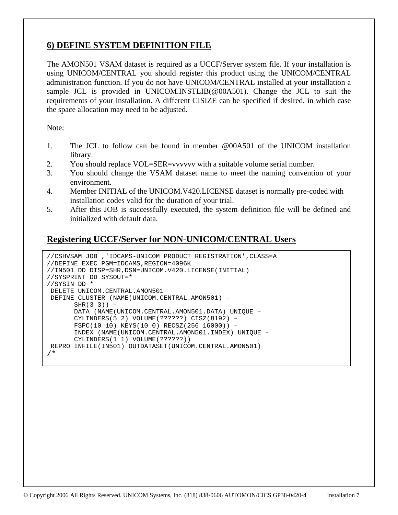## **6) DEFINE SYSTEM DEFINITION FILE**

The AMON501 VSAM dataset is required as a UCCF/Server system file. If your installation is using UNICOM/CENTRAL you should register this product using the UNICOM/CENTRAL administration function. If you do not have UNICOM/CENTRAL installed at your installation a sample JCL is provided in UNICOM.INSTLIB(@00A501). Change the JCL to suit the requirements of your installation. A different CISIZE can be specified if desired, in which case the space allocation may need to be adjusted.

Note:

- 1. The JCL to follow can be found in member @00A501 of the UNICOM installation library.
- 2. You should replace VOL=SER=vvvvvv with a suitable volume serial number.
- 3. You should change the VSAM dataset name to meet the naming convention of your environment.
- 4. Member INITIAL of the UNICOM.V420.LICENSE dataset is normally pre-coded with installation codes valid for the duration of your trial.
- 5. After this JOB is successfully executed, the system definition file will be defined and initialized with default data.

## **Registering UCCF/Server for NON-UNICOM/CENTRAL Users**

```
//CSHVSAM JOB ,'IDCAMS-UNICOM PRODUCT REGISTRATION',CLASS=A 
//DEFINE EXEC PGM=IDCAMS,REGION=4096K 
//IN501 DD DISP=SHR,DSN=UNICOM.V420.LICENSE(INITIAL) 
//SYSPRINT DD SYSOUT=* 
//SYSIN DD * 
 DELETE UNICOM.CENTRAL.AMON501 
 DEFINE CLUSTER (NAME(UNICOM.CENTRAL.AMON501) – 
       SHR(3 \ 3)) - DATA (NAME(UNICOM.CENTRAL.AMON501.DATA) UNIQUE – 
        CYLINDERS(5 2) VOLUME(??????) CISZ(8192) – 
        FSPC(10 10) KEYS(10 0) RECSZ(256 16000)) – 
        INDEX (NAME(UNICOM.CENTRAL.AMON501.INDEX) UNIQUE – 
        CYLINDERS(1 1) VOLUME(??????)) 
 REPRO INFILE(IN501) OUTDATASET(UNICOM.CENTRAL.AMON501) 
/*
```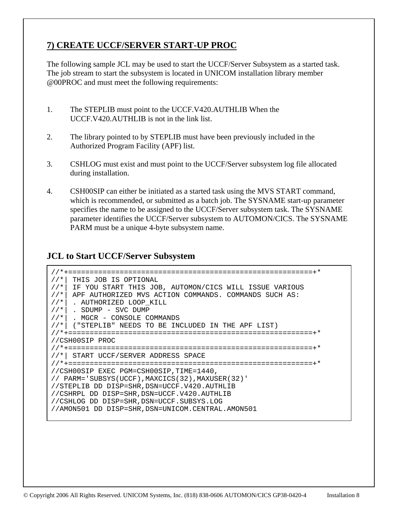# **7) CREATE UCCF/SERVER START-UP PROC**

The following sample JCL may be used to start the UCCF/Server Subsystem as a started task. The job stream to start the subsystem is located in UNICOM installation library member @00PROC and must meet the following requirements:

- 1. The STEPLIB must point to the UCCF.V420.AUTHLIB When the UCCF.V420.AUTHLIB is not in the link list.
- 2. The library pointed to by STEPLIB must have been previously included in the Authorized Program Facility (APF) list.
- 3. CSHLOG must exist and must point to the UCCF/Server subsystem log file allocated during installation.
- 4. CSH00SIP can either be initiated as a started task using the MVS START command, which is recommended, or submitted as a batch job. The SYSNAME start-up parameter specifies the name to be assigned to the UCCF/Server subsystem task. The SYSNAME parameter identifies the UCCF/Server subsystem to AUTOMON/CICS. The SYSNAME PARM must be a unique 4-byte subsystem name.

### **JCL to Start UCCF/Server Subsystem**

 //\*+=========================================================+\* //\*| THIS JOB IS OPTIONAL //\*| IF YOU START THIS JOB, AUTOMON/CICS WILL ISSUE VARIOUS //\*| APF AUTHORIZED MVS ACTION COMMANDS. COMMANDS SUCH AS:  $//*|$  . AUTHORIZED LOOP KILL //\*| . SDUMP - SVC DUMP<br>//\*| . MGCR - CONSOLE CO . MGCR - CONSOLE COMMANDS  $1/$ \*| ("STEPLIB" NEEDS TO BE INCLUDED IN THE APF LIST) //\*+=========================================================+\* //CSH00SIP PROC //\*+=========================================================+\* //\*| START UCCF/SERVER ADDRESS SPACE //\*+=========================================================+\* //CSH00SIP EXEC PGM=CSH00SIP,TIME=1440, // PARM='SUBSYS(UCCF),MAXCICS(32),MAXUSER(32)' //STEPLIB DD DISP=SHR,DSN=UCCF.V420.AUTHLIB //CSHRPL DD DISP=SHR,DSN=UCCF.V420.AUTHLIB //CSHLOG DD DISP=SHR,DSN=UCCF.SUBSYS.LOG //AMON501 DD DISP=SHR,DSN=UNICOM.CENTRAL.AMON501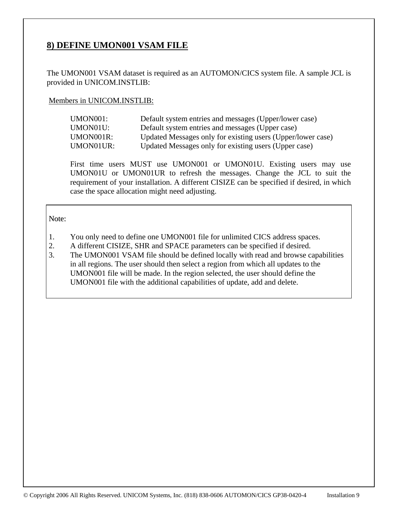## **8) DEFINE UMON001 VSAM FILE**

The UMON001 VSAM dataset is required as an AUTOMON/CICS system file. A sample JCL is provided in UNICOM.INSTLIB:

#### Members in UNICOM.INSTLIB:

| UMON001:  | Default system entries and messages (Upper/lower case)      |
|-----------|-------------------------------------------------------------|
| UMON01U:  | Default system entries and messages (Upper case)            |
| UMON001R: | Updated Messages only for existing users (Upper/lower case) |
| UMON01UR: | Updated Messages only for existing users (Upper case)       |

First time users MUST use UMON001 or UMON01U. Existing users may use UMON01U or UMON01UR to refresh the messages. Change the JCL to suit the requirement of your installation. A different CISIZE can be specified if desired, in which case the space allocation might need adjusting.

- 1. You only need to define one UMON001 file for unlimited CICS address spaces.
- 2. A different CISIZE, SHR and SPACE parameters can be specified if desired.
- 3. The UMON001 VSAM file should be defined locally with read and browse capabilities in all regions. The user should then select a region from which all updates to the UMON001 file will be made. In the region selected, the user should define the UMON001 file with the additional capabilities of update, add and delete.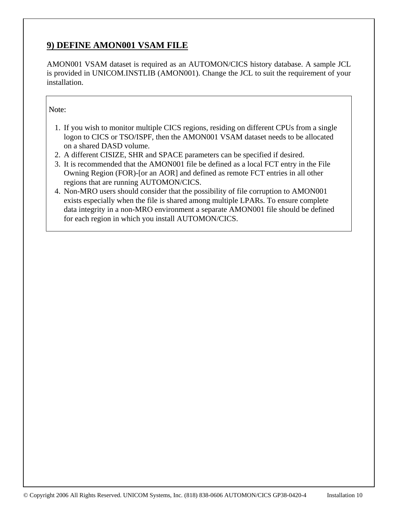# **9) DEFINE AMON001 VSAM FILE**

AMON001 VSAM dataset is required as an AUTOMON/CICS history database. A sample JCL is provided in UNICOM.INSTLIB (AMON001). Change the JCL to suit the requirement of your installation.

- 1. If you wish to monitor multiple CICS regions, residing on different CPUs from a single logon to CICS or TSO/ISPF, then the AMON001 VSAM dataset needs to be allocated on a shared DASD volume.
- 2. A different CISIZE, SHR and SPACE parameters can be specified if desired.
- 3. It is recommended that the AMON001 file be defined as a local FCT entry in the File Owning Region (FOR)-[or an AOR] and defined as remote FCT entries in all other regions that are running AUTOMON/CICS.
- 4. Non-MRO users should consider that the possibility of file corruption to AMON001 exists especially when the file is shared among multiple LPARs. To ensure complete data integrity in a non-MRO environment a separate AMON001 file should be defined for each region in which you install AUTOMON/CICS.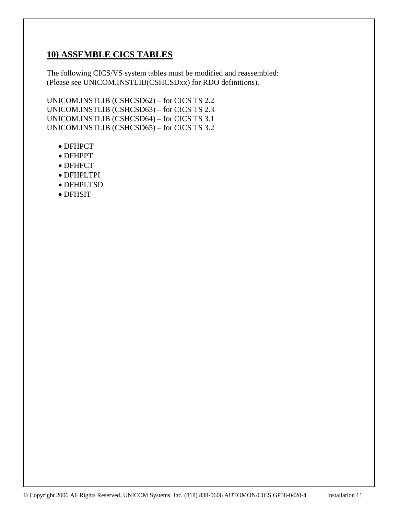## **10) ASSEMBLE CICS TABLES**

The following CICS/VS system tables must be modified and reassembled: (Please see UNICOM.INSTLIB(CSHCSDxx) for RDO definitions).

UNICOM.INSTLIB (CSHCSD62) – for CICS TS 2.2 UNICOM.INSTLIB (CSHCSD63) – for CICS TS 2.3 UNICOM.INSTLIB (CSHCSD64) – for CICS TS 3.1 UNICOM.INSTLIB (CSHCSD65) – for CICS TS 3.2

- DFHPCT
- DFHPPT
- DFHFCT
- DFHPLTPI
- DFHPLTSD
- DFHSIT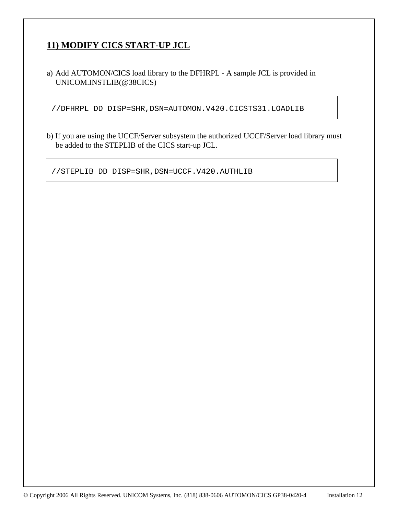# **11) MODIFY CICS START-UP JCL**

a) Add AUTOMON/CICS load library to the DFHRPL - A sample JCL is provided in UNICOM.INSTLIB(@38CICS)

//DFHRPL DD DISP=SHR,DSN=AUTOMON.V420.CICSTS31.LOADLIB

b) If you are using the UCCF/Server subsystem the authorized UCCF/Server load library must be added to the STEPLIB of the CICS start-up JCL.

//STEPLIB DD DISP=SHR,DSN=UCCF.V420.AUTHLIB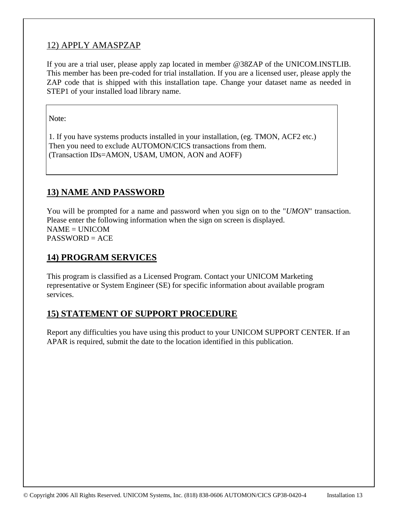## 12) APPLY AMASPZAP

If you are a trial user, please apply zap located in member @38ZAP of the UNICOM.INSTLIB. This member has been pre-coded for trial installation. If you are a licensed user, please apply the ZAP code that is shipped with this installation tape. Change your dataset name as needed in STEP1 of your installed load library name.

Note:

 1. If you have systems products installed in your installation, (eg. TMON, ACF2 etc.) Then you need to exclude AUTOMON/CICS transactions from them. (Transaction IDs=AMON, U\$AM, UMON, AON and AOFF)

# **13) NAME AND PASSWORD**

You will be prompted for a name and password when you sign on to the "*UMON*" transaction. Please enter the following information when the sign on screen is displayed.  $NAME = UNICOM$ PASSWORD = ACE

## **14) PROGRAM SERVICES**

This program is classified as a Licensed Program. Contact your UNICOM Marketing representative or System Engineer (SE) for specific information about available program services.

## **15) STATEMENT OF SUPPORT PROCEDURE**

Report any difficulties you have using this product to your UNICOM SUPPORT CENTER. If an APAR is required, submit the date to the location identified in this publication.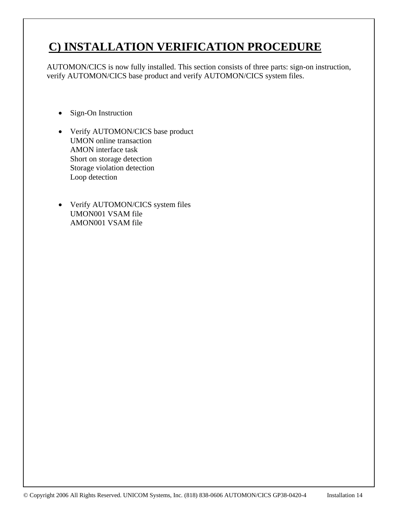# **C) INSTALLATION VERIFICATION PROCEDURE**

AUTOMON/CICS is now fully installed. This section consists of three parts: sign-on instruction, verify AUTOMON/CICS base product and verify AUTOMON/CICS system files.

- Sign-On Instruction
- Verify AUTOMON/CICS base product UMON online transaction AMON interface task Short on storage detection Storage violation detection Loop detection
- Verify AUTOMON/CICS system files UMON001 VSAM file AMON001 VSAM file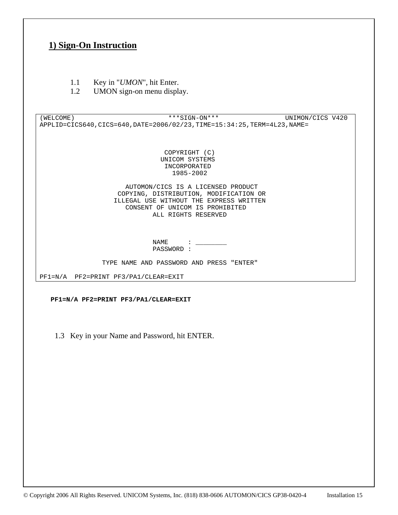## **1) Sign-On Instruction**

- 1.1 Key in "*UMON*", hit Enter.
- 1.2 UMON sign-on menu display.

(WELCOME) \*\*\*SIGN-ON\*\*\* UNIMON/CICS V420 APPLID=CICS640,CICS=640,DATE=2006/02/23,TIME=15:34:25,TERM=4L23,NAME= COPYRIGHT (C) UNICOM SYSTEMS INCORPORATED 1985-2002 AUTOMON/CICS IS A LICENSED PRODUCT COPYING, DISTRIBUTION, MODIFICATION OR ILLEGAL USE WITHOUT THE EXPRESS WRITTEN CONSENT OF UNICOM IS PROHIBITED ALL RIGHTS RESERVED NAME : \_\_\_\_\_\_\_\_ PASSWORD : TYPE NAME AND PASSWORD AND PRESS "ENTER"

PF1=N/A PF2=PRINT PF3/PA1/CLEAR=EXIT

 **PF1=N/A PF2=PRINT PF3/PA1/CLEAR=EXIT** 

1.3 Key in your Name and Password, hit ENTER.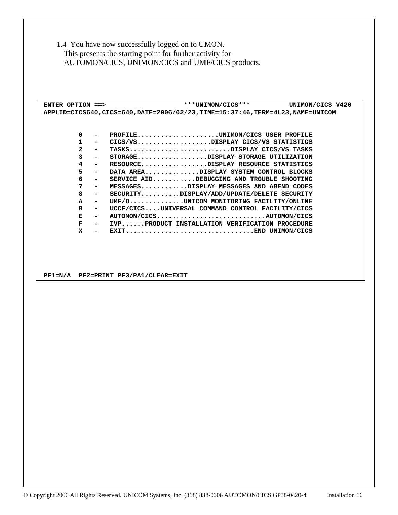1.4 You have now successfully logged on to UMON. This presents the starting point for further activity for AUTOMON/CICS, UNIMON/CICS and UMF/CICS products.

ENTER OPTION ==>  $***$  UNIMON/CICS\*\*\* UNIMON/CICS V420  **APPLID=CICS640,CICS=640,DATE=2006/02/23,TIME=15:37:46,TERM=4L23,NAME=UNICOM** 

| $\Omega$       |                          | PROFILEUNIMON/CICS USER PROFILE                  |
|----------------|--------------------------|--------------------------------------------------|
| 1.             | $\overline{\phantom{0}}$ | CICS/VSDISPLAY CICS/VS STATISTICS                |
| $\overline{2}$ | $\overline{\phantom{a}}$ | TASKSDISPLAY CICS/VS TASKS                       |
| 3              | $\blacksquare$           | STORAGEDISPLAY STORAGE UTILIZATION               |
| 4              | $\sim$                   | RESOURCEDISPLAY RESOURCE STATISTICS              |
| 5.             | $\sim$                   | DATA AREADISPLAY SYSTEM CONTROL BLOCKS           |
| 6.             | $\sim$                   | SERVICE AIDDEBUGGING AND TROUBLE SHOOTING        |
| 7              | $\overline{\phantom{0}}$ | MESSAGESDISPLAY MESSAGES AND ABEND CODES         |
| 8              | $\blacksquare$           | SECURITYDISPLAY/ADD/UPDATE/DELETE SECURITY       |
| $\mathbf{A}$   | $\sim$                   | UMF/0UNICOM MONITORING FACILITY/ONLINE           |
| в              | $\overline{\phantom{0}}$ | UCCF/CICSUNIVERSAL COMMAND CONTROL FACILITY/CICS |
| Е              | $\overline{\phantom{0}}$ | AUTOMON/CICSAUTOMON/CICS                         |
| F              | $\overline{\phantom{0}}$ | IVPPRODUCT INSTALLATION VERIFICATION PROCEDURE   |
| x              | $\blacksquare$           | EXITEND UNIMON/CICS                              |

 **PF1=N/A PF2=PRINT PF3/PA1/CLEAR=EXIT**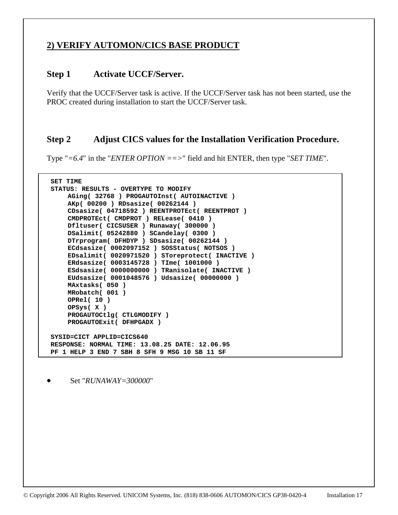## **2) VERIFY AUTOMON/CICS BASE PRODUCT**

#### **Step 1 Activate UCCF/Server.**

Verify that the UCCF/Server task is active. If the UCCF/Server task has not been started, use the PROC created during installation to start the UCCF/Server task.

### **Step 2 Adjust CICS values for the Installation Verification Procedure.**

Type "*=6.4*" in the "*ENTER OPTION ==>*" field and hit ENTER, then type "*SET TIME*".

```
 SET TIME 
 STATUS: RESULTS - OVERTYPE TO MODIFY 
     AGing( 32768 ) PROGAUTOInst( AUTOINACTIVE ) 
     AKp( 00200 ) RDsasize( 00262144 ) 
     CDsasize( 04718592 ) REENTPROTEct( REENTPROT ) 
     CMDPROTEct( CMDPROT ) RELease( 0410 ) 
     Dfltuser( CICSUSER ) Runaway( 300000 ) 
     DSalimit( 05242880 ) SCandelay( 0300 ) 
     DTrprogram( DFHDYP ) SDsasize( 00262144 ) 
     ECdsasize( 0002097152 ) SOSStatus( NOTSOS ) 
     EDsalimit( 0020971520 ) SToreprotect( INACTIVE ) 
     ERdsasize( 0003145728 ) TIme( 1001000 ) 
     ESdsasize( 0000000000 ) TRanisolate( INACTIVE ) 
     EUdsasize( 0001048576 ) Udsasize( 00000000 ) 
     MAxtasks( 050 ) 
     MRobatch( 001 ) 
     OPRel( 10 ) 
     OPSys( X ) 
     PROGAUTOCtlg( CTLGMODIFY ) 
     PROGAUTOExit( DFHPGADX ) 
 SYSID=CICT APPLID=CICS640 
 RESPONSE: NORMAL TIME: 13.08.25 DATE: 12.06.95 
 PF 1 HELP 3 END 7 SBH 8 SFH 9 MSG 10 SB 11 SF
```
• Set "*RUNAWAY=300000*"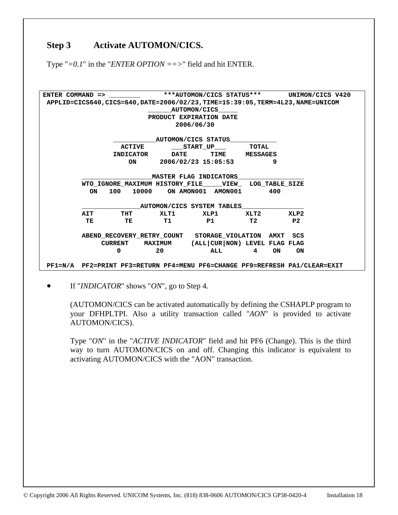## Step 3 Activate AUTOMON/CICS.

Type "*=0.1*" in the "*ENTER OPTION ==>*" field and hit ENTER.

**ENTER COMMAND => \_\_\_\_\_\_\_\_ \*\*\*AUTOMON/CICS STATUS\*\*\* UNIMON/CICS V420 APPLID=CICS640,CICS=640,DATE=2006/02/23,TIME=15:39:05,TERM=4L23,NAME=UNICOM \_\_\_\_\_\_AUTOMON/CICS\_\_\_\_\_ PRODUCT EXPIRATION DATE 2006/06/30 \_\_\_\_\_\_\_\_\_\_\_AUTOMON/CICS STATUS\_\_\_\_\_\_\_\_\_\_\_\_ ACTIVE \_\_\_START\_UP\_\_\_ TOTAL INDICATOR DATE TIME MESSAGES ON 2006/02/23 15:05:53 9**   $\blacksquare$  AASTER FLAG INDICATORS  **WTO\_IGNORE\_MAXIMUM HISTORY\_FILE\_\_\_\_\_VIEW\_ LOG\_TABLE\_SIZE ON 100 10000 ON AMON001 AMON001 400 \_\_\_\_\_\_\_\_\_\_\_\_\_\_\_AUTOMON/CICS SYSTEM TABLES\_\_\_\_\_\_\_\_\_\_\_\_\_\_\_\_ AIT THT XLT1 XLP1 XLT2 XLP2 TE TE T1 P1 T2 P2 ABEND\_RECOVERY\_RETRY\_COUNT STORAGE\_VIOLATION AMXT SCS CURRENT MAXIMUM (ALL|CUR|NON) LEVEL FLAG FLAG 0 20 ALL 4 ON ON PF1=N/A PF2=PRINT PF3=RETURN PF4=MENU PF6=CHANGE PF9=REFRESH PA1/CLEAR=EXIT** 

• If "*INDICATOR*" shows "*ON*", go to Step 4.

(AUTOMON/CICS can be activated automatically by defining the CSHAPLP program to your DFHPLTPI. Also a utility transaction called "*AON*" is provided to activate AUTOMON/CICS).

Type "*ON*" in the "*ACTIVE INDICATOR*" field and hit PF6 (Change). This is the third way to turn AUTOMON/CICS on and off. Changing this indicator is equivalent to activating AUTOMON/CICS with the "AON" transaction.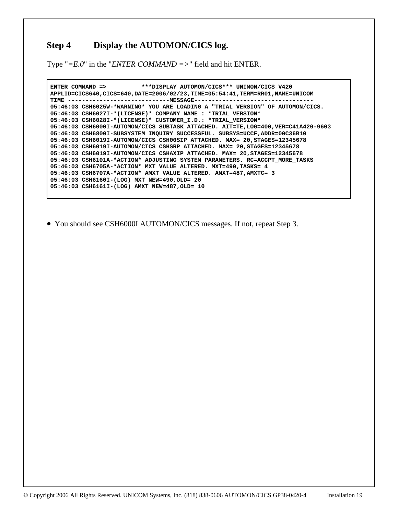## **Step 4 Display the AUTOMON/CICS log.**

Type "*=E.0*" in the "*ENTER COMMAND =>*" field and hit ENTER.

 **ENTER COMMAND => \_\_\_\_\_\_\_\_ \*\*\*DISPLAY AUTOMON/CICS\*\*\* UNIMON/CICS V420 APPLID=CICS640,CICS=640,DATE=2006/02/23,TIME=05:54:41,TERM=RR01,NAME=UNICOM TIME -----------------------------MESSAGE---------------------------------- 05:46:03 CSH6025W-\*WARNING\* YOU ARE LOADING A "TRIAL\_VERSION" OF AUTOMON/CICS. 05:46:03 CSH6027I-\*(LICENSE)\* COMPANY\_NAME : \*TRIAL\_VERSION\* 05:46:03 CSH6028I-\*(LICENSE)\* CUSTOMER\_I.D.: \*TRIAL\_VERSION\* 05:46:03 CSH6000I-AUTOMON/CICS SUBTASK ATTACHED. AIT=TE,LOG=400,VER=C41A420-9603 05:46:03 CSH6800I-SUBSYSTEM INQUIRY SUCCESSFUL. SUBSYS=UCCF,ADDR=00C36B10 05:46:03 CSH6019I-AUTOMON/CICS CSH00SIP ATTACHED. MAX= 20,STAGES=12345678 05:46:03 CSH6019I-AUTOMON/CICS CSHSRP ATTACHED. MAX= 20,STAGES=12345678 05:46:03 CSH6019I-AUTOMON/CICS CSHAXIP ATTACHED. MAX= 20,STAGES=12345678 05:46:03 CSH6101A-\*ACTION\* ADJUSTING SYSTEM PARAMETERS. RC=ACCPT\_MORE\_TASKS 05:46:03 CSH6705A-\*ACTION\* MXT VALUE ALTERED. MXT=490,TASKS= 4 05:46:03 CSH6707A-\*ACTION\* AMXT VALUE ALTERED. AMXT=487,AMXTC= 3 05:46:03 CSH6160I-(LOG) MXT NEW=490,OLD= 20 05:46:03 CSH6161I-(LOG) AMXT NEW=487,OLD= 10** 

• You should see CSH6000I AUTOMON/CICS messages. If not, repeat Step 3.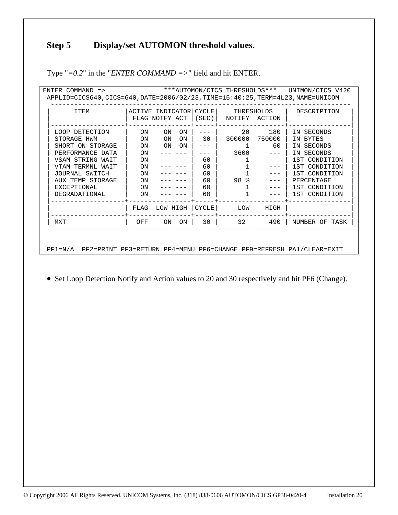# **Step 5 Display/set AUTOMON threshold values.**

| ACTIVE INDICATOR CYCLE<br>THRESHOLDS<br>ITEM<br>DESCRIPTION |      |                |    |                    |               |                                                                                                                                                                                                                                                                                                                                                                                              |                |
|-------------------------------------------------------------|------|----------------|----|--------------------|---------------|----------------------------------------------------------------------------------------------------------------------------------------------------------------------------------------------------------------------------------------------------------------------------------------------------------------------------------------------------------------------------------------------|----------------|
|                                                             |      | FLAG NOTFY ACT |    | (SEC)              | NOTIFY ACTION |                                                                                                                                                                                                                                                                                                                                                                                              |                |
| LOOP DETECTION                                              | ON.  | ON             | ON |                    | 20            | 180                                                                                                                                                                                                                                                                                                                                                                                          | IN SECONDS     |
| STORAGE HWM                                                 | ON   | ON             | ON | 30                 | 300000        | 750000                                                                                                                                                                                                                                                                                                                                                                                       | BYTES<br>IN    |
| SHORT ON STORAGE                                            | ON   | ON             | ON |                    | 1             | 60                                                                                                                                                                                                                                                                                                                                                                                           | IN SECONDS     |
| PERFORMANCE DATA                                            | ON   |                |    |                    | 3600          |                                                                                                                                                                                                                                                                                                                                                                                              | IN SECONDS     |
| VSAM STRING WAIT                                            | ON   |                |    | 60                 |               |                                                                                                                                                                                                                                                                                                                                                                                              | 1ST CONDITION  |
| VTAM TERMNL WAIT                                            | ON   |                |    | 60                 |               | $= - -$                                                                                                                                                                                                                                                                                                                                                                                      | 1ST CONDITION  |
| JOURNAL SWITCH                                              | ON   |                |    | 60                 |               | $\frac{1}{2}$                                                                                                                                                                                                                                                                                                                                                                                | 1ST CONDITION  |
| AUX TEMP STORAGE                                            | ON   |                |    | 60                 | 98 %          | $\frac{1}{2} \frac{1}{2} \frac{1}{2} \frac{1}{2} \frac{1}{2} \frac{1}{2} \frac{1}{2} \frac{1}{2} \frac{1}{2} \frac{1}{2} \frac{1}{2} \frac{1}{2} \frac{1}{2} \frac{1}{2} \frac{1}{2} \frac{1}{2} \frac{1}{2} \frac{1}{2} \frac{1}{2} \frac{1}{2} \frac{1}{2} \frac{1}{2} \frac{1}{2} \frac{1}{2} \frac{1}{2} \frac{1}{2} \frac{1}{2} \frac{1}{2} \frac{1}{2} \frac{1}{2} \frac{1}{2} \frac{$ | PERCENTAGE     |
| <b>EXCEPTIONAL</b><br>60<br><b>ON</b>                       |      |                |    |                    |               | 1ST CONDITION                                                                                                                                                                                                                                                                                                                                                                                |                |
| 60<br>1ST CONDITION<br>DEGRADATIONAL<br>ON                  |      |                |    |                    |               |                                                                                                                                                                                                                                                                                                                                                                                              |                |
|                                                             | FLAG | LOW HIGH       |    | CYCLE <sup>1</sup> | LOW           | HIGH                                                                                                                                                                                                                                                                                                                                                                                         |                |
| MXT                                                         | OFF  | ON             | ON | 30                 | 32            | 490                                                                                                                                                                                                                                                                                                                                                                                          | NUMBER OF TASK |

Type "*=0.2*" in the "*ENTER COMMAND =>*" field and hit ENTER.

• Set Loop Detection Notify and Action values to 20 and 30 respectively and hit PF6 (Change).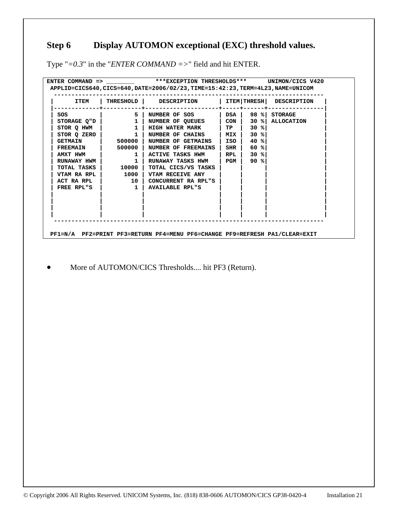# **Step 6 Display AUTOMON exceptional (EXC) threshold values.**

Type "*=0.3*" in the "*ENTER COMMAND =>*" field and hit ENTER.

| <b>ITEM</b>     |                                      | THRESHOLD   DESCRIPTION   |                   |        | ITEM THRESH DESCRIPTION |
|-----------------|--------------------------------------|---------------------------|-------------------|--------|-------------------------|
| SOS             | 5                                    | NUMBER OF SOS             | DSA               |        | 98 % STORAGE            |
| STORAGE Q"D     | $\begin{array}{ccc} & 1 \end{array}$ | NUMBER OF QUEUES          | $\mid$ CON $\mid$ |        | 30 % ALLOCATION         |
| STOR O HWM      | $\overline{\mathbf{1}}$              | <b>HIGH WATER MARK</b>    | TP                | $30$ % |                         |
| STOR Q ZERO     | $\mathbf{1}$                         | NUMBER OF CHAINS   MIX    |                   | $30$ % |                         |
| <b>GETMAIN</b>  | 500000 1                             | <b>NUMBER OF GETMAINS</b> | ISO I             | $40$ % |                         |
| <b>FREEMAIN</b> | 500000                               | NUMBER OF FREEMAINS       | SHR               | $60$ % |                         |
| AMXT HWM        | $\mathbf{1}$                         | <b>ACTIVE TASKS HWM</b>   | RPL               | 30%    |                         |
| RUNAWAY HWM     | $\mathbf{1}$                         | RUNAWAY TASKS HWM         | l PGM             | 90%    |                         |
| TOTAL TASKS     | 10000                                | TOTAL CICS/VS TASKS       |                   |        |                         |
| VTAM RA RPL     | 1000                                 | VTAM RECEIVE ANY          |                   |        |                         |
| ACT RA RPL      | 10 l                                 | CONCURRENT RA RPL"S       |                   |        |                         |
| FREE RPL"S      | $\overline{\mathbf{1}}$              | <b>AVAILABLE RPL"S</b>    |                   |        |                         |
|                 |                                      |                           |                   |        |                         |
|                 |                                      |                           |                   |        |                         |
|                 |                                      |                           |                   |        |                         |

• More of AUTOMON/CICS Thresholds.... hit PF3 (Return).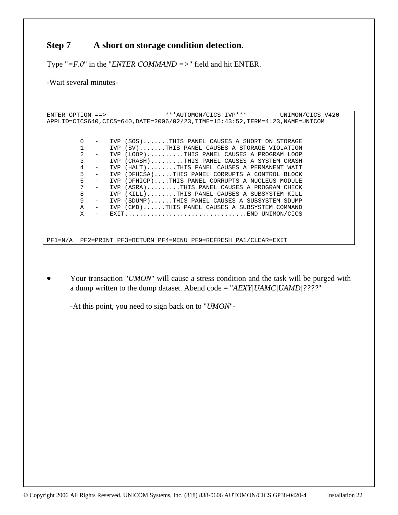## **Step 7 A short on storage condition detection.**

Type "*=F.0*" in the "*ENTER COMMAND =>*" field and hit ENTER.

-Wait several minutes-

ENTER OPTION ==> \*\*\*AUTOMON/CICS IVP\*\*\* UNIMON/CICS V420 APPLID=CICS640,CICS=640,DATE=2006/02/23,TIME=15:43:52,TERM=4L23,NAME=UNICOM 0 - IVP (SOS).......THIS PANEL CAUSES A SHORT ON STORAGE<br>1 - IVP (SV)......THIS PANEL CAUSES A STORAGE VIOLATION  $IVP (SV) \ldots \ldots$ ...THIS PANEL CAUSES A STORAGE VIOLATION 2 - IVP (LOOP)..........THIS PANEL CAUSES A PROGRAM LOOP<br>3 - IVP (CRASH)........THIS PANEL CAUSES A SYSTEM CRASH IVP (CRASH)........THIS PANEL CAUSES A SYSTEM CRASH 4 - IVP (HALT)........THIS PANEL CAUSES A PERMANENT WAIT<br>5 - IVP (DFHCSA).....THIS PANEL CORRUPTS A CONTROL BLOCK 5 - IVP (DFHCSA).....THIS PANEL CORRUPTS A CONTROL BLOCK 6 - IVP (DFHICP)....THIS PANEL CORRUPTS A NUCLEUS MODULE<br>7 - IVP (ASRA)........THIS PANEL CAUSES A PROGRAM CHECK 7 - IVP (ASRA).........THIS PANEL CAUSES A PROGRAM CHECK 8 - IVP (KILL)........THIS PANEL CAUSES A SUBSYSTEM KILL<br>9 - IVP (SDUMP)......THIS PANEL CAUSES A SUBSYSTEM SDUMP IVP (SDUMP)......THIS PANEL CAUSES A SUBSYSTEM SDUMP A - IVP (CMD)......THIS PANEL CAUSES A SUBSYSTEM COMMAND  $\bar{x}$  - FXIT X - EXIT.................................END UNIMON/CICS

PF1=N/A PF2=PRINT PF3=RETURN PF4=MENU PF9=REFRESH PA1/CLEAR=EXIT

• Your transaction "*UMON*" will cause a stress condition and the task will be purged with a dump written to the dump dataset. Abend code = "*AEXY|UAMC|UAMD|????*"

-At this point, you need to sign back on to "*UMON*"-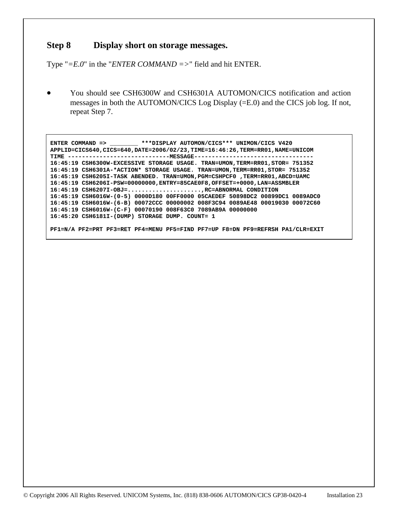#### **Step 8 Display short on storage messages.**

Type "*=E.0*" in the "*ENTER COMMAND =>*" field and hit ENTER.

• You should see CSH6300W and CSH6301A AUTOMON/CICS notification and action messages in both the AUTOMON/CICS Log Display (=E.0) and the CICS job log. If not, repeat Step 7.

 **ENTER COMMAND => \_\_\_\_\_\_\_\_ \*\*\*DISPLAY AUTOMON/CICS\*\*\* UNIMON/CICS V420 APPLID=CICS640,CICS=640,DATE=2006/02/23,TIME=16:46:26,TERM=RR01,NAME=UNICOM TIME -----------------------------MESSAGE---------------------------------- 16:45:19 CSH6300W-EXCESSIVE STORAGE USAGE. TRAN=UMON,TERM=RR01,STOR= 751352 16:45:19 CSH6301A-\*ACTION\* STORAGE USAGE. TRAN=UMON,TERM=RR01,STOR= 751352 16:45:19 CSH6205I-TASK ABENDED. TRAN=UMON,PGM=CSHPCF0 ,TERM=RR01,ABCD=UAMC 16:45:19 CSH6206I-PSW=00000000,ENTRY=85CAE0F8,OFFSET=+0000,LAN=ASSMBLER 16:45:19 CSH6207I-OBJ=.....................,RC=ABNORMAL CONDITION 16:45:19 CSH6016W-(0-5) 0000D180 00FF0000 05CAEDEF 50898DC2 00899DC1 0089ADC0 16:45:19 CSH6016W-(6-B) 00072CCC 00000002 008F3C94 0089AE48 00019030 00072C60 16:45:19 CSH6016W-(C-F) 00070190 008F63C0 7089AB9A 00000000 16:45:20 CSH6181I-(DUMP) STORAGE DUMP. COUNT= 1** 

 **PF1=N/A PF2=PRT PF3=RET PF4=MENU PF5=FIND PF7=UP F8=DN PF9=REFRSH PA1/CLR=EXIT**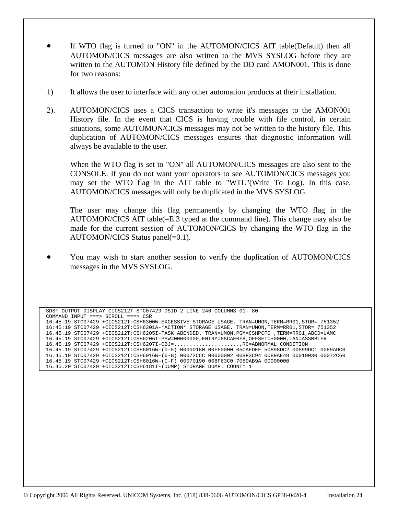- If WTO flag is turned to "ON" in the AUTOMON/CICS AIT table(Default) then all AUTOMON/CICS messages are also written to the MVS SYSLOG before they are written to the AUTOMON History file defined by the DD card AMON001. This is done for two reasons:
- 1) It allows the user to interface with any other automation products at their installation.
- 2). AUTOMON/CICS uses a CICS transaction to write it's messages to the AMON001 History file. In the event that CICS is having trouble with file control, in certain situations, some AUTOMON/CICS messages may not be written to the history file. This duplication of AUTOMON/CICS messages ensures that diagnostic information will always be available to the user.

When the WTO flag is set to "ON" all AUTOMON/CICS messages are also sent to the CONSOLE. If you do not want your operators to see AUTOMON/CICS messages you may set the WTO flag in the AIT table to "WTL"(Write To Log). In this case, AUTOMON/CICS messages will only be duplicated in the MVS SYSLOG.

The user may change this flag permanently by changing the WTO flag in the AUTOMON/CICS AIT table(=E.3 typed at the command line). This change may also be made for the current session of AUTOMON/CICS by changing the WTO flag in the AUTOMON/CICS Status panel(=0.1).

• You may wish to start another session to verify the duplication of AUTOMON/CICS messages in the MVS SYSLOG.

 SDSF OUTPUT DISPLAY CICS212T STC07429 DSID 2 LINE 246 COLUMNS 01- 80 COMMAND INPUT ===> SCROLL ===> CSR 16:45:19 STC07429 +CICS212T:CSH6300W-EXCESSIVE STORAGE USAGE. TRAN=UMON,TERM=RR01,STOR= 751352 16:45:19 STC07429 +CICS212T:CSH6301A-\*ACTION\* STORAGE USAGE. TRAN=UMON,TERM=RR01,STOR= 751352 16.45.19 STC07429 +CICS212T:CSH6205I-TASK ABENDED. TRAN=UMON,PGM=CSHPCF0 ,TERM=RR01,ABCD=UAMC 16.45.19 STC07429 +CICS212T:CSH6206I-PSW=00000000,ENTRY=85CAE0F8,OFFSET=+0000,LAN=ASSMBLER 16.45.19 STC07429 +CICS212T:CSH6207I-OBJ=.....................,RC=ABNORMAL CONDITION 16.45.19 STC07429 +CICS212T:CSH6016W-(0-5) 0000D180 00FF0000 05CAEDEF 50898DC2 00899DC1 0089ADC0 16.45.19 STC07429 +CICS212T:CSH6016W-(6-B) 00072CCC 00000002 008F3C94 0089AE48 00019030 00072C60 16.45.19 STC07429 +CICS212T:CSH6016W-(C-F) 00070190 008F63C0 7089AB9A 00000000 16.45.20 STC07429 +CICS212T:CSH6181I-(DUMP) STORAGE DUMP. COUNT= 1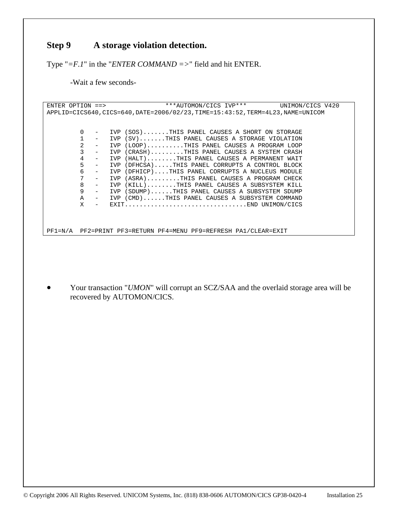## **Step 9 A storage violation detection.**

Type "*=F.1*" in the "*ENTER COMMAND =>*" field and hit ENTER.

-Wait a few seconds-

```
ENTER OPTION ==> ***AUTOMON/CICS IVP*** UNIMON/CICS V420
APPLID=CICS640,CICS=640,DATE=2006/02/23,TIME=15:43:52,TERM=4L23,NAME=UNICOM 
           0 - IVP (SOS).......THIS PANEL CAUSES A SHORT ON STORAGE 
           1 - IVP (SV).......THIS PANEL CAUSES A STORAGE VIOLATION 
           2 - IVP (LOOP)..........THIS PANEL CAUSES A PROGRAM LOOP 
           3 - IVP (CRASH).........THIS PANEL CAUSES A SYSTEM CRASH 
          4 - IVP (HALT)........THIS PANEL CAUSES A PERMANENT WAIT<br>5 - IVP (DFHCSA).....THIS PANEL CORRUPTS A CONTROL BLOCK
                5 - IVP (DFHCSA).....THIS PANEL CORRUPTS A CONTROL BLOCK 
          6 - IVP (DFHICP)....THIS PANEL CORRUPTS A NUCLEUS MODULE<br>7 - IVP (ASRA)........THIS PANEL CAUSES A PROGRAM CHECK
          7 - IVP (ASRA).........THIS PANEL CAUSES A PROGRAM CHECK<br>8 - IVP (KILL).......THIS PANEL CAUSES A SUBSYSTEM KILL
              - IVP (KILL)........THIS PANEL CAUSES A SUBSYSTEM KILL<br>- TVP (SDUMP)......THIS PANEL CAUSES A SUBSYSTEM SDUMP
           9 - IVP (SDUMP)......THIS PANEL CAUSES A SUBSYSTEM SDUMP 
           A - IVP (CMD)......THIS PANEL CAUSES A SUBSYSTEM COMMAND 
           X - EXIT.................................END UNIMON/CICS 
PF1=N/A PF2=PRINT PF3=RETURN PF4=MENU PF9=REFRESH PA1/CLEAR=EXIT
```
• Your transaction "*UMON*" will corrupt an SCZ/SAA and the overlaid storage area will be recovered by AUTOMON/CICS.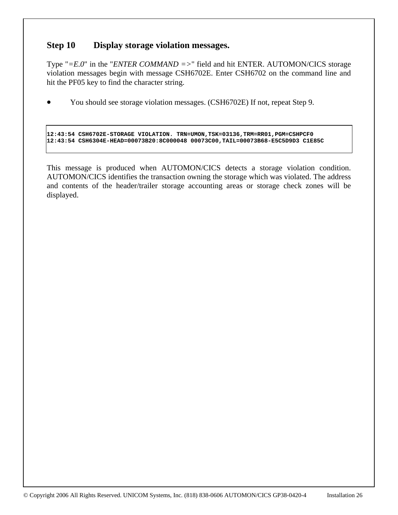## **Step 10 Display storage violation messages.**

Type "*=E.0*" in the "*ENTER COMMAND =>*" field and hit ENTER. AUTOMON/CICS storage violation messages begin with message CSH6702E. Enter CSH6702 on the command line and hit the PF05 key to find the character string.

• You should see storage violation messages. (CSH6702E) If not, repeat Step 9.

**12:43:54 CSH6702E-STORAGE VIOLATION. TRN=UMON,TSK=03136,TRM=RR01,PGM=CSHPCF0 12:43:54 CSH6304E-HEAD=00073B20:8C000048 00073C00,TAIL=00073B68-E5C5D9D3 C1E85C** 

This message is produced when AUTOMON/CICS detects a storage violation condition. AUTOMON/CICS identifies the transaction owning the storage which was violated. The address and contents of the header/trailer storage accounting areas or storage check zones will be displayed.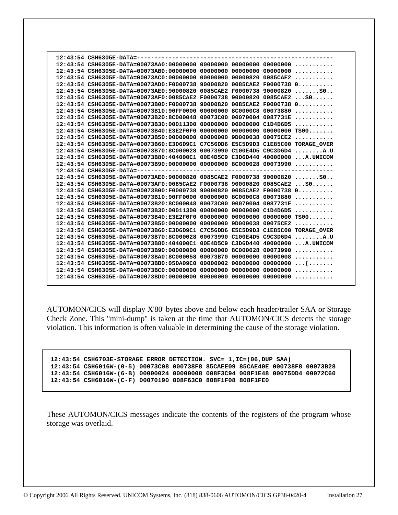| 12:43:54 CSH6305E-DATA = --------<br>12:43:54 CSH6305E-DATA=00073AC0:00000000 00000000 00000820 0085CAE2<br>12:43:54 CSH6305E-DATA=00073AD0:F0000738 90000820 0085CAE2 F0000738 0<br>0085CAE2 F0000738 90000820 SO<br>12:43:54 CSH6305E-DATA=00073AE0:90000820<br>12:43:54 CSH6305E-DATA=00073AF0:0085CAE2 F0000738 90000820 0085CAE2 S0<br>12:43:54 CSH6305E-DATA=00073B00:F0000738<br>90000820 0085CAE2 F0000738 0<br>00000000 8C0000C8 00073880<br>12:43:54 CSH6305E-DATA=00073B10:90FF0000<br>00073C00 00070004 0087731E<br>12:43:54 CSH6305E-DATA=00073B20:8C000048<br>$12:43:54$ CSH6305E-DATA=00073B30:00011300 00000000 00000000 C1D4D6D5<br>$12:43:54$ CSH6305E-DATA=00073B40:E3E2F0F0 00000000 00000000 00000000 TS00<br>12:43:54 CSH6305E-DATA=00073B50:00000000<br>00000000 9D000038 00075CE2<br>.<br>12:43:54 CSH6305E-DATA=00073B60:E3D6D9C1 C7C56DD6 E5C5D9D3 C1E85C00 TORAGE OVER<br>12:43:54 CSH6305E-DATA=00073B70:8C000028 00073990 C100E4D5 C9C3D6D4<br>. <b>A</b> .U<br>12:43:54 CSH6305E-DATA=00073B80:404000C1 00E4D5C9 C3D6D440 40000000 A.UNICOM<br>$12:43:54$ CSH6305E-DATA=00073B90:00000000 00000000 8C000028 00073990<br>12:43:54 CSH6305E-DATA=-----------------------------<br>12:43:54 CSH6305E-DATA=00073AE0:90000820 0085CAE2 F0000738 90000820 S0<br>12:43:54 CSH6305E-DATA=00073AF0:0085CAE2 F0000738 90000820 0085CAE2 S0<br>12:43:54 CSH6305E-DATA=00073B00:F0000738 90000820 0085CAE2 F0000738 0<br>00000000 8C0000C8 00073880<br>12:43:54 CSH6305E-DATA=00073B10:90FF0000<br>12:43:54 CSH6305E-DATA=00073B20:8C000048<br>00073C00 00070004 0087731E<br>00000000 00000000 $C1D4D6D5$<br>12:43:54 CSH6305E-DATA=00073B30:00011300<br>12:43:54 CSH6305E-DATA=00073B40:E3E2F0F0<br>00000000 9D000038 00075CE2<br>12:43:54 CSH6305E-DATA=00073B50:00000000<br>.<br>12:43:54 CSH6305E-DATA=00073B60:E3D6D9C1<br>C7C56DD6 E5C5D9D3 C1E85C00 TORAGE OVER<br>12:43:54 CSH6305E-DATA=00073B70:8C000028<br>00073990 C100E4D5 C9C3D6D4<br>. <b>A</b> .U<br>12:43:54 CSH6305E-DATA=00073B80:404000C1<br>00E4D5C9 C3D6D440 40000000<br>$\ldots$ $A$ . UNICOM<br>12:43:54 CSH6305E-DATA=00073B90:00000000<br>00000000 8C000028 00073990<br>.<br>12:43:54 CSH6305E-DATA=00073BA0:8C000058<br>00073B70 00000000 00000008<br>.<br>12:43:54 CSH6305E-DATA=00073BB0:05DA09C0<br>00000002 00000000 00000000<br>.<br>12:43:54 CSH6305E-DATA=00073BC0:00000000<br>00000000 00000000 00000000<br>. |  |  |  |  |
|--------------------------------------------------------------------------------------------------------------------------------------------------------------------------------------------------------------------------------------------------------------------------------------------------------------------------------------------------------------------------------------------------------------------------------------------------------------------------------------------------------------------------------------------------------------------------------------------------------------------------------------------------------------------------------------------------------------------------------------------------------------------------------------------------------------------------------------------------------------------------------------------------------------------------------------------------------------------------------------------------------------------------------------------------------------------------------------------------------------------------------------------------------------------------------------------------------------------------------------------------------------------------------------------------------------------------------------------------------------------------------------------------------------------------------------------------------------------------------------------------------------------------------------------------------------------------------------------------------------------------------------------------------------------------------------------------------------------------------------------------------------------------------------------------------------------------------------------------------------------------------------------------------------------------------------------------------------------------------------------------------------------------------------------------------------------------------------------------------------------------------------------------------------------------------------------------------------------------------------------------------------------------------------------------------------------------------------------------------------------------------------------------------------------|--|--|--|--|
|                                                                                                                                                                                                                                                                                                                                                                                                                                                                                                                                                                                                                                                                                                                                                                                                                                                                                                                                                                                                                                                                                                                                                                                                                                                                                                                                                                                                                                                                                                                                                                                                                                                                                                                                                                                                                                                                                                                                                                                                                                                                                                                                                                                                                                                                                                                                                                                                                    |  |  |  |  |
|                                                                                                                                                                                                                                                                                                                                                                                                                                                                                                                                                                                                                                                                                                                                                                                                                                                                                                                                                                                                                                                                                                                                                                                                                                                                                                                                                                                                                                                                                                                                                                                                                                                                                                                                                                                                                                                                                                                                                                                                                                                                                                                                                                                                                                                                                                                                                                                                                    |  |  |  |  |
|                                                                                                                                                                                                                                                                                                                                                                                                                                                                                                                                                                                                                                                                                                                                                                                                                                                                                                                                                                                                                                                                                                                                                                                                                                                                                                                                                                                                                                                                                                                                                                                                                                                                                                                                                                                                                                                                                                                                                                                                                                                                                                                                                                                                                                                                                                                                                                                                                    |  |  |  |  |
|                                                                                                                                                                                                                                                                                                                                                                                                                                                                                                                                                                                                                                                                                                                                                                                                                                                                                                                                                                                                                                                                                                                                                                                                                                                                                                                                                                                                                                                                                                                                                                                                                                                                                                                                                                                                                                                                                                                                                                                                                                                                                                                                                                                                                                                                                                                                                                                                                    |  |  |  |  |
|                                                                                                                                                                                                                                                                                                                                                                                                                                                                                                                                                                                                                                                                                                                                                                                                                                                                                                                                                                                                                                                                                                                                                                                                                                                                                                                                                                                                                                                                                                                                                                                                                                                                                                                                                                                                                                                                                                                                                                                                                                                                                                                                                                                                                                                                                                                                                                                                                    |  |  |  |  |
|                                                                                                                                                                                                                                                                                                                                                                                                                                                                                                                                                                                                                                                                                                                                                                                                                                                                                                                                                                                                                                                                                                                                                                                                                                                                                                                                                                                                                                                                                                                                                                                                                                                                                                                                                                                                                                                                                                                                                                                                                                                                                                                                                                                                                                                                                                                                                                                                                    |  |  |  |  |
|                                                                                                                                                                                                                                                                                                                                                                                                                                                                                                                                                                                                                                                                                                                                                                                                                                                                                                                                                                                                                                                                                                                                                                                                                                                                                                                                                                                                                                                                                                                                                                                                                                                                                                                                                                                                                                                                                                                                                                                                                                                                                                                                                                                                                                                                                                                                                                                                                    |  |  |  |  |
|                                                                                                                                                                                                                                                                                                                                                                                                                                                                                                                                                                                                                                                                                                                                                                                                                                                                                                                                                                                                                                                                                                                                                                                                                                                                                                                                                                                                                                                                                                                                                                                                                                                                                                                                                                                                                                                                                                                                                                                                                                                                                                                                                                                                                                                                                                                                                                                                                    |  |  |  |  |
|                                                                                                                                                                                                                                                                                                                                                                                                                                                                                                                                                                                                                                                                                                                                                                                                                                                                                                                                                                                                                                                                                                                                                                                                                                                                                                                                                                                                                                                                                                                                                                                                                                                                                                                                                                                                                                                                                                                                                                                                                                                                                                                                                                                                                                                                                                                                                                                                                    |  |  |  |  |
|                                                                                                                                                                                                                                                                                                                                                                                                                                                                                                                                                                                                                                                                                                                                                                                                                                                                                                                                                                                                                                                                                                                                                                                                                                                                                                                                                                                                                                                                                                                                                                                                                                                                                                                                                                                                                                                                                                                                                                                                                                                                                                                                                                                                                                                                                                                                                                                                                    |  |  |  |  |
|                                                                                                                                                                                                                                                                                                                                                                                                                                                                                                                                                                                                                                                                                                                                                                                                                                                                                                                                                                                                                                                                                                                                                                                                                                                                                                                                                                                                                                                                                                                                                                                                                                                                                                                                                                                                                                                                                                                                                                                                                                                                                                                                                                                                                                                                                                                                                                                                                    |  |  |  |  |
|                                                                                                                                                                                                                                                                                                                                                                                                                                                                                                                                                                                                                                                                                                                                                                                                                                                                                                                                                                                                                                                                                                                                                                                                                                                                                                                                                                                                                                                                                                                                                                                                                                                                                                                                                                                                                                                                                                                                                                                                                                                                                                                                                                                                                                                                                                                                                                                                                    |  |  |  |  |
|                                                                                                                                                                                                                                                                                                                                                                                                                                                                                                                                                                                                                                                                                                                                                                                                                                                                                                                                                                                                                                                                                                                                                                                                                                                                                                                                                                                                                                                                                                                                                                                                                                                                                                                                                                                                                                                                                                                                                                                                                                                                                                                                                                                                                                                                                                                                                                                                                    |  |  |  |  |
|                                                                                                                                                                                                                                                                                                                                                                                                                                                                                                                                                                                                                                                                                                                                                                                                                                                                                                                                                                                                                                                                                                                                                                                                                                                                                                                                                                                                                                                                                                                                                                                                                                                                                                                                                                                                                                                                                                                                                                                                                                                                                                                                                                                                                                                                                                                                                                                                                    |  |  |  |  |
|                                                                                                                                                                                                                                                                                                                                                                                                                                                                                                                                                                                                                                                                                                                                                                                                                                                                                                                                                                                                                                                                                                                                                                                                                                                                                                                                                                                                                                                                                                                                                                                                                                                                                                                                                                                                                                                                                                                                                                                                                                                                                                                                                                                                                                                                                                                                                                                                                    |  |  |  |  |
|                                                                                                                                                                                                                                                                                                                                                                                                                                                                                                                                                                                                                                                                                                                                                                                                                                                                                                                                                                                                                                                                                                                                                                                                                                                                                                                                                                                                                                                                                                                                                                                                                                                                                                                                                                                                                                                                                                                                                                                                                                                                                                                                                                                                                                                                                                                                                                                                                    |  |  |  |  |
|                                                                                                                                                                                                                                                                                                                                                                                                                                                                                                                                                                                                                                                                                                                                                                                                                                                                                                                                                                                                                                                                                                                                                                                                                                                                                                                                                                                                                                                                                                                                                                                                                                                                                                                                                                                                                                                                                                                                                                                                                                                                                                                                                                                                                                                                                                                                                                                                                    |  |  |  |  |
|                                                                                                                                                                                                                                                                                                                                                                                                                                                                                                                                                                                                                                                                                                                                                                                                                                                                                                                                                                                                                                                                                                                                                                                                                                                                                                                                                                                                                                                                                                                                                                                                                                                                                                                                                                                                                                                                                                                                                                                                                                                                                                                                                                                                                                                                                                                                                                                                                    |  |  |  |  |
|                                                                                                                                                                                                                                                                                                                                                                                                                                                                                                                                                                                                                                                                                                                                                                                                                                                                                                                                                                                                                                                                                                                                                                                                                                                                                                                                                                                                                                                                                                                                                                                                                                                                                                                                                                                                                                                                                                                                                                                                                                                                                                                                                                                                                                                                                                                                                                                                                    |  |  |  |  |
|                                                                                                                                                                                                                                                                                                                                                                                                                                                                                                                                                                                                                                                                                                                                                                                                                                                                                                                                                                                                                                                                                                                                                                                                                                                                                                                                                                                                                                                                                                                                                                                                                                                                                                                                                                                                                                                                                                                                                                                                                                                                                                                                                                                                                                                                                                                                                                                                                    |  |  |  |  |
|                                                                                                                                                                                                                                                                                                                                                                                                                                                                                                                                                                                                                                                                                                                                                                                                                                                                                                                                                                                                                                                                                                                                                                                                                                                                                                                                                                                                                                                                                                                                                                                                                                                                                                                                                                                                                                                                                                                                                                                                                                                                                                                                                                                                                                                                                                                                                                                                                    |  |  |  |  |
|                                                                                                                                                                                                                                                                                                                                                                                                                                                                                                                                                                                                                                                                                                                                                                                                                                                                                                                                                                                                                                                                                                                                                                                                                                                                                                                                                                                                                                                                                                                                                                                                                                                                                                                                                                                                                                                                                                                                                                                                                                                                                                                                                                                                                                                                                                                                                                                                                    |  |  |  |  |
|                                                                                                                                                                                                                                                                                                                                                                                                                                                                                                                                                                                                                                                                                                                                                                                                                                                                                                                                                                                                                                                                                                                                                                                                                                                                                                                                                                                                                                                                                                                                                                                                                                                                                                                                                                                                                                                                                                                                                                                                                                                                                                                                                                                                                                                                                                                                                                                                                    |  |  |  |  |
|                                                                                                                                                                                                                                                                                                                                                                                                                                                                                                                                                                                                                                                                                                                                                                                                                                                                                                                                                                                                                                                                                                                                                                                                                                                                                                                                                                                                                                                                                                                                                                                                                                                                                                                                                                                                                                                                                                                                                                                                                                                                                                                                                                                                                                                                                                                                                                                                                    |  |  |  |  |
|                                                                                                                                                                                                                                                                                                                                                                                                                                                                                                                                                                                                                                                                                                                                                                                                                                                                                                                                                                                                                                                                                                                                                                                                                                                                                                                                                                                                                                                                                                                                                                                                                                                                                                                                                                                                                                                                                                                                                                                                                                                                                                                                                                                                                                                                                                                                                                                                                    |  |  |  |  |
|                                                                                                                                                                                                                                                                                                                                                                                                                                                                                                                                                                                                                                                                                                                                                                                                                                                                                                                                                                                                                                                                                                                                                                                                                                                                                                                                                                                                                                                                                                                                                                                                                                                                                                                                                                                                                                                                                                                                                                                                                                                                                                                                                                                                                                                                                                                                                                                                                    |  |  |  |  |
|                                                                                                                                                                                                                                                                                                                                                                                                                                                                                                                                                                                                                                                                                                                                                                                                                                                                                                                                                                                                                                                                                                                                                                                                                                                                                                                                                                                                                                                                                                                                                                                                                                                                                                                                                                                                                                                                                                                                                                                                                                                                                                                                                                                                                                                                                                                                                                                                                    |  |  |  |  |
|                                                                                                                                                                                                                                                                                                                                                                                                                                                                                                                                                                                                                                                                                                                                                                                                                                                                                                                                                                                                                                                                                                                                                                                                                                                                                                                                                                                                                                                                                                                                                                                                                                                                                                                                                                                                                                                                                                                                                                                                                                                                                                                                                                                                                                                                                                                                                                                                                    |  |  |  |  |
|                                                                                                                                                                                                                                                                                                                                                                                                                                                                                                                                                                                                                                                                                                                                                                                                                                                                                                                                                                                                                                                                                                                                                                                                                                                                                                                                                                                                                                                                                                                                                                                                                                                                                                                                                                                                                                                                                                                                                                                                                                                                                                                                                                                                                                                                                                                                                                                                                    |  |  |  |  |
|                                                                                                                                                                                                                                                                                                                                                                                                                                                                                                                                                                                                                                                                                                                                                                                                                                                                                                                                                                                                                                                                                                                                                                                                                                                                                                                                                                                                                                                                                                                                                                                                                                                                                                                                                                                                                                                                                                                                                                                                                                                                                                                                                                                                                                                                                                                                                                                                                    |  |  |  |  |
|                                                                                                                                                                                                                                                                                                                                                                                                                                                                                                                                                                                                                                                                                                                                                                                                                                                                                                                                                                                                                                                                                                                                                                                                                                                                                                                                                                                                                                                                                                                                                                                                                                                                                                                                                                                                                                                                                                                                                                                                                                                                                                                                                                                                                                                                                                                                                                                                                    |  |  |  |  |
|                                                                                                                                                                                                                                                                                                                                                                                                                                                                                                                                                                                                                                                                                                                                                                                                                                                                                                                                                                                                                                                                                                                                                                                                                                                                                                                                                                                                                                                                                                                                                                                                                                                                                                                                                                                                                                                                                                                                                                                                                                                                                                                                                                                                                                                                                                                                                                                                                    |  |  |  |  |
|                                                                                                                                                                                                                                                                                                                                                                                                                                                                                                                                                                                                                                                                                                                                                                                                                                                                                                                                                                                                                                                                                                                                                                                                                                                                                                                                                                                                                                                                                                                                                                                                                                                                                                                                                                                                                                                                                                                                                                                                                                                                                                                                                                                                                                                                                                                                                                                                                    |  |  |  |  |
|                                                                                                                                                                                                                                                                                                                                                                                                                                                                                                                                                                                                                                                                                                                                                                                                                                                                                                                                                                                                                                                                                                                                                                                                                                                                                                                                                                                                                                                                                                                                                                                                                                                                                                                                                                                                                                                                                                                                                                                                                                                                                                                                                                                                                                                                                                                                                                                                                    |  |  |  |  |

AUTOMON/CICS will display X'80' bytes above and below each header/trailer SAA or Storage Check Zone. This "mini-dump" is taken at the time that AUTOMON/CICS detects the storage violation. This information is often valuable in determining the cause of the storage violation.

```
 12:43:54 CSH6703E-STORAGE ERROR DETECTION. SVC= 1,IC=(06,DUP SAA) 
 12:43:54 CSH6016W-(0-5) 00073C08 000738F8 85CAEE09 85CAE40E 000738F8 00073B28 
 12:43:54 CSH6016W-(6-B) 00000024 00000008 008F3C94 008F1E48 00075DD4 00072C60 
 12:43:54 CSH6016W-(C-F) 00070190 008F63C0 808F1F08 808F1FE0
```
These AUTOMON/CICS messages indicate the contents of the registers of the program whose storage was overlaid.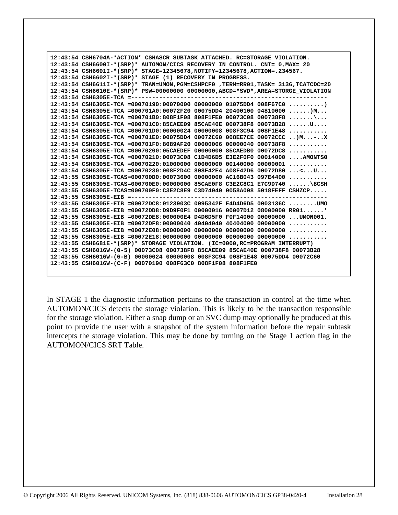| 12:43:54 CSH6704A-*ACTION* CSHASCR SUBTASK ATTACHED. RC=STORAGE VIOLATION.          |
|-------------------------------------------------------------------------------------|
| 12:43:54 CSH6600I-*(SRP)* AUTOMON/CICS RECOVERY IN CONTROL. CNT= 0, MAX= 20         |
| 12:43:54 CSH6601I-*(SRP)* STAGE=12345678, NOTIFY=12345678, ACTION=.234567.          |
| 12:43:54 CSH6602I-*(SRP)* STAGE (1) RECOVERY IN PROGRESS.                           |
| 12:43:54 CSH6611I-*(SRP)* TRAN=UMON, PGM=CSHPCF0, TERM=RR01, TASK= 3136, TCATCDC=20 |
| 12:43:54 CSH6610E-*(SRP)* PSW=00000000 00000000, ABCD=*SVD*, AREA=STORGE VIOLATION  |
|                                                                                     |
| 12:43:54 CSH6305E-TCA =00070190:00070000 00000000 01075DD4 008F67C0 )               |
| $12:43:54$ CSH6305E-TCA =000701A0:00072F20 00075DD4 20400100 04810000 )M            |
| 12:43:54 CSH6305E-TCA =000701B0:808F1F08 808F1FE0 00073C08 000738F8 \               |
| $12:43:54$ CSH6305E-TCA =000701C0:85CAEE09 85CAE40E 000738F8 00073B28 U             |
| $12:43:54$ CSH6305E-TCA =000701D0:00000024 00000008 008F3C94 008F1E48               |
| 12:43:54 CSH6305E-TCA =000701E0:00075DD4 00072C60 008EE7CE 00072CCC )M-X            |
| $12:43:54$ CSH6305E-TCA =000701F0:8089AF20 00000006 00000040 000738F8               |
| $12:43:54$ CSH6305E-TCA =00070200:05CAEDEF<br>00000000 85CAEDB0 00072DC8            |
| 12:43:54 CSH6305E-TCA =00070210:00073C08 C1D4D6D5 E3E2F0F0 00014000 AMONTS0         |
| 12:43:54 CSH6305E-TCA =00070220:01000000<br>$00000000000140000000000001$            |
| 12:43:54 CSH6305E-TCA =00070230:008F2D4C 808F42E4 A08F42D6 00072D80 <u< td=""></u<> |
| 12:43:55 CSH6305E-TCAS=000700D0:00073600 00000000 AC16B043 097E4400                 |
| 12:43:55 CSH6305E-TCAS=000700E0:00000000 85CAE0F8 C3E2C8C1 E7C9D740 \8CSH           |
| 12:43:55 CSH6305E-TCAS=000700F0:C3E2C8E9 C3D74040 0058A008 5018FEFF CSHZCP          |
|                                                                                     |
| 12:43:55 CSH6305E-EIB =00072DC8:0123903C 0095342F E4D4D6D5 0003136C UMO             |
| $12:43:55$ CSH6305E-EIB =00072DD8:D9D9F0F1 00000016 00007D12 08000000 RR01          |
| 12:43:55 CSH6305E-EIB =00072DE8:000000E4 D4D6D5F0 F0F14000 00000000  UMON001.       |
|                                                                                     |
|                                                                                     |
|                                                                                     |
| 12:43:55 CSH6681E-*(SRP)* STORAGE VIOLATION. (IC=0000, RC=PROGRAM INTERRUPT)        |
| 12:43:55 CSH6016W-(0-5) 00073C08 000738F8 85CAEE09 85CAE40E 000738F8 00073B28       |
| 12:43:55 CSH6016W-(6-B) 00000024 00000008 008F3C94 008F1E48 00075DD4 00072C60       |
| 12:43:55 CSH6016W-(C-F) 00070190 008F63C0 808F1F08 808F1FE0                         |
|                                                                                     |

In STAGE 1 the diagnostic information pertains to the transaction in control at the time when AUTOMON/CICS detects the storage violation. This is likely to be the transaction responsible for the storage violation. Either a snap dump or an SVC dump may optionally be produced at this point to provide the user with a snapshot of the system information before the repair subtask intercepts the storage violation. This may be done by turning on the Stage 1 action flag in the AUTOMON/CICS SRT Table.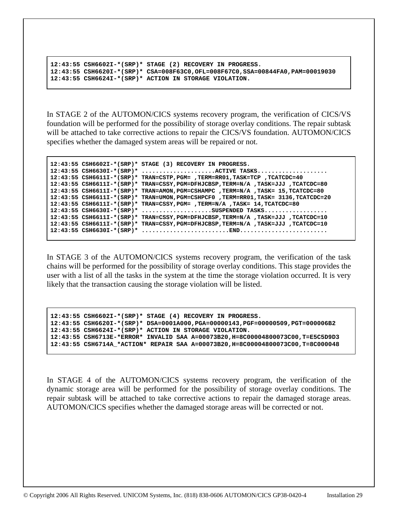```
 12:43:55 CSH6602I-*(SRP)* STAGE (2) RECOVERY IN PROGRESS. 
 12:43:55 CSH6620I-*(SRP)* CSA=008F63C0,OFL=008F67C0,SSA=00844FA0,PAM=00019030 
 12:43:55 CSH6624I-*(SRP)* ACTION IN STORAGE VIOLATION.
```
In STAGE 2 of the AUTOMON/CICS systems recovery program, the verification of CICS/VS foundation will be performed for the possibility of storage overlay conditions. The repair subtask will be attached to take corrective actions to repair the CICS/VS foundation. AUTOMON/CICS specifies whether the damaged system areas will be repaired or not.

```
 12:43:55 CSH6602I-*(SRP)* STAGE (3) RECOVERY IN PROGRESS. 
 12:43:55 CSH6630I-*(SRP)* .....................ACTIVE TASKS.................... 
 12:43:55 CSH6611I-*(SRP)* TRAN=CSTP,PGM= ,TERM=RR01,TASK=TCP ,TCATCDC=40 
 12:43:55 CSH6611I-*(SRP)* TRAN=CSSY,PGM=DFHJCBSP,TERM=N/A ,TASK=JJJ ,TCATCDC=80 
 12:43:55 CSH6611I-*(SRP)* TRAN=AMON,PGM=CSHAMPC ,TERM=N/A ,TASK= 15,TCATCDC=80 
 12:43:55 CSH6611I-*(SRP)* TRAN=UMON,PGM=CSHPCF0 ,TERM=RR01,TASK= 3136,TCATCDC=20 
 12:43:55 CSH6611I-*(SRP)* TRAN=CSSY,PGM= ,TERM=N/A ,TASK= 14,TCATCDC=80 
 12:43:55 CSH6630I-*(SRP)* ....................SUSPENDED TASKS.................. 
 12:43:55 CSH6611I-*(SRP)* TRAN=CSSY,PGM=DFHJCBSP,TERM=N/A ,TASK=JJJ ,TCATCDC=10 
 12:43:55 CSH6611I-*(SRP)* TRAN=CSSY,PGM=DFHJCBSP,TERM=N/A ,TASK=JJJ ,TCATCDC=10 
 12:43:55 CSH6630I-*(SRP)* .........................END.........................
```
In STAGE 3 of the AUTOMON/CICS systems recovery program, the verification of the task chains will be performed for the possibility of storage overlay conditions. This stage provides the user with a list of all the tasks in the system at the time the storage violation occurred. It is very likely that the transaction causing the storage violation will be listed.

```
 12:43:55 CSH6602I-*(SRP)* STAGE (4) RECOVERY IN PROGRESS. 
 12:43:55 CSH6620I-*(SRP)* DSA=0001A000,PGA=00000143,PGF=00000509,PGT=000006B2 
 12:43:55 CSH6624I-*(SRP)* ACTION IN STORAGE VIOLATION. 
 12:43:55 CSH6713E-*ERROR* INVALID SAA A=00073B20,H=8C00004800073C00,T=E5C5D9D3 
 12:43:55 CSH6714A_*ACTION* REPAIR SAA A=00073B20,H=8C00004800073C00,T=8C000048
```
In STAGE 4 of the AUTOMON/CICS systems recovery program, the verification of the dynamic storage area will be performed for the possibility of storage overlay conditions. The repair subtask will be attached to take corrective actions to repair the damaged storage areas. AUTOMON/CICS specifies whether the damaged storage areas will be corrected or not.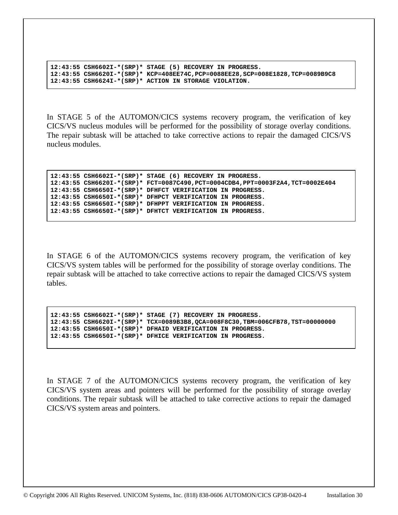```
 12:43:55 CSH6602I-*(SRP)* STAGE (5) RECOVERY IN PROGRESS. 
 12:43:55 CSH6620I-*(SRP)* KCP=408EE74C,PCP=0088EE28,SCP=008E1828,TCP=0089B9C8 
 12:43:55 CSH6624I-*(SRP)* ACTION IN STORAGE VIOLATION.
```
In STAGE 5 of the AUTOMON/CICS systems recovery program, the verification of key CICS/VS nucleus modules will be performed for the possibility of storage overlay conditions. The repair subtask will be attached to take corrective actions to repair the damaged CICS/VS nucleus modules.

```
 12:43:55 CSH6602I-*(SRP)* STAGE (6) RECOVERY IN PROGRESS. 
 12:43:55 CSH6620I-*(SRP)* FCT=0087C490,PCT=0004CDB4,PPT=0003F2A4,TCT=0002E404 
 12:43:55 CSH6650I-*(SRP)* DFHFCT VERIFICATION IN PROGRESS. 
 12:43:55 CSH6650I-*(SRP)* DFHPCT VERIFICATION IN PROGRESS. 
 12:43:55 CSH6650I-*(SRP)* DFHPPT VERIFICATION IN PROGRESS. 
 12:43:55 CSH6650I-*(SRP)* DFHTCT VERIFICATION IN PROGRESS.
```
In STAGE 6 of the AUTOMON/CICS systems recovery program, the verification of key CICS/VS system tables will be performed for the possibility of storage overlay conditions. The repair subtask will be attached to take corrective actions to repair the damaged CICS/VS system tables.

```
 12:43:55 CSH6602I-*(SRP)* STAGE (7) RECOVERY IN PROGRESS. 
 12:43:55 CSH6620I-*(SRP)* TCX=0089B3B8,QCA=008F8C30,TBM=006CFB78,TST=00000000 
 12:43:55 CSH6650I-*(SRP)* DFHAID VERIFICATION IN PROGRESS. 
 12:43:55 CSH6650I-*(SRP)* DFHICE VERIFICATION IN PROGRESS.
```
In STAGE 7 of the AUTOMON/CICS systems recovery program, the verification of key CICS/VS system areas and pointers will be performed for the possibility of storage overlay conditions. The repair subtask will be attached to take corrective actions to repair the damaged CICS/VS system areas and pointers.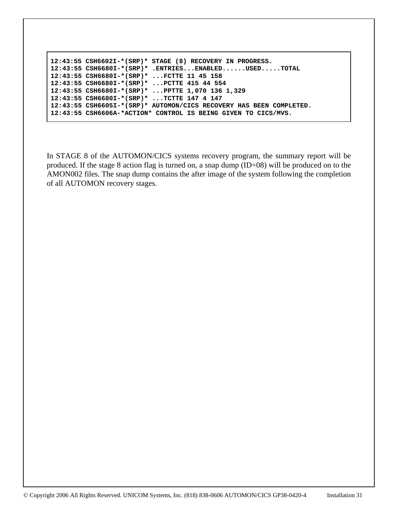```
12:43:55 CSH6602I-*(SRP)* STAGE (8) RECOVERY IN PROGRESS. 
 12:43:55 CSH6680I-*(SRP)* .ENTRIES...ENABLED......USED.....TOTAL 
 12:43:55 CSH6680I-*(SRP)* ...FCTTE 11 45 158 
 12:43:55 CSH6680I-*(SRP)* ...PCTTE 415 44 554 
 12:43:55 CSH6680I-*(SRP)* ...PPTTE 1,070 136 1,329 
 12:43:55 CSH6680I-*(SRP)* ...TCTTE 147 4 147 
 12:43:55 CSH6605I-*(SRP)* AUTOMON/CICS RECOVERY HAS BEEN COMPLETED. 
 12:43:55 CSH6606A-*ACTION* CONTROL IS BEING GIVEN TO CICS/MVS.
```
In STAGE 8 of the AUTOMON/CICS systems recovery program, the summary report will be produced. If the stage 8 action flag is turned on, a snap dump (ID=08) will be produced on to the AMON002 files. The snap dump contains the after image of the system following the completion of all AUTOMON recovery stages.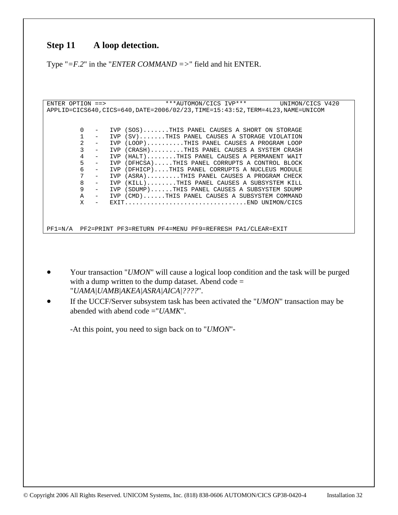# **Step 11 A loop detection.**

Type "*=F.2*" in the "*ENTER COMMAND =>*" field and hit ENTER.

```
ENTER OPTION ==> ***AUTOMON/CICS IVP*** UNIMON/CICS V420 
APPLID=CICS640,CICS=640,DATE=2006/02/23,TIME=15:43:52,TERM=4L23,NAME=UNICOM 
             0 - IVP (SOS).......THIS PANEL CAUSES A SHORT ON STORAGE 
            1 - IVP (SV).......THIS PANEL CAUSES A STORAGE VIOLATION 
            2 - IVP (LOOP)..........THIS PANEL CAUSES A PROGRAM LOOP<br>3 - TVP (CRASH) THIS PANEL CAUSES A SYSTEM CRASH
             3 - IVP (CRASH).........THIS PANEL CAUSES A SYSTEM CRASH 
           4 - IVP (HALT)........THIS PANEL CAUSES A PERMANENT WAIT<br>5 - IVP (DFHCSA).....THIS PANEL CORRUPTS A CONTROL BLOCK
                 5 - IVP (DFHCSA).....THIS PANEL CORRUPTS A CONTROL BLOCK 
           6 - IVP (DFHICP)....THIS PANEL CORRUPTS A NUCLEUS MODULE<br>7 - TVP (ASRA) THIS PANEL CAUSES A PROGRAM CHECK
               - IVP (ASRA).........THIS PANEL CAUSES A PROGRAM CHECK<br>- IVP (KILL).......THIS PANEL CAUSES A SUBSYSTEM KILL
           8 - IVP (KILL)........THIS PANEL CAUSES A SUBSYSTEM KILL<br>9 - IVP (SDUMP)......THIS PANEL CAUSES A SUBSYSTEM SDUMP
                - IVP (SDUMP)......THIS PANEL CAUSES A SUBSYSTEM SDUMP<br>- IVP (CMD)......THIS PANEL CAUSES A SUBSYSTEM COMMAND
            A - IVP (CMD)......THIS PANEL CAUSES A SUBSYSTEM COMMAND 
                       X - EXIT.................................END UNIMON/CICS 
PF1=N/A PF2=PRINT PF3=RETURN PF4=MENU PF9=REFRESH PA1/CLEAR=EXIT
```
- Your transaction "*UMON*" will cause a logical loop condition and the task will be purged with a dump written to the dump dataset. Abend  $code =$ "*UAMA|UAMB|AKEA|ASRA|AICA|????*".
- If the UCCF/Server subsystem task has been activated the "*UMON*" transaction may be abended with abend code ="*UAMK*".

-At this point, you need to sign back on to "*UMON*"-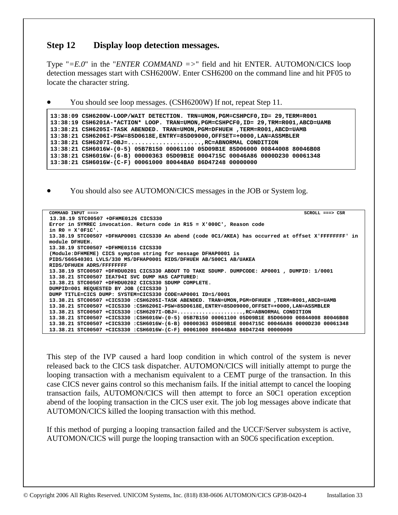### **Step 12 Display loop detection messages.**

Type " $=E.0$ " in the "*ENTER COMMAND* =>" field and hit ENTER. AUTOMON/CICS loop detection messages start with CSH6200W. Enter CSH6200 on the command line and hit PF05 to locate the character string.

• You should see loop messages. (CSH6200W) If not, repeat Step 11.

```
 13:38:09 CSH6200W-LOOP/WAIT DETECTION. TRN=UMON,PGM=CSHPCF0,ID= 29,TERM=R001 
 13:38:19 CSH6201A-*ACTION* LOOP. TRAN=UMON,PGM=CSHPCF0,ID= 29,TRM=R001,ABCD=UAMB 
 13:38:21 CSH6205I-TASK ABENDED. TRAN=UMON,PGM=DFHUEH ,TERM=R001,ABCD=UAMB 
 13:38:21 CSH6206I-PSW=85D0618E,ENTRY=85D09000,OFFSET=+0000,LAN=ASSMBLER 
 13:38:21 CSH6207I-OBJ=.....................,RC=ABNORMAL CONDITION 
 13:38:21 CSH6016W-(0-5) 05B7B150 00061100 05D09B1E 85D06000 00844008 80046B08 
 13:38:21 CSH6016W-(6-B) 00000363 05D09B1E 0004715C 00046A86 0000D230 00061348 
 13:38:21 CSH6016W-(C-F) 00061000 80044BA0 86D47248 00000000
```
• You should also see AUTOMON/CICS messages in the JOB or System log.

| COMMAND INPUT $==$<br>$SCROLL ==-> CSR$                                                             |
|-----------------------------------------------------------------------------------------------------|
| 13.38.19 STC00507 +DFHME0126 CICS330                                                                |
| Error in SYMREC invocation. Return code in R15 = X'000C', Reason code                               |
| in $RO = X'0F1C'$ .                                                                                 |
| 13.38.19 STC00507 +DFHAP0001 CICS330 An abend (code 0C1/AKEA) has occurred at offset X'FFFFFFFF' in |
| module DFHUEH.                                                                                      |
| 13.38.19 STC00507 +DFHME0116 CICS330                                                                |
| (Module:DFHMEME) CICS symptom string for message DFHAP0001 is                                       |
| PIDS/566540301 LVLS/330 MS/DFHAP0001 RIDS/DFHUEH AB/S00C1 AB/UAKEA                                  |
| RIDS/DFHUEH ADRS/FFFFFFFFF                                                                          |
| 13.38.19 STC00507 +DFHDU0201 CICS330 ABOUT TO TAKE SDUMP. DUMPCODE: AP0001, DUMPID: 1/0001          |
| 13.38.21 STC00507 IEA794I SVC DUMP HAS CAPTURED:                                                    |
| 13.38.21 STC00507 +DFHDU0202 CICS330 SDUMP COMPLETE.                                                |
| DUMPID=001 REQUESTED BY JOB (CICS330)                                                               |
| DUMP TITLE=CICS DUMP: SYSTEM=CICS330 CODE=AP0001 ID=1/0001                                          |
| 13.38.21 STC00507 +CICS330 :CSH6205I-TASK ABENDED. TRAN=UMON, PGM=DFHUEH ,TERM=R001, ABCD=UAMB      |
| 13.38.21 STC00507 +CICS330 :CSH6206I-PSW=85D0618E,ENTRY=85D09000,OFFSET=+0000,LAN=ASSMBLER          |
| $13.38.21$ STC00507 +CICS330 :CSH6207I-OBJ=RC=ABNORMAL CONDITION                                    |
| 13.38.21 STC00507 +CICS330 :CSH6016W-(0-5) 05B7B150 00061100 05D09B1E 85D06000 00844008 80046B08    |
| 13.38.21 STC00507 +CICS330 :CSH6016W-(6-B) 00000363 05D09B1E 0004715C 00046A86 0000D230 00061348    |
| 13.38.21 STC00507 +CICS330 :CSH6016W-(C-F) 00061000 80044BA0 86D47248 00000000                      |

This step of the IVP caused a hard loop condition in which control of the system is never released back to the CICS task dispatcher. AUTOMON/CICS will initially attempt to purge the looping transaction with a mechanism equivalent to a CEMT purge of the transaction. In this case CICS never gains control so this mechanism fails. If the initial attempt to cancel the looping transaction fails, AUTOMON/CICS will then attempt to force an S0C1 operation exception abend of the looping transaction in the CICS user exit. The job log messages above indicate that AUTOMON/CICS killed the looping transaction with this method.

If this method of purging a looping transaction failed and the UCCF/Server subsystem is active, AUTOMON/CICS will purge the looping transaction with an S0C6 specification exception.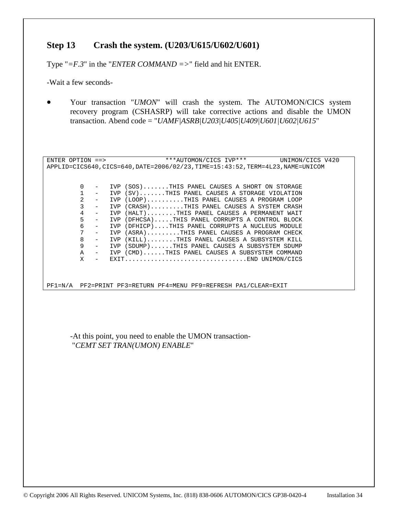### **Step 13 Crash the system. (U203/U615/U602/U601)**

Type "*=F.3*" in the "*ENTER COMMAND =>*" field and hit ENTER.

-Wait a few seconds-

• Your transaction "*UMON*" will crash the system. The AUTOMON/CICS system recovery program (CSHASRP) will take corrective actions and disable the UMON transaction. Abend code = "*UAMF|ASRB|U203|U405|U409|U601|U602|U615*"

ENTER OPTION ==> \*\*\*AUTOMON/CICS IVP\*\*\* UNIMON/CICS V420 APPLID=CICS640,CICS=640,DATE=2006/02/23,TIME=15:43:52,TERM=4L23,NAME=UNICOM 0 - IVP (SOS).......THIS PANEL CAUSES A SHORT ON STORAGE 1 - IVP (SV).......THIS PANEL CAUSES A STORAGE VIOLATION 2 - IVP (LOOP)..........THIS PANEL CAUSES A PROGRAM LOOP<br>3 - IVP (CRASH).........THIS PANEL CAUSES A SYSTEM CRASH IVP (CRASH)........THIS PANEL CAUSES A SYSTEM CRASH 4 - IVP (HALT)........THIS PANEL CAUSES A PERMANENT WAIT<br>5 - IVP (DFHCSA)....THIS PANEL CORRUPTS A CONTROL BLOCK IVP (DFHCSA).....THIS PANEL CORRUPTS A CONTROL BLOCK 6 - IVP (DFHICP)....THIS PANEL CORRUPTS A NUCLEUS MODULE<br>7 - TVP (ASRA) THIS PANEL CAUSES A PROGRAM CHECK IVP (ASRA)........THIS PANEL CAUSES A PROGRAM CHECK 8 - IVP (KILL)........THIS PANEL CAUSES A SUBSYSTEM KILL<br>9 - TVP (SDIMP) THIS PANEL CAUSES A SUBSYSTEM SDIMP - IVP (SDUMP)......THIS PANEL CAUSES A SUBSYSTEM SDUMP A - IVP (CMD)......THIS PANEL CAUSES A SUBSYSTEM COMMAND X - EXIT.................................END UNIMON/CICS PF1=N/A PF2=PRINT PF3=RETURN PF4=MENU PF9=REFRESH PA1/CLEAR=EXIT

-At this point, you need to enable the UMON transaction- "*CEMT SET TRAN(UMON) ENABLE*"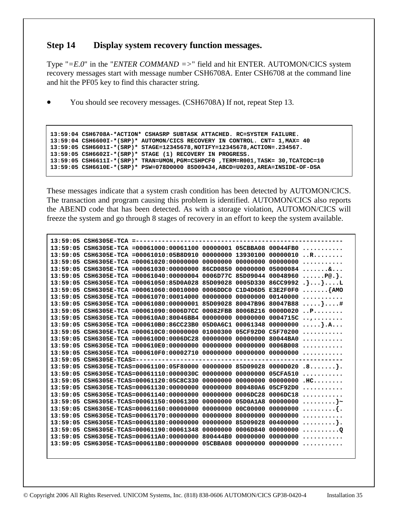### **Step 14 Display system recovery function messages.**

Type "*=E.0*" in the "*ENTER COMMAND =>*" field and hit ENTER. AUTOMON/CICS system recovery messages start with message number CSH6708A. Enter CSH6708 at the command line and hit the PF05 key to find this character string.

• You should see recovery messages. (CSH6708A) If not, repeat Step 13.

```
 13:59:04 CSH6708A-*ACTION* CSHASRP SUBTASK ATTACHED. RC=SYSTEM FAILURE. 
 13:59:04 CSH6600I-*(SRP)* AUTOMON/CICS RECOVERY IN CONTROL. CNT= 1,MAX= 40 
 13:59:05 CSH6601I-*(SRP)* STAGE=12345678,NOTIFY=12345678,ACTION=.234567. 
 13:59:05 CSH6602I-*(SRP)* STAGE (1) RECOVERY IN PROGRESS. 
 13:59:05 CSH6611I-*(SRP)* TRAN=UMON,PGM=CSHPCF0 ,TERM=R001,TASK= 30,TCATCDC=10 
 13:59:05 CSH6610E-*(SRP)* PSW=078D0000 85D09434,ABCD=U0203,AREA=INSIDE-OF-DSA
```
These messages indicate that a system crash condition has been detected by AUTOMON/CICS. The transaction and program causing this problem is identified. AUTOMON/CICS also reports the ABEND code that has been detected. As with a storage violation, AUTOMON/CICS will freeze the system and go through 8 stages of recovery in an effort to keep the system available.

| $13:59:05$ CSH6305E-TCA =------- |                                                                          |                |                   |                   |                                      |
|----------------------------------|--------------------------------------------------------------------------|----------------|-------------------|-------------------|--------------------------------------|
|                                  | 13:59:05 CSH6305E-TCA =00061000:00061100 00000001 05CBBA08 00044FB0      |                |                   |                   | .                                    |
|                                  | 13:59:05 CSH6305E-TCA =00061010:05B8D910 00000000 13930100               |                |                   | 00000010          | $\cdot$ . R.                         |
|                                  | 13:59:05 CSH6305E-TCA =00061020:00000000                                 | 00000000       | 00000000          | 00000000          | .                                    |
|                                  | 13:59:05 CSH6305E-TCA =00061030:00000000 86CD0850                        |                | 00000000          | 05000084          | . &                                  |
|                                  | 13:59:05 CSH6305E-TCA =00061040:00000004 0006D77C 85D09044 00048960      |                |                   |                   | $\ldots$ . P@. $\}$ .                |
|                                  | 13:59:05 CSH6305E-TCA =00061050:85D0A028 85D09028                        |                | 0005D330          | 86CC9992          | $\{\cdot\},\ldots\} \ldots \ldots L$ |
|                                  | 13:59:05 CSH6305E-TCA =00061060:00010000                                 | $0006$ DDC $0$ | C1D4D6D5 E3E2F0F0 |                   | $\ldots \ldots \}$ AMO               |
|                                  | 13:59:05 CSH6305E-TCA =00061070:00014000                                 | 00000000       | 00000000          | 00140000          | .                                    |
|                                  | 13:59:05 CSH6305E-TCA =00061080:00000001 85D09028                        |                | 80047B96 80047B88 |                   | $\ldots\ldots\} \ldots$              |
|                                  | 13:59:05 CSH6305E-TCA =00061090:0006D7CC 00082FBB                        |                | 8006B216 0000D020 |                   | $\cdot$ . P.                         |
|                                  | 13:59:05 CSH6305E-TCA =000610A0:80046BB4 00000000                        |                | 00000000          | 0004715C          | .                                    |
|                                  | 13:59:05 CSH6305E-TCA =000610B0:86CC23B0                                 | 05D0A6C1       | 00061348          | 00000000          | $\ldots$                             |
|                                  | $13:59:05$ CSH6305E-TCA =000610C0:00000000                               | 01000300       |                   | 05CF92D0 C5F70200 | .                                    |
|                                  | 13:59:05 CSH6305E-TCA =000610D0:0006DC28                                 | 00000000       | 00000000 80044BA0 |                   | .                                    |
|                                  | 13:59:05 CSH6305E-TCA =000610E0:00000000                                 | 00000000       | 00000000          | 0006B008          | .                                    |
|                                  | 13:59:05 CSH6305E-TCA =000610F0:00002710 00000000                        |                | 00000000          | 00000000          | .                                    |
|                                  | 13:59:05 CSH6305E-TCAS=---------------                                   |                |                   |                   |                                      |
|                                  | 13:59:05 CSH6305E-TCAS=00061100:05F80000 00000000 85D09028 0000D020 .8}. |                |                   |                   |                                      |
|                                  | 13:59:05 CSH6305E-TCAS=00061110:0000030C                                 | 00000000       | 00000000          | 05CFA510          | .                                    |
|                                  | 13:59:05 CSH6305E-TCAS=00061120:05C8C330                                 | 00000000       | 00000000          | 00000000          | $H C. \ldots \ldots$                 |
|                                  | 13:59:05 CSH6305E-TCAS=00061130:00000000                                 | 00000000       | 800480A6          | 05CF92D0          | .                                    |
|                                  | 13:59:05 CSH6305E-TCAS=00061140:00000000                                 | 00000000       | 0006DC28          | 0006DC18          | .                                    |
|                                  | 13:59:05 CSH6305E-TCAS=00061150:00061300                                 | 00000000       | 05D0A1A8          | 00000000          | $\ldots \ldots \}$ ~                 |
|                                  | 13:59:05 CSH6305E-TCAS=00061160:00000000                                 | 00000000       | 00C00000          | 00000000          | . { .                                |
|                                  | 13:59:05 CSH6305E-TCAS=00061170:00000000                                 | 00000000       | 80000000          | 00000000          | .                                    |
|                                  | 13:59:05 CSH6305E-TCAS=00061180:00000000                                 | 00000000       | 85D09028          | 00400000          | . } .                                |
|                                  | 13:59:05 CSH6305E-TCAS=00061190:00061348                                 | 00000000       | 0006D840          | 00000000          | . 0                                  |
|                                  | 13:59:05 CSH6305E-TCAS=000611A0:00000000                                 | 800444B0       | 00000000          | 00000000          | .                                    |
|                                  | 13:59:05 CSH6305E-TCAS=000611B0:00000000                                 | 05CBBA08       | 00000000          | 00000000          | .                                    |
|                                  |                                                                          |                |                   |                   |                                      |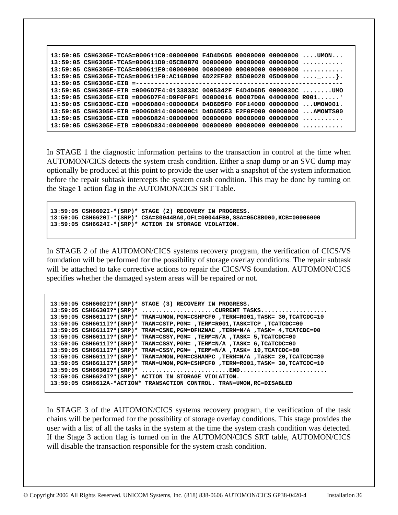| 13:59:05 CSH6305E-TCAS=000611C0:00000000 E4D4D6D5 00000000 00000000 UMON      |  |
|-------------------------------------------------------------------------------|--|
|                                                                               |  |
|                                                                               |  |
| 13:59:05 CSH6305E-TCAS=000611F0:AC16BD90 6D22EF02 85D09028 05D09000 }         |  |
|                                                                               |  |
| 13:59:05 CSH6305E-EIB =0006D7E4:0133833C 0095342F E4D4D6D5 0000030C UMO       |  |
| $13:59:05$ CSH6305E-EIB =0006D7F4:D9F0F0F1 00000016 00007D0A 04000000 R001'   |  |
| 13:59:05 CSH6305E-EIB =0006D804:000000E4 D4D6D5F0 F0F14000 00000000  UMON001. |  |
| 13:59:05 CSH6305E-EIB =0006D814:000000C1 D4D6D5E3 E2F0F000 00000000 AMONTS00  |  |
|                                                                               |  |
|                                                                               |  |
|                                                                               |  |

In STAGE 1 the diagnostic information pertains to the transaction in control at the time when AUTOMON/CICS detects the system crash condition. Either a snap dump or an SVC dump may optionally be produced at this point to provide the user with a snapshot of the system information before the repair subtask intercepts the system crash condition. This may be done by turning on the Stage 1 action flag in the AUTOMON/CICS SRT Table.

 **13:59:05 CSH6602I-\*(SRP)\* STAGE (2) RECOVERY IN PROGRESS. 13:59:05 CSH6620I-\*(SRP)\* CSA=80044BA0,OFL=00044FB0,SSA=05C8B000,KCB=00006000 13:59:05 CSH6624I-\*(SRP)\* ACTION IN STORAGE VIOLATION.** 

In STAGE 2 of the AUTOMON/CICS systems recovery program, the verification of CICS/VS foundation will be performed for the possibility of storage overlay conditions. The repair subtask will be attached to take corrective actions to repair the CICS/VS foundation. AUTOMON/CICS specifies whether the damaged system areas will be repaired or not.

```
 13:59:05 CSH6602I?*(SRP)* STAGE (3) RECOVERY IN PROGRESS. 
 13:59:05 CSH6630I?*(SRP)* .....................CURRENT TASKS................... 
 13:59:05 CSH6611I?*(SRP)* TRAN=UMON,PGM=CSHPCF0 ,TERM=R001,TASK= 30,TCATCDC=10 
 13:59:05 CSH6611I?*(SRP)* TRAN=CSTP,PGM= ,TERM=R001,TASK=TCP ,TCATCDC=00 
 13:59:05 CSH6611I?*(SRP)* TRAN=CSNE,PGM=DFHZNAC ,TERM=N/A ,TASK= 4,TCATCDC=00 
 13:59:05 CSH6611I?*(SRP)* TRAN=CSSY,PGM= ,TERM=N/A ,TASK= 5,TCATCDC=00 
 13:59:05 CSH6611I?*(SRP)* TRAN=CSSY,PGM= ,TERM=N/A ,TASK= 6,TCATCDC=00 
 13:59:05 CSH6611I?*(SRP)* TRAN=CSSY,PGM= ,TERM=N/A ,TASK= 19,TCATCDC=80 
 13:59:05 CSH6611I?*(SRP)* TRAN=AMON,PGM=CSHAMPC ,TERM=N/A ,TASK= 20,TCATCDC=80 
 13:59:05 CSH6611I?*(SRP)* TRAN=UMON,PGM=CSHPCF0 ,TERM=R001,TASK= 30,TCATCDC=10 
 13:59:05 CSH6630I?*(SRP)* .........................END......................... 
 13:59:05 CSH6624I?*(SRP)* ACTION IN STORAGE VIOLATION. 
 13:59:05 CSH6612A-*ACTION* TRANSACTION CONTROL. TRAN=UMON,RC=DISABLED
```
In STAGE 3 of the AUTOMON/CICS systems recovery program, the verification of the task chains will be performed for the possibility of storage overlay conditions. This stage provides the user with a list of all the tasks in the system at the time the system crash condition was detected. If the Stage 3 action flag is turned on in the AUTOMON/CICS SRT table, AUTOMON/CICS will disable the transaction responsible for the system crash condition.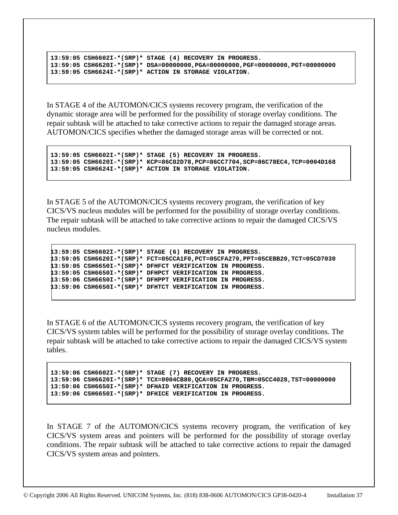```
 13:59:05 CSH6602I-*(SRP)* STAGE (4) RECOVERY IN PROGRESS. 
 13:59:05 CSH6620I-*(SRP)* DSA=00000000,PGA=00000000,PGF=00000000,PGT=00000000 
 13:59:05 CSH6624I-*(SRP)* ACTION IN STORAGE VIOLATION.
```
In STAGE 4 of the AUTOMON/CICS systems recovery program, the verification of the dynamic storage area will be performed for the possibility of storage overlay conditions. The repair subtask will be attached to take corrective actions to repair the damaged storage areas. AUTOMON/CICS specifies whether the damaged storage areas will be corrected or not.

```
 13:59:05 CSH6602I-*(SRP)* STAGE (5) RECOVERY IN PROGRESS. 
 13:59:05 CSH6620I-*(SRP)* KCP=86C82D78,PCP=86CC7704,SCP=86C78EC4,TCP=0004D168 
 13:59:05 CSH6624I-*(SRP)* ACTION IN STORAGE VIOLATION.
```
In STAGE 5 of the AUTOMON/CICS systems recovery program, the verification of key CICS/VS nucleus modules will be performed for the possibility of storage overlay conditions. The repair subtask will be attached to take corrective actions to repair the damaged CICS/VS nucleus modules.

```
 13:59:05 CSH6602I-*(SRP)* STAGE (6) RECOVERY IN PROGRESS. 
 13:59:05 CSH6620I-*(SRP)* FCT=05CCA1F0,PCT=05CFA270,PPT=05CEBB20,TCT=05CD7030 
 13:59:05 CSH6650I-*(SRP)* DFHFCT VERIFICATION IN PROGRESS. 
 13:59:05 CSH6650I-*(SRP)* DFHPCT VERIFICATION IN PROGRESS. 
 13:59:06 CSH6650I-*(SRP)* DFHPPT VERIFICATION IN PROGRESS. 
 13:59:06 CSH6650I-*(SRP)* DFHTCT VERIFICATION IN PROGRESS.
```
In STAGE 6 of the AUTOMON/CICS systems recovery program, the verification of key CICS/VS system tables will be performed for the possibility of storage overlay conditions. The repair subtask will be attached to take corrective actions to repair the damaged CICS/VS system tables.

```
 13:59:06 CSH6602I-*(SRP)* STAGE (7) RECOVERY IN PROGRESS. 
 13:59:06 CSH6620I-*(SRP)* TCX=0004CB80,QCA=05CFA270,TBM=05CC4028,TST=00000000 
 13:59:06 CSH6650I-*(SRP)* DFHAID VERIFICATION IN PROGRESS. 
 13:59:06 CSH6650I-*(SRP)* DFHICE VERIFICATION IN PROGRESS.
```
In STAGE 7 of the AUTOMON/CICS systems recovery program, the verification of key CICS/VS system areas and pointers will be performed for the possibility of storage overlay conditions. The repair subtask will be attached to take corrective actions to repair the damaged CICS/VS system areas and pointers.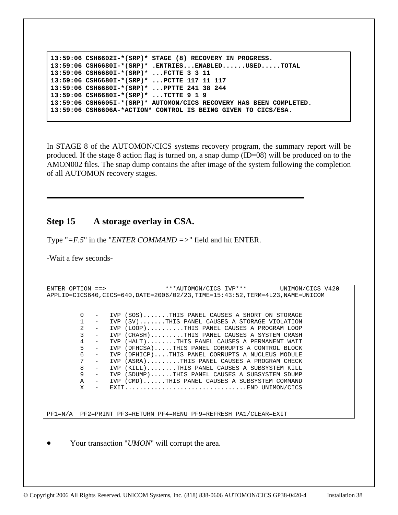```
 13:59:06 CSH6602I-*(SRP)* STAGE (8) RECOVERY IN PROGRESS. 
 13:59:06 CSH6680I-*(SRP)* .ENTRIES...ENABLED......USED.....TOTAL 
 13:59:06 CSH6680I-*(SRP)* ...FCTTE 3 3 11 
 13:59:06 CSH6680I-*(SRP)* ...PCTTE 117 11 117 
 13:59:06 CSH6680I-*(SRP)* ...PPTTE 241 38 244 
 13:59:06 CSH6680I-*(SRP)* ...TCTTE 9 1 9 
 13:59:06 CSH6605I-*(SRP)* AUTOMON/CICS RECOVERY HAS BEEN COMPLETED. 
 13:59:06 CSH6606A-*ACTION* CONTROL IS BEING GIVEN TO CICS/ESA.
```
In STAGE 8 of the AUTOMON/CICS systems recovery program, the summary report will be produced. If the stage 8 action flag is turned on, a snap dump (ID=08) will be produced on to the AMON002 files. The snap dump contains the after image of the system following the completion of all AUTOMON recovery stages.

# **Step 15 A storage overlay in CSA.**

Type "*=F.5*" in the "*ENTER COMMAND =>*" field and hit ENTER.

-Wait a few seconds-

```
ENTER OPTION ==> ***AUTOMON/CICS IVP*** UNIMON/CICS V420
APPLID=CICS640,CICS=640,DATE=2006/02/23,TIME=15:43:52,TERM=4L23,NAME=UNICOM 
           0 - IVP (SOS).......THIS PANEL CAUSES A SHORT ON STORAGE 
          1 - IVP (SV).......THIS PANEL CAUSES A STORAGE VIOLATION<br>2 - IVP (LOOP).........THIS PANEL CAUSES A PROGRAM LOOP
                 IVP (LOOP).........THIS PANEL CAUSES A PROGRAM LOOP
           3 - IVP (CRASH).........THIS PANEL CAUSES A SYSTEM CRASH 
           4 - IVP (HALT)........THIS PANEL CAUSES A PERMANENT WAIT 
           5 - IVP (DFHCSA).....THIS PANEL CORRUPTS A CONTROL BLOCK 
           6 - IVP (DFHICP)....THIS PANEL CORRUPTS A NUCLEUS MODULE 
           7 - IVP (ASRA).........THIS PANEL CAUSES A PROGRAM CHECK 
          8 - IVP (KILL)........THIS PANEL CAUSES A SUBSYSTEM KILL<br>9 - TVP (SDIMP) THIS PANEL CAUSES A SUBSYSTEM SDIMP
              - IVP (SDUMP)......THIS PANEL CAUSES A SUBSYSTEM SDUMP<br>- IVP (CMD) THIS PANEL CAUSES A SUBSYSTEM COMMAND
           A - IVP (CMD)......THIS PANEL CAUSES A SUBSYSTEM COMMAND 
           X - EXIT.................................END UNIMON/CICS 
PF1=N/A PF2=PRINT PF3=RETURN PF4=MENU PF9=REFRESH PA1/CLEAR=EXIT 
       Your transaction "UMON" will corrupt the area.
```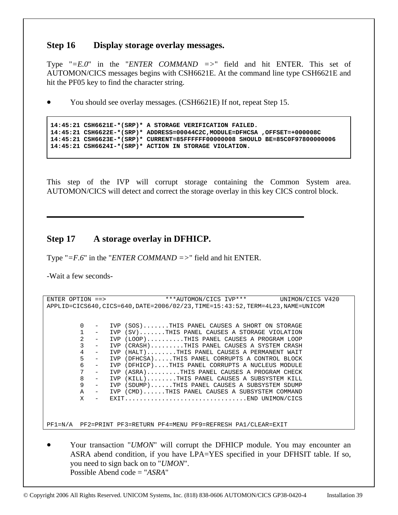# **Step 16 Display storage overlay messages.**

Type "*=E.0*" in the "*ENTER COMMAND =>*" field and hit ENTER. This set of AUTOMON/CICS messages begins with CSH6621E. At the command line type CSH6621E and hit the PF05 key to find the character string.

• You should see overlay messages. (CSH6621E) If not, repeat Step 15.

```
 14:45:21 CSH6621E-*(SRP)* A STORAGE VERIFICATION FAILED. 
 14:45:21 CSH6622E-*(SRP)* ADDRESS=00044C2C,MODULE=DFHCSA ,OFFSET=+000008C 
 14:45:21 CSH6623E-*(SRP)* CURRENT=85FFFFFF00000008 SHOULD BE=85C0F97800000006 
 14:45:21 CSH6624I-*(SRP)* ACTION IN STORAGE VIOLATION.
```
This step of the IVP will corrupt storage containing the Common System area. AUTOMON/CICS will detect and correct the storage overlay in this key CICS control block.

# **Step 17 A storage overlay in DFHICP.**

Type "*=F.6*" in the "*ENTER COMMAND =>*" field and hit ENTER.

-Wait a few seconds-

```
ENTER OPTION ==> ***AUTOMON/CICS IVP*** UNIMON/CICS V420
APPLID=CICS640,CICS=640,DATE=2006/02/23,TIME=15:43:52,TERM=4L23,NAME=UNICOM 
           0 - IVP (SOS).......THIS PANEL CAUSES A SHORT ON STORAGE 
          1 - IVP (SV).......THIS PANEL CAUSES A STORAGE VIOLATION<br>2 - TVP (LOOP) THIS PANEL CAUSES A PROGRAM LOOP
                 IVP (LOOP).........THIS PANEL CAUSES A PROGRAM LOOP
          3 - IVP (CRASH).........THIS PANEL CAUSES A SYSTEM CRASH<br>4 - TVP (HALT)........THIS PANEL CAUSES A PERMANENT WATT
              - IVP (HALT).......THIS PANEL CAUSES A PERMANENT WAIT
           5 - IVP (DFHCSA).....THIS PANEL CORRUPTS A CONTROL BLOCK 
              - IVP (DFHICP)....THIS PANEL CORRUPTS A NUCLEUS MODULE
           7 - IVP (ASRA).........THIS PANEL CAUSES A PROGRAM CHECK 
          8 - IVP (KILL)........THIS PANEL CAUSES A SUBSYSTEM KILL<br>9 - TVP (SDIMP) - THIS PANEL CAUSES A SUBSYSTEM SDIMP
                 IVP (SDUMP)......THIS PANEL CAUSES A SUBSYSTEM SDUMP
           A - IVP (CMD)......THIS PANEL CAUSES A SUBSYSTEM COMMAND 
           X - EXIT.................................END UNIMON/CICS 
PF1=N/A PF2=PRINT PF3=RETURN PF4=MENU PF9=REFRESH PA1/CLEAR=EXIT
```
• Your transaction "*UMON*" will corrupt the DFHICP module. You may encounter an ASRA abend condition, if you have LPA=YES specified in your DFHSIT table. If so, you need to sign back on to "*UMON*". Possible Abend code = "*ASRA*"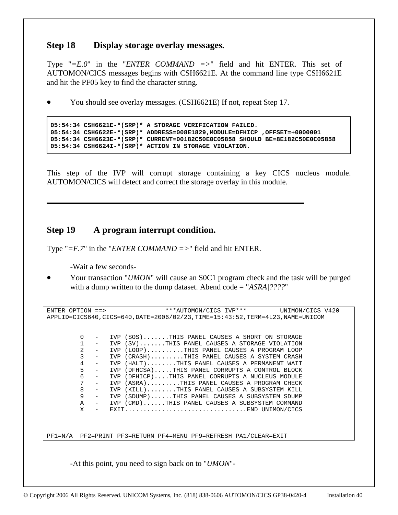# **Step 18 Display storage overlay messages.**

Type "*=E.0*" in the "*ENTER COMMAND =>*" field and hit ENTER. This set of AUTOMON/CICS messages begins with CSH6621E. At the command line type CSH6621E and hit the PF05 key to find the character string.

• You should see overlay messages. (CSH6621E) If not, repeat Step 17.

```
 05:54:34 CSH6621E-*(SRP)* A STORAGE VERIFICATION FAILED. 
 05:54:34 CSH6622E-*(SRP)* ADDRESS=008E1829,MODULE=DFHICP ,OFFSET=+0000001 
 05:54:34 CSH6623E-*(SRP)* CURRENT=00182C50E0C05858 SHOULD BE=8E182C50E0C05858 
 05:54:34 CSH6624I-*(SRP)* ACTION IN STORAGE VIOLATION.
```
This step of the IVP will corrupt storage containing a key CICS nucleus module. AUTOMON/CICS will detect and correct the storage overlay in this module.

# **Step 19 A program interrupt condition.**

Type "*=F.7*" in the "*ENTER COMMAND =>*" field and hit ENTER.

-Wait a few seconds-

• Your transaction "*UMON*" will cause an S0C1 program check and the task will be purged with a dump written to the dump dataset. Abend code = "*ASRA|????*"

ENTER OPTION ==> \*\*\*AUTOMON/CICS IVP\*\*\* UNIMON/CICS V420 APPLID=CICS640,CICS=640,DATE=2006/02/23,TIME=15:43:52,TERM=4L23,NAME=UNICOM 0 - IVP (SOS).......THIS PANEL CAUSES A SHORT ON STORAGE 1 - IVP (SV).......THIS PANEL CAUSES A STORAGE VIOLATION 2 - IVP (LOOP)..........THIS PANEL CAUSES A PROGRAM LOOP 3 - IVP (CRASH).........THIS PANEL CAUSES A SYSTEM CRASH 4 - IVP (HALT)........THIS PANEL CAUSES A PERMANENT WAIT 5 - IVP (DFHCSA).....THIS PANEL CORRUPTS A CONTROL BLOCK 6 - IVP (DFHICP)....THIS PANEL CORRUPTS A NUCLEUS MODULE<br>7 - IVP (ASRA)........THIS PANEL CAUSES A PROGRAM CHECK 7 - IVP (ASRA).........THIS PANEL CAUSES A PROGRAM CHECK 8 - IVP (KILL)........THIS PANEL CAUSES A SUBSYSTEM KILL<br>9 - IVP (SDUMP)......THIS PANEL CAUSES A SUBSYSTEM SDUMP 9 - IVP (SDUMP)......THIS PANEL CAUSES A SUBSYSTEM SDUMP A - IVP (CMD)......THIS PANEL CAUSES A SUBSYSTEM COMMAND IVP (CMD)......THIS PANEL CAUSES A SUBSYSTEM COMMAND X - EXIT.................................END UNIMON/CICS PF1=N/A PF2=PRINT PF3=RETURN PF4=MENU PF9=REFRESH PA1/CLEAR=EXIT

-At this point, you need to sign back on to "*UMON*"-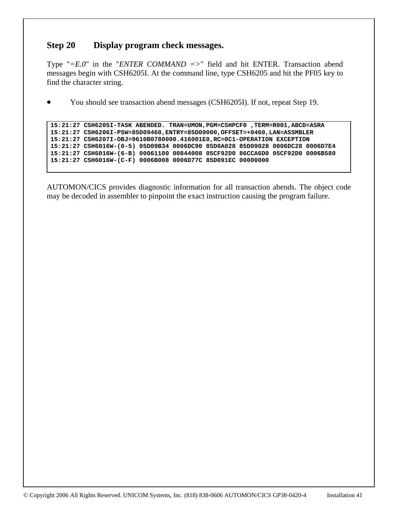# **Step 20 Display program check messages.**

Type "*=E.0*" in the "*ENTER COMMAND =>*" field and hit ENTER. Transaction abend messages begin with CSH6205I. At the command line, type CSH6205 and hit the PF05 key to find the character string.

• You should see transaction abend messages (CSH6205I). If not, repeat Step 19.

```
 15:21:27 CSH6205I-TASK ABENDED. TRAN=UMON,PGM=CSHPCF0 ,TERM=R001,ABCD=ASRA 
 15:21:27 CSH6206I-PSW=85D09460,ENTRY=85D09000,OFFSET=+0460,LAN=ASSMBLER 
 15:21:27 CSH6207I-OBJ=9610B0780000.416001E0,RC=0C1-OPERATION EXCEPTION 
 15:21:27 CSH6016W-(0-5) 05D09B34 0006DC90 85D0A028 85D09028 0006DC28 0006D7E4 
 15:21:27 CSH6016W-(6-B) 00061100 00844008 05CF92D0 86CCA6D0 05CF92D0 0006B580 
 15:21:27 CSH6016W-(C-F) 0006B008 0006D77C 85D091EC 00000000
```
AUTOMON/CICS provides diagnostic information for all transaction abends. The object code may be decoded in assembler to pinpoint the exact instruction causing the program failure.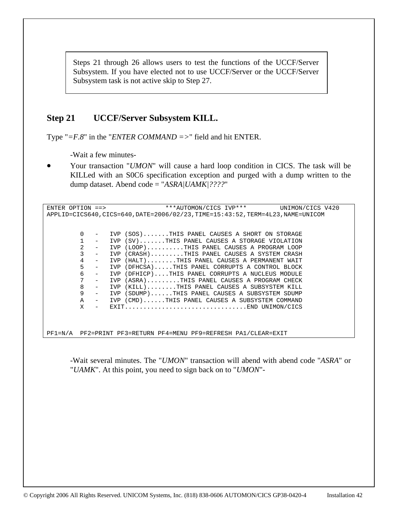Steps 21 through 26 allows users to test the functions of the UCCF/Server Subsystem. If you have elected not to use UCCF/Server or the UCCF/Server Subsystem task is not active skip to Step 27.

# **Step 21 UCCF/Server Subsystem KILL.**

Type "*=F.8*" in the "*ENTER COMMAND =>*" field and hit ENTER.

-Wait a few minutes-

• Your transaction "*UMON*" will cause a hard loop condition in CICS. The task will be KILLed with an S0C6 specification exception and purged with a dump written to the dump dataset. Abend code = "*ASRA|UAMK|????*"

| ENTER OPTION $==$ |                   | ***AUTOMON/CICS IVP***<br>UNIMON/CICS V420                                  |  |
|-------------------|-------------------|-----------------------------------------------------------------------------|--|
|                   |                   | APPLID=CICS640,CICS=640,DATE=2006/02/23,TIME=15:43:52,TERM=4L23,NAME=UNICOM |  |
|                   |                   |                                                                             |  |
|                   |                   |                                                                             |  |
| 0                 |                   | IVP (SOS)THIS PANEL CAUSES A SHORT ON STORAGE                               |  |
|                   | $\qquad \qquad -$ | IVP (SV)THIS PANEL CAUSES A STORAGE VIOLATION                               |  |
| 2                 |                   | (LOOP)THIS PANEL CAUSES A PROGRAM LOOP<br>IVP                               |  |
| 3                 | $\qquad \qquad -$ | (CRASH)THIS PANEL CAUSES A SYSTEM CRASH<br>IVP                              |  |
| 4                 | $\qquad \qquad -$ | IVP (HALT)THIS PANEL CAUSES A PERMANENT WAIT                                |  |
| 5                 |                   | (DFHCSA)THIS PANEL CORRUPTS A CONTROL BLOCK<br>IVP                          |  |
| 6                 |                   | IVP (DFHICP)THIS PANEL CORRUPTS A NUCLEUS MODULE                            |  |
| 7                 |                   | IVP (ASRA)THIS PANEL CAUSES A PROGRAM CHECK                                 |  |
| 8                 | $\qquad \qquad -$ | IVP (KILL)THIS PANEL CAUSES A SUBSYSTEM KILL                                |  |
| 9                 | $-$               | IVP (SDUMP)THIS PANEL CAUSES A SUBSYSTEM SDUMP                              |  |
| $\mathbb A$       | $-$               | IVP (CMD)THIS PANEL CAUSES A SUBSYSTEM COMMAND                              |  |
| X                 |                   | EXITEND UNIMON/CICS                                                         |  |
|                   |                   |                                                                             |  |
|                   |                   |                                                                             |  |

PF1=N/A PF2=PRINT PF3=RETURN PF4=MENU PF9=REFRESH PA1/CLEAR=EXIT

-Wait several minutes. The "*UMON*" transaction will abend with abend code "*ASRA*" or "*UAMK*". At this point, you need to sign back on to "*UMON*"-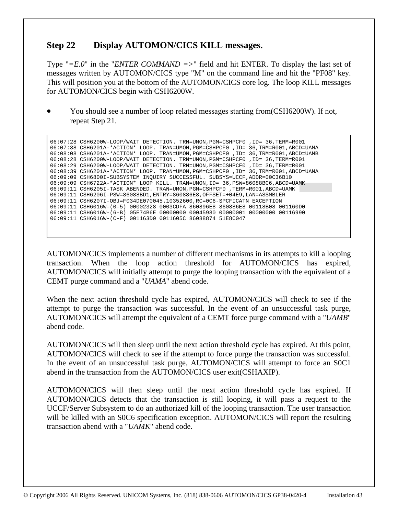# **Step 22 Display AUTOMON/CICS KILL messages.**

Type " $=E.0$ " in the "*ENTER COMMAND* =>" field and hit ENTER. To display the last set of messages written by AUTOMON/CICS type "M" on the command line and hit the "PF08" key. This will position you at the bottom of the AUTOMON/CICS core log. The loop KILL messages for AUTOMON/CICS begin with CSH6200W.

• You should see a number of loop related messages starting from(CSH6200W). If not, repeat Step 21.

 06:07:28 CSH6200W-LOOP/WAIT DETECTION. TRN=UMON,PGM=CSHPCF0 ,ID= 36,TERM=R001 06:07:38 CSH6201A-\*ACTION\* LOOP. TRAN=UMON,PGM=CSHPCF0 ,ID= 36,TRM=R001,ABCD=UAMA 06:08:08 CSH6201A-\*ACTION\* LOOP. TRAN=UMON,PGM=CSHPCF0 ,ID= 36,TRM=R001,ABCD=UAMB 06:08:28 CSH6200W-LOOP/WAIT DETECTION. TRN=UMON,PGM=CSHPCF0 ,ID= 36,TERM=R001 06:08:29 CSH6200W-LOOP/WAIT DETECTION. TRN=UMON,PGM=CSHPCF0 ,ID= 36,TERM=R001 06:08:39 CSH6201A-\*ACTION\* LOOP. TRAN=UMON,PGM=CSHPCF0 ,ID= 36,TRM=R001,ABCD=UAMA 06:09:09 CSH6800I-SUBSYSTEM INQUIRY SUCCESSFUL. SUBSYS=UCCF,ADDR=00C36B10 06:09:09 CSH6722A-\*ACTION\* LOOP KILL. TRAN=UMON,ID= 36,PSW=86088BC6,ABCD=UAMK 06:09:11 CSH6205I-TASK ABENDED. TRAN=UMON,PGM=CSHPCF0 ,TERM=R001,ABCD=UAMK 06:09:11 CSH6206I-PSW=86088BD1,ENTRY=860886E8,OFFSET=+04E9,LAN=ASSMBLER 06:09:11 CSH6207I-OBJ=F034DE070045.10352600,RC=0C6-SPCFICATN EXCEPTION 06:09:11 CSH6016W-(0-5) 00002328 0003CDFA 860896E8 860886E8 00118B08 001160D0 06:09:11 CSH6016W-(6-B) 05E74B6E 00000000 00045980 00000001 00000000 00116990 06:09:11 CSH6016W-(C-F) 001163D0 0011605C 86088874 51E8C047

AUTOMON/CICS implements a number of different mechanisms in its attempts to kill a looping transaction. When the loop action threshold for AUTOMON/CICS has expired, AUTOMON/CICS will initially attempt to purge the looping transaction with the equivalent of a CEMT purge command and a "*UAMA*" abend code.

When the next action threshold cycle has expired, AUTOMON/CICS will check to see if the attempt to purge the transaction was successful. In the event of an unsuccessful task purge, AUTOMON/CICS will attempt the equivalent of a CEMT force purge command with a "*UAMB*" abend code.

AUTOMON/CICS will then sleep until the next action threshold cycle has expired. At this point, AUTOMON/CICS will check to see if the attempt to force purge the transaction was successful. In the event of an unsuccessful task purge, AUTOMON/CICS will attempt to force an S0C1 abend in the transaction from the AUTOMON/CICS user exit(CSHAXIP).

AUTOMON/CICS will then sleep until the next action threshold cycle has expired. If AUTOMON/CICS detects that the transaction is still looping, it will pass a request to the UCCF/Server Subsystem to do an authorized kill of the looping transaction. The user transaction will be killed with an SOC6 specification exception. AUTOMON/CICS will report the resulting transaction abend with a "*UAMK*" abend code.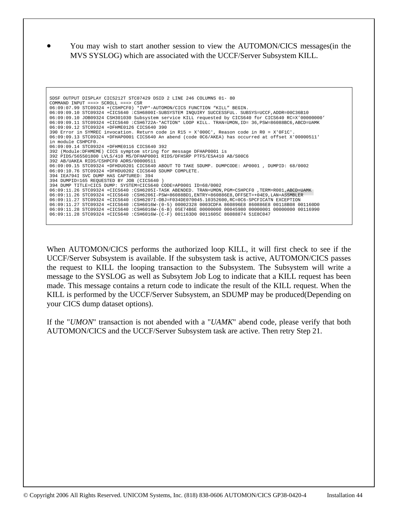• You may wish to start another session to view the AUTOMON/CICS messages(in the MVS SYSLOG) which are associated with the UCCF/Server Subsystem KILL.

```
 SDSF OUTPUT DISPLAY CICS212T STC07429 DSID 2 LINE 246 COLUMNS 01- 80 
 COMMAND INPUT ===> SCROLL ===> CSR 
 06:09:07.99 STC09324 +(CSHPCF0) *IVP*-AUTOMON/CICS FUNCTION "KILL" BEGIN. 
 06:09:09.10 STC09324 +CICS640 :CSH6800I-SUBSYSTEM INQUIRY SUCCESSFUL. SUBSYS=UCCF,ADDR=00C36B10 
 06:09:09.10 JOB09324 CSH301030 Subsystem service KILL requested by CICS640 for CICS640 RC=X'00000000' 
 06:09:09.11 STC09324 +CICS640 :CSH6722A-*ACTION* LOOP KILL. TRAN=UMON,ID= 36,PSW=86088BC6,ABCD=UAMK 
 06:09:09.12 STC09324 +DFHME0126 CICS640 390 
 390 Error in SYMREC invocation. Return code in R15 = X'000C', Reason code in R0 = X'0F1C'. 
 06:09:09.13 STC09324 +DFHAP0001 CICS640 An abend (code 0C6/AKEA) has occurred at offset X'00000511' 
 in module CSHPCF0. 
 06:09:09.14 STC09324 +DFHME0116 CICS640 392 
 392 (Module:DFHMEME) CICS symptom string for message DFHAP0001 is 
 392 PIDS/565501800 LVLS/410 MS/DFHAP0001 RIDS/DFHSRP PTFS/ESA410 AB/S00C6 
 392 AB/UAKEA RIDS/CSHPCF0 ADRS/00000511 
 06:09:09.15 STC09324 +DFHDU0201 CICS640 ABOUT TO TAKE SDUMP. DUMPCODE: AP0001 , DUMPID: 68/0002 
 06:09:10.76 STC09324 +DFHDU0202 CICS640 SDUMP COMPLETE. 
 394 IEA794I SVC DUMP HAS CAPTURED: 394 
 394 DUMPID=165 REQUESTED BY JOB (CICS640 ) 
 394 DUMP TITLE=CICS DUMP: SYSTEM=CICS640 CODE=AP0001 ID=68/0002 
 06:09:11.26 STC09324 +CICS640 :CSH6205I-TASK ABENDED. TRAN=UMON,PGM=CSHPCF0 ,TERM=R001,ABCD=UAMK 
 06:09:11.26 STC09324 +CICS640 :CSH6206I-PSW=86088BD1,ENTRY=860886E8,OFFSET=+04E9,LAN=ASSMBLER 
 06:09:11.27 STC09324 +CICS640 :CSH6207I-OBJ=F034DE070045.10352600,RC=0C6-SPCFICATN EXCEPTION 
 06:09:11.27 STC09324 +CICS640 :CSH6016W-(0-5) 00002328 0003CDFA 860896E8 860886E8 00118B08 001160D0 
 06:09:11.28 STC09324 +CICS640 :CSH6016W-(6-B) 05E74B6E 00000000 00045980 00000001 00000000 00116990 
 06:09:11.28 STC09324 +CICS640 :CSH6016W-(C-F) 001163D0 0011605C 86088874 51E8C047
```
When AUTOMON/CICS performs the authorized loop KILL, it will first check to see if the UCCF/Server Subsystem is available. If the subsystem task is active, AUTOMON/CICS passes the request to KILL the looping transaction to the Subsystem. The Subsystem will write a message to the SYSLOG as well as Subsytem Job Log to indicate that a KILL request has been made. This message contains a return code to indicate the result of the KILL request. When the KILL is performed by the UCCF/Server Subsystem, an SDUMP may be produced(Depending on your CICS dump dataset options).

If the "*UMON*" transaction is not abended with a "*UAMK*" abend code, please verify that both AUTOMON/CICS and the UCCF/Server Subsystem task are active. Then retry Step 21.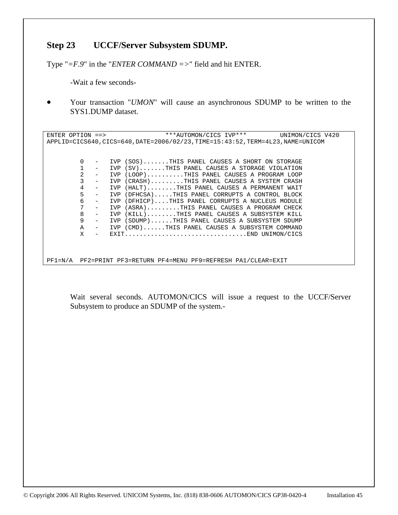# **Step 23 UCCF/Server Subsystem SDUMP.**

Type "*=F.9*" in the "*ENTER COMMAND =>*" field and hit ENTER.

-Wait a few seconds-

• Your transaction "*UMON*" will cause an asynchronous SDUMP to be written to the SYS1.DUMP dataset.

ENTER OPTION ==> \*\*\*AUTOMON/CICS IVP\*\*\* UNIMON/CICS V420 APPLID=CICS640,CICS=640,DATE=2006/02/23,TIME=15:43:52,TERM=4L23,NAME=UNICOM 0 - IVP (SOS).......THIS PANEL CAUSES A SHORT ON STORAGE 1 - IVP (SV).......THIS PANEL CAUSES A STORAGE VIOLATION<br>2 - IVP (LOOP).........THIS PANEL CAUSES A PROGRAM LOOP IVP (LOOP).........THIS PANEL CAUSES A PROGRAM LOOP 3 - IVP (CRASH).........THIS PANEL CAUSES A SYSTEM CRASH 4 - IVP (HALT)........THIS PANEL CAUSES A PERMANENT WAIT 5 - IVP (DFHCSA).....THIS PANEL CORRUPTS A CONTROL BLOCK 6 - IVP (DFHICP)....THIS PANEL CORRUPTS A NUCLEUS MODULE 7 - IVP (ASRA).........THIS PANEL CAUSES A PROGRAM CHECK<br>8 - TVP (KILL) THIS PANEL CAUSES A SUBSYSTEM KILL 8 - IVP (KILL)........THIS PANEL CAUSES A SUBSYSTEM KILL<br>9 - IVP (SDUMP)......THIS PANEL CAUSES A SUBSYSTEM SDUMP - IVP (SDUMP)......THIS PANEL CAUSES A SUBSYSTEM SDUMP<br>- IVP (CMD) THIS PANEL CAUSES A SUBSYSTEM COMMAND A - IVP (CMD)......THIS PANEL CAUSES A SUBSYSTEM COMMAND X - EXIT.................................END UNIMON/CICS PF1=N/A PF2=PRINT PF3=RETURN PF4=MENU PF9=REFRESH PA1/CLEAR=EXIT

Wait several seconds. AUTOMON/CICS will issue a request to the UCCF/Server Subsystem to produce an SDUMP of the system.-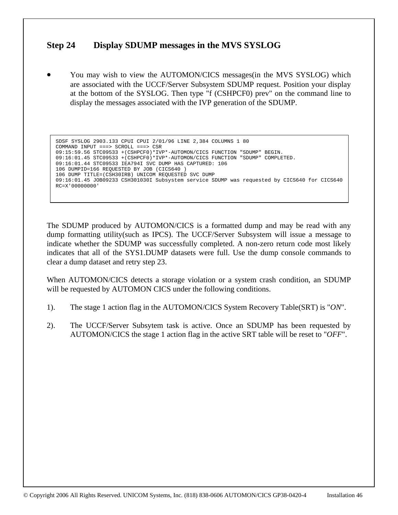# **Step 24 Display SDUMP messages in the MVS SYSLOG**

• You may wish to view the AUTOMON/CICS messages(in the MVS SYSLOG) which are associated with the UCCF/Server Subsystem SDUMP request. Position your display at the bottom of the SYSLOG. Then type "f (CSHPCF0) prev" on the command line to display the messages associated with the IVP generation of the SDUMP.

```
 SDSF SYSLOG 2903.133 CPUI CPUI 2/01/96 LINE 2,384 COLUMNS 1 80 
 COMMAND INPUT ===> SCROLL ===> CSR 
 09:15:59.56 STC09533 +(CSHPCF0)*IVP*-AUTOMON/CICS FUNCTION "SDUMP" BEGIN. 
 09:16:01.45 STC09533 +(CSHPCF0)*IVP*-AUTOMON/CICS FUNCTION "SDUMP" COMPLETED. 
 09:16:01.44 STC09533 IEA794I SVC DUMP HAS CAPTURED: 106 
 106 DUMPID=166 REQUESTED BY JOB (CICS640 ) 
 106 DUMP TITLE=(CSH30IRB) UNICOM REQUESTED SVC DUMP 
 09:16:01.45 JOB09233 CSH301030I Subsystem service SDUMP was requested by CICS640 for CICS640 
 RC=X'00000000'
```
The SDUMP produced by AUTOMON/CICS is a formatted dump and may be read with any dump formatting utility(such as IPCS). The UCCF/Server Subsystem will issue a message to indicate whether the SDUMP was successfully completed. A non-zero return code most likely indicates that all of the SYS1.DUMP datasets were full. Use the dump console commands to clear a dump dataset and retry step 23.

When AUTOMON/CICS detects a storage violation or a system crash condition, an SDUMP will be requested by AUTOMON CICS under the following conditions.

- 1). The stage 1 action flag in the AUTOMON/CICS System Recovery Table(SRT) is "*ON*".
- 2). The UCCF/Server Subsytem task is active. Once an SDUMP has been requested by AUTOMON/CICS the stage 1 action flag in the active SRT table will be reset to "*OFF*".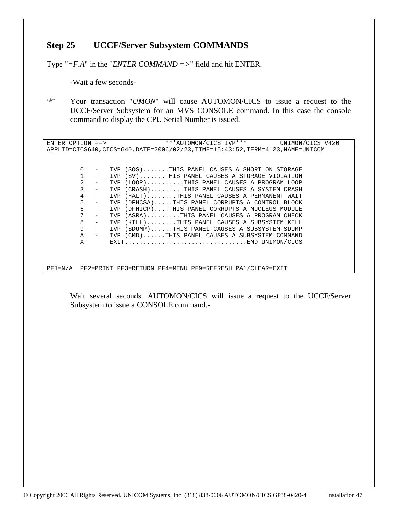# **Step 25 UCCF/Server Subsystem COMMANDS**

Type "*=F.A*" in the "*ENTER COMMAND =>*" field and hit ENTER.

-Wait a few seconds-

) Your transaction "*UMON*" will cause AUTOMON/CICS to issue a request to the UCCF/Server Subsystem for an MVS CONSOLE command. In this case the console command to display the CPU Serial Number is issued.

ENTER OPTION ==> \*\*\*AUTOMON/CICS IVP\*\*\* UNIMON/CICS V420 APPLID=CICS640,CICS=640,DATE=2006/02/23,TIME=15:43:52,TERM=4L23,NAME=UNICOM 0 - IVP (SOS).......THIS PANEL CAUSES A SHORT ON STORAGE 1 - IVP (SV).......THIS PANEL CAUSES A STORAGE VIOLATION<br>2 - IVP (LOOP).........THIS PANEL CAUSES A PROGRAM LOOP 2 - IVP (LOOP)..........THIS PANEL CAUSES A PROGRAM LOOP 3 - IVP (CRASH).........THIS PANEL CAUSES A SYSTEM CRASH 4 - IVP (HALT)........THIS PANEL CAUSES A PERMANENT WAIT<br>5 - IVP (DFHCSA).....THIS PANEL CORRUPTS A CONTROL BLOCK 5 - IVP (DFHCSA).....THIS PANEL CORRUPTS A CONTROL BLOCK 6 - IVP (DFHICP)....THIS PANEL CORRUPTS A NUCLEUS MODULE 7 - IVP (ASRA).........THIS PANEL CAUSES A PROGRAM CHECK 8 - IVP (KILL)........THIS PANEL CAUSES A SUBSYSTEM KILL<br>9 - TVP (SDIMP) THIS PANEL CAUSES A SUBSYSTEM SDIMP - IVP (SDUMP)......THIS PANEL CAUSES A SUBSYSTEM SDUMP A - IVP (CMD)......THIS PANEL CAUSES A SUBSYSTEM COMMAND  $X$  - EXIT X - EXIT.................................END UNIMON/CICS PF1=N/A PF2=PRINT PF3=RETURN PF4=MENU PF9=REFRESH PA1/CLEAR=EXIT

Wait several seconds. AUTOMON/CICS will issue a request to the UCCF/Server Subsystem to issue a CONSOLE command.-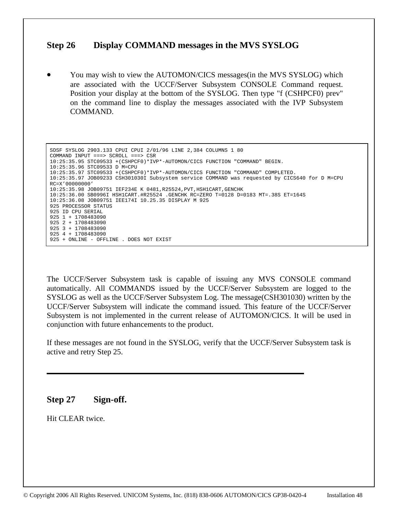# **Step 26 Display COMMAND messages in the MVS SYSLOG**

• You may wish to view the AUTOMON/CICS messages(in the MVS SYSLOG) which are associated with the UCCF/Server Subsystem CONSOLE Command request. Position your display at the bottom of the SYSLOG. Then type "f (CSHPCF0) prev" on the command line to display the messages associated with the IVP Subsystem COMMAND.

```
 SDSF SYSLOG 2903.133 CPUI CPUI 2/01/96 LINE 2,384 COLUMNS 1 80 
 COMMAND INPUT ===> SCROLL ===> CSR 
 10:25:35.95 STC09533 +(CSHPCF0)*IVP*-AUTOMON/CICS FUNCTION "COMMAND" BEGIN. 
 10:25:35.96 STC09533 D M=CPU 
 10:25:35.97 STC09533 +(CSHPCF0)*IVP*-AUTOMON/CICS FUNCTION "COMMAND" COMPLETED. 
 10:25:35.97 JOB09233 CSH301030I Subsystem service COMMAND was requested by CICS640 for D M=CPU 
 RC=X'00000000' 
 10:25:35.98 JOB09751 IEF234E K 0481,R25524,PVT,HSH1CART,GENCHK 
 10:25:36.00 SB0996I HSH1CART.#R25524 .GENCHK RC=ZERO T=0128 D=0183 MT=.38S ET=164S 
 10:25:36.08 JOB09751 IEE174I 10.25.35 DISPLAY M 925 
 925 PROCESSOR STATUS 
 925 ID CPU SERIAL 
 925 1 + 1708483090 
 925 2 + 1708483090 
 925 3 + 1708483090 
 925 4 + 1708483090 
 925 + ONLINE - OFFLINE . DOES NOT EXIST
```
The UCCF/Server Subsystem task is capable of issuing any MVS CONSOLE command automatically. All COMMANDS issued by the UCCF/Server Subsystem are logged to the SYSLOG as well as the UCCF/Server Subsystem Log. The message(CSH301030) written by the UCCF/Server Subsystem will indicate the command issued. This feature of the UCCF/Server Subsystem is not implemented in the current release of AUTOMON/CICS. It will be used in conjunction with future enhancements to the product.

If these messages are not found in the SYSLOG, verify that the UCCF/Server Subsystem task is active and retry Step 25.

# **Step 27 Sign-off.**

Hit CLEAR twice.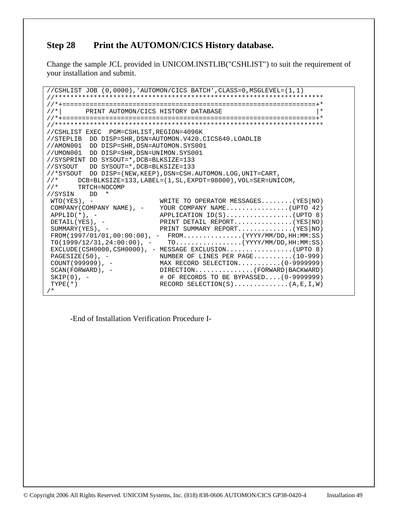# **Step 28 Print the AUTOMON/CICS History database.**

Change the sample JCL provided in UNICOM.INSTLIB("CSHLIST") to suit the requirement of your installation and submit.

```
//CSHLIST JOB (0,0000),'AUTOMON/CICS BATCH',CLASS=0,MSGLEVEL=(1,1) 
//********************************************************************* 
//*+=================================================================+* 
//*| PRINT AUTOMON/CICS HISTORY DATABASE
//*+=================================================================+* 
//********************************************************************* 
//CSHLIST EXEC PGM=CSHLIST,REGION=4096K 
//STEPLIB DD DISP=SHR,DSN=AUTOMON.V420.CICS640.LOADLIB 
//AMON001 DD DISP=SHR,DSN=AUTOMON.SYS001 
//UMON001 DD DISP=SHR,DSN=UNIMON.SYS001 
//SYSPRINT DD SYSOUT=*,DCB=BLKSIZE=133 
//SYSOUT DD SYSOUT=*,DCB=BLKSIZE=133 
//*SYSOUT DD DISP=(NEW,KEEP),DSN=CSH.AUTOMON.LOG,UNIT=CART, 
//* DCB=BLKSIZE=133,LABEL=(1,SL,EXPDT=98000),VOL=SER=UNICOM,<br>//* TRTCH=NOCOMP
        TRTCH=NOCOMP
//SYSIN DD * 
WTO(YES), - WRITE TO OPERATOR MESSAGES........(YES|NO)
COMPANY(COMPANY NAME), - YOUR COMPANY NAME.................(UPTO 42)<br>APPLID(*), - APPLICATION ID(S)................(UPTO 8)
                             APPLID(*), - APPLICATION ID(S).................(UPTO 8) 
DETAIL(YES), - PRINT DETAIL REPORT..............(YES|NO)
 SUMMARY(YES), - PRINT SUMMARY REPORT.............(YES|NO)
FROM(1997/01/01,00:00:00), - FROM...............(YYYY/MM/DD, HH:MM:SS)TO(1999/12/31, 24:00:00), - TO..................(YYYY/MM/DD, HH:MM:SS)
  EXCLUDE(CSH0000,CSH0000), - MESSAGE EXCLUSION.................(UPTO 8) 
PAGESIZE(50), -           NUMBER OF LINES PER PAGE..........(10-999)<br>COUNT(999999), -         MAX RECORD SELECTION..........(0-9999999)
 COUNT(999999), - MAX RECORD SELECTION...........(0-9999999) 
SCAN(FORWARD), - DIRECTION.............(FORWARD|BACKWARD)
 SKIP(0), - # OF RECORDS TO BE BYPASSED....(0-9999999) 
TYPE(*) RECORD SELECTION(S)...............(A,E,I,W)
/*
```
-End of Installation Verification Procedure I-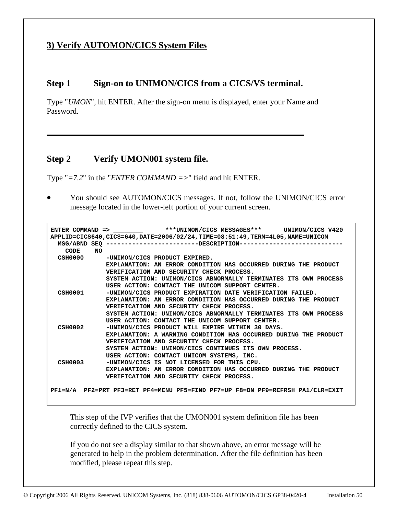# **3) Verify AUTOMON/CICS System Files**

# **Step 1 Sign-on to UNIMON/CICS from a CICS/VS terminal.**

Type "*UMON*", hit ENTER. After the sign-on menu is displayed, enter your Name and Password.

# **Step 2 Verify UMON001 system file.**

Type "*=7.2*" in the "*ENTER COMMAND =>*" field and hit ENTER.

• You should see AUTOMON/CICS messages. If not, follow the UNIMON/CICS error message located in the lower-left portion of your current screen.

```
ENTER COMMAND => ***UNIMON/CICS MESSAGES*** UNIMON/CICS V420
 APPLID=CICS640,CICS=640,DATE=2006/02/24,TIME=08:51:49,TERM=4L05,NAME=UNICOM 
   MSG/ABND SEQ -------------------------DESCRIPTION---------------------------- 
      CODE NO 
   CSH0000 -UNIMON/CICS PRODUCT EXPIRED. 
                 EXPLANATION: AN ERROR CONDITION HAS OCCURRED DURING THE PRODUCT 
                 VERIFICATION AND SECURITY CHECK PROCESS. 
                 SYSTEM ACTION: UNIMON/CICS ABNORMALLY TERMINATES ITS OWN PROCESS 
  USER ACTION: CONTACT THE UNICOM SUPPORT CENTER.<br>CSH0001 - UNIMON/CICS PRODUCT EXPIRATION DATE VERIFICATI
                -UNIMON/CICS PRODUCT EXPIRATION DATE VERIFICATION FAILED.
                 EXPLANATION: AN ERROR CONDITION HAS OCCURRED DURING THE PRODUCT 
                 VERIFICATION AND SECURITY CHECK PROCESS. 
                 SYSTEM ACTION: UNIMON/CICS ABNORMALLY TERMINATES ITS OWN PROCESS 
                 USER ACTION: CONTACT THE UNICOM SUPPORT CENTER. 
   CSH0002 -UNIMON/CICS PRODUCT WILL EXPIRE WITHIN 30 DAYS. 
                 EXPLANATION: A WARNING CONDITION HAS OCCURRED DURING THE PRODUCT 
                 VERIFICATION AND SECURITY CHECK PROCESS. 
                 SYSTEM ACTION: UNIMON/CICS CONTINUES ITS OWN PROCESS. 
  USER ACTION: CONTACT UNICOM SYSTEMS, INC.<br>CSH0003 - UNIMON/CICS IS NOT LICENSED FOR THIS CPU
                 -UNIMON/CICS IS NOT LICENSED FOR THIS CPU.
                 EXPLANATION: AN ERROR CONDITION HAS OCCURRED DURING THE PRODUCT 
                 VERIFICATION AND SECURITY CHECK PROCESS. 

 PF1=N/A PF2=PRT PF3=RET PF4=MENU PF5=FIND PF7=UP F8=DN PF9=REFRSH PA1/CLR=EXIT
```
This step of the IVP verifies that the UMON001 system definition file has been correctly defined to the CICS system.

If you do not see a display similar to that shown above, an error message will be generated to help in the problem determination. After the file definition has been modified, please repeat this step.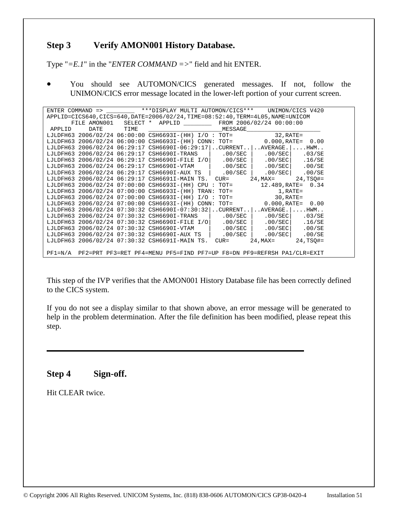# **Step 3 Verify AMON001 History Database.**

Type "*=E.1*" in the "*ENTER COMMAND =>*" field and hit ENTER.

• You should see AUTOMON/CICS generated messages. If not, follow the UNIMON/CICS error message located in the lower-left portion of your current screen.

| ENTER COMMAND => ***DISPLAY MULTI AUTOMON/CICS*** UNIMON/CICS V420 |      |      |                                                                                                                                                                                                                                      |  |                  |                        |                          |  |
|--------------------------------------------------------------------|------|------|--------------------------------------------------------------------------------------------------------------------------------------------------------------------------------------------------------------------------------------|--|------------------|------------------------|--------------------------|--|
|                                                                    |      |      | APPLID=CICS640,CICS=640,DATE=2006/02/24,TIME=08:52:40,TERM=4L05,NAME=UNICOM                                                                                                                                                          |  |                  |                        |                          |  |
|                                                                    |      |      | FILE AMON001 SELECT * APPLID FROM 2006/02/24 00:00:00                                                                                                                                                                                |  |                  |                        |                          |  |
| APPLID                                                             | DATE | TIME | <u> 1989 - Johann Harry Harry Harry Harry Harry Harry Harry Harry Harry Harry Harry Harry Harry Harry Harry Harry Harry Harry Harry Harry Harry Harry Harry Harry Harry Harry Harry Harry Harry Harry Harry Harry Harry Harry Ha</u> |  | MESSAGE          |                        |                          |  |
|                                                                    |      |      | LJLDFH63 2006/02/24 06:00:00 CSH6693I-(HH) I/O: TOT=                                                                                                                                                                                 |  |                  | $32$ , $RATE =$        |                          |  |
|                                                                    |      |      | LJLDFH63 2006/02/24 06:00:00 CSH6693I-(HH) CONN:                                                                                                                                                                                     |  | $TOT =$          |                        | $0.000, RATE = 0.00$     |  |
| LJLDFH63                                                           |      |      | $2006/02/24$ 06:29:17 CSH6690I-06:29:17  CURRENT AVERAGE.                                                                                                                                                                            |  |                  |                        | . HWM.                   |  |
| LJLDFH63                                                           |      |      | 2006/02/24 06:29:17 CSH6690I-TRANS                                                                                                                                                                                                   |  | .00/SEC          | .00/SEC                | .03/SE                   |  |
| LJLDFH63                                                           |      |      | 2006/02/24 06:29:17 CSH6690I-FILE I/O                                                                                                                                                                                                |  | $.00/SEC$ $\mid$ | .00/SEC                | .16/SE                   |  |
| LJLDFH63                                                           |      |      | 2006/02/24 06:29:17 CSH6690I-VTAM                                                                                                                                                                                                    |  | $.00/SEC$        |                        | $.00/SEC$ $.00/SE$       |  |
| LJLDFH63                                                           |      |      | 2006/02/24 06:29:17 CSH6690I-AUX TS                                                                                                                                                                                                  |  | .00/SEC          | .00/SEC                | .00/SE                   |  |
| LJLDFH63                                                           |      |      | 2006/02/24 06:29:17 CSH6691I-MAIN TS.                                                                                                                                                                                                |  | $CUR =$          | $24$ , MAX=            | $24, TSO# =$             |  |
| LJLDFH63                                                           |      |      | 2006/02/24 07:00:00 CSH6693I-(HH) CPU :                                                                                                                                                                                              |  | $TOT =$          |                        | 12.489, RATE= 0.34       |  |
| LJLDFH63                                                           |      |      | 2006/02/24 07:00:00 CSH6693I-(HH) TRAN:                                                                                                                                                                                              |  | TOT=             | 1,RATE=                |                          |  |
| LJLDFH63                                                           |      |      | 2006/02/24 07:00:00 CSH6693I-(HH) I/O :                                                                                                                                                                                              |  | TOT=             | 30,RATE=               |                          |  |
| LJLDFH63                                                           |      |      | 2006/02/24 07:00:00 CSH6693I-(HH) CONN:                                                                                                                                                                                              |  |                  | TOT= 0.000, RATE= 0.00 |                          |  |
| LJLDFH63                                                           |      |      | $2006/02/24$ 07:30:32 CSH6690I-07:30:32CURRENTAVERAGE.                                                                                                                                                                               |  |                  |                        | $\ldots$ . HWM. $\ldots$ |  |
| LJLDFH63                                                           |      |      | 2006/02/24 07:30:32 CSH6690I-TRANS                                                                                                                                                                                                   |  | $.00/SEC$        | .00/SEC                | .03/SE                   |  |
| LJLDFH63                                                           |      |      | 2006/02/24 07:30:32 CSH6690I-FILE I/O                                                                                                                                                                                                |  | $.00/SEC$        | .00/SEC                | .16/SE                   |  |
| LJLDFH63                                                           |      |      | 2006/02/24 07:30:32 CSH6690I-VTAM                                                                                                                                                                                                    |  | $.00/SEC$        |                        | $.00/SEC$ $.00/SE$       |  |
| LJLDFH63                                                           |      |      | 2006/02/24 07:30:32 CSH6690I-AUX TS                                                                                                                                                                                                  |  | .00/SEC          | .00/SEC                | .00/SE                   |  |
| LJLDFH63                                                           |      |      | 2006/02/24 07:30:32 CSH6691I-MAIN TS. CUR=                                                                                                                                                                                           |  |                  | $24$ , MAX $=$         | $24, TSO# =$             |  |
|                                                                    |      |      |                                                                                                                                                                                                                                      |  |                  |                        |                          |  |
|                                                                    |      |      | PF1=N/A PF2=PRT PF3=RET PF4=MENU PF5=FIND PF7=UP F8=DN PF9=REFRSH PA1/CLR=EXIT                                                                                                                                                       |  |                  |                        |                          |  |

This step of the IVP verifies that the AMON001 History Database file has been correctly defined to the CICS system.

If you do not see a display similar to that shown above, an error message will be generated to help in the problem determination. After the file definition has been modified, please repeat this step.

# **Step 4 Sign-off.**

Hit CLEAR twice.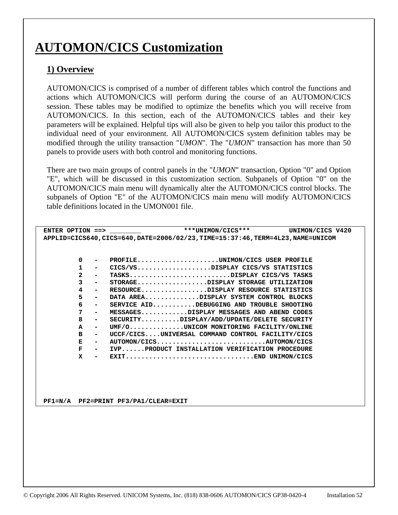# **AUTOMON/CICS Customization**

# **1) Overview**

AUTOMON/CICS is comprised of a number of different tables which control the functions and actions which AUTOMON/CICS will perform during the course of an AUTOMON/CICS session. These tables may be modified to optimize the benefits which you will receive from AUTOMON/CICS. In this section, each of the AUTOMON/CICS tables and their key parameters will be explained. Helpful tips will also be given to help you tailor this product to the individual need of your environment. All AUTOMON/CICS system definition tables may be modified through the utility transaction "*UMON*". The "*UMON*" transaction has more than 50 panels to provide users with both control and monitoring functions.

There are two main groups of control panels in the "*UMON*" transaction, Option "0" and Option "E", which will be discussed in this customization section. Subpanels of Option "0" on the AUTOMON/CICS main menu will dynamically alter the AUTOMON/CICS control blocks. The subpanels of Option "E" of the AUTOMON/CICS main menu will modify AUTOMON/CICS table definitions located in the UMON001 file.

|                                            | ENTER OPTION ==> $\frac{\text{max} \times \text{min}}{\text{max} + \text{min} + \text{min}}$ |
|--------------------------------------------|----------------------------------------------------------------------------------------------|
|                                            | APPLID=CICS640, CICS=640, DATE=2006/02/23, TIME=15:37:46, TERM=4L23, NAME=UNICOM             |
|                                            |                                                                                              |
|                                            |                                                                                              |
| 0<br>$\overline{\phantom{0}}$              | PROFILEUNIMON/CICS USER PROFILE                                                              |
| 1<br>$\overline{\phantom{0}}$              | CICS/VSDISPLAY CICS/VS STATISTICS                                                            |
| $\overline{2}$<br>$\overline{\phantom{a}}$ | TASKSDISPLAY CICS/VS TASKS                                                                   |
| 3<br>$\overline{\phantom{0}}$              | STORAGEDISPLAY STORAGE UTILIZATION                                                           |
| 4<br>$\sim$                                | RESOURCEDISPLAY RESOURCE STATISTICS                                                          |
| 5<br>$\sim$                                | DATA AREADISPLAY SYSTEM CONTROL BLOCKS                                                       |
| 6<br>$\overline{\phantom{a}}$              | SERVICE AIDDEBUGGING AND TROUBLE SHOOTING                                                    |
| 7<br>$\overline{\phantom{0}}$              | MESSAGESDISPLAY MESSAGES AND ABEND CODES                                                     |
| 8<br>$\blacksquare$                        | $SECTION. \ldots \ldots$ DISPLAY/ADD/UPDATE/DELETE SECURITY                                  |
| A<br>$\overline{\phantom{a}}$              | UMF/OUNICOM MONITORING FACILITY/ONLINE                                                       |
| в<br>$\overline{\phantom{a}}$              | UCCF/CICSUNIVERSAL COMMAND CONTROL FACILITY/CICS                                             |
| Е<br>$\sim$                                | AUTOMON/CICSAUTOMON/CICS                                                                     |
| F<br>$\sim$                                | IVPPRODUCT INSTALLATION VERIFICATION PROCEDURE                                               |
| x<br>$\overline{\phantom{a}}$              |                                                                                              |
|                                            |                                                                                              |
|                                            |                                                                                              |
|                                            |                                                                                              |
|                                            |                                                                                              |

 **PF1=N/A PF2=PRINT PF3/PA1/CLEAR=EXIT**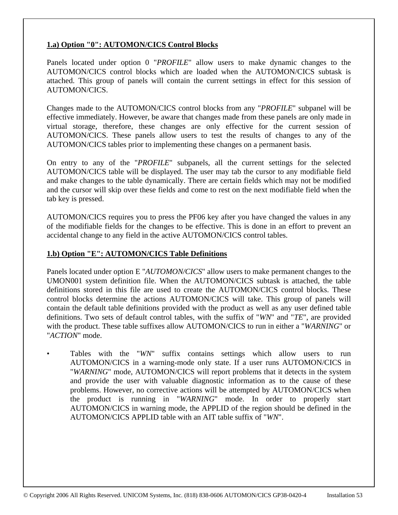## **1.a) Option "0": AUTOMON/CICS Control Blocks**

Panels located under option 0 "*PROFILE*" allow users to make dynamic changes to the AUTOMON/CICS control blocks which are loaded when the AUTOMON/CICS subtask is attached. This group of panels will contain the current settings in effect for this session of AUTOMON/CICS.

Changes made to the AUTOMON/CICS control blocks from any "*PROFILE*" subpanel will be effective immediately. However, be aware that changes made from these panels are only made in virtual storage, therefore, these changes are only effective for the current session of AUTOMON/CICS. These panels allow users to test the results of changes to any of the AUTOMON/CICS tables prior to implementing these changes on a permanent basis.

On entry to any of the "*PROFILE*" subpanels, all the current settings for the selected AUTOMON/CICS table will be displayed. The user may tab the cursor to any modifiable field and make changes to the table dynamically. There are certain fields which may not be modified and the cursor will skip over these fields and come to rest on the next modifiable field when the tab key is pressed.

AUTOMON/CICS requires you to press the PF06 key after you have changed the values in any of the modifiable fields for the changes to be effective. This is done in an effort to prevent an accidental change to any field in the active AUTOMON/CICS control tables.

## **1.b) Option "E": AUTOMON/CICS Table Definitions**

Panels located under option E "*AUTOMON/CICS*" allow users to make permanent changes to the UMON001 system definition file. When the AUTOMON/CICS subtask is attached, the table definitions stored in this file are used to create the AUTOMON/CICS control blocks. These control blocks determine the actions AUTOMON/CICS will take. This group of panels will contain the default table definitions provided with the product as well as any user defined table definitions. Two sets of default control tables, with the suffix of "*WN*" and "*TE*", are provided with the product. These table suffixes allow AUTOMON/CICS to run in either a "*WARNING*" or "*ACTION*" mode.

• Tables with the "*WN*" suffix contains settings which allow users to run AUTOMON/CICS in a warning-mode only state. If a user runs AUTOMON/CICS in "*WARNING*" mode, AUTOMON/CICS will report problems that it detects in the system and provide the user with valuable diagnostic information as to the cause of these problems. However, no corrective actions will be attempted by AUTOMON/CICS when the product is running in "*WARNING*" mode. In order to properly start AUTOMON/CICS in warning mode, the APPLID of the region should be defined in the AUTOMON/CICS APPLID table with an AIT table suffix of "*WN*".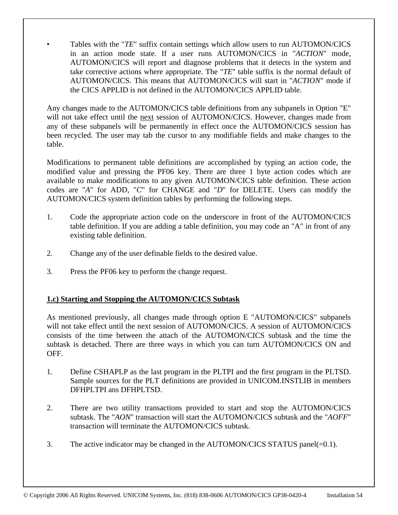Tables with the "*TE*" suffix contain settings which allow users to run AUTOMON/CICS in an action mode state. If a user runs AUTOMON/CICS in "*ACTION*" mode, AUTOMON/CICS will report and diagnose problems that it detects in the system and take corrective actions where appropriate. The "*TE*" table suffix is the normal default of AUTOMON/CICS. This means that AUTOMON/CICS will start in "*ACTION*" mode if the CICS APPLID is not defined in the AUTOMON/CICS APPLID table.

Any changes made to the AUTOMON/CICS table definitions from any subpanels in Option "E" will not take effect until the next session of AUTOMON/CICS. However, changes made from any of these subpanels will be permanently in effect once the AUTOMON/CICS session has been recycled. The user may tab the cursor to any modifiable fields and make changes to the table.

Modifications to permanent table definitions are accomplished by typing an action code, the modified value and pressing the PF06 key. There are three 1 byte action codes which are available to make modifications to any given AUTOMON/CICS table definition. These action codes are "*A*" for ADD, "*C*" for CHANGE and "*D*" for DELETE. Users can modify the AUTOMON/CICS system definition tables by performing the following steps.

- 1. Code the appropriate action code on the underscore in front of the AUTOMON/CICS table definition. If you are adding a table definition, you may code an "A" in front of any existing table definition.
- 2. Change any of the user definable fields to the desired value.
- 3. Press the PF06 key to perform the change request.

## **1.c) Starting and Stopping the AUTOMON/CICS Subtask**

As mentioned previously, all changes made through option E "AUTOMON/CICS" subpanels will not take effect until the next session of AUTOMON/CICS. A session of AUTOMON/CICS consists of the time between the attach of the AUTOMON/CICS subtask and the time the subtask is detached. There are three ways in which you can turn AUTOMON/CICS ON and OFF.

- 1. Define CSHAPLP as the last program in the PLTPI and the first program in the PLTSD. Sample sources for the PLT definitions are provided in UNICOM.INSTLIB in members DFHPLTPI ans DFHPLTSD.
- 2. There are two utility transactions provided to start and stop the AUTOMON/CICS subtask. The "*AON*" transaction will start the AUTOMON/CICS subtask and the "*AOFF*" transaction will terminate the AUTOMON/CICS subtask.
- 3. The active indicator may be changed in the AUTOMON/CICS STATUS panel $(=0.1)$ .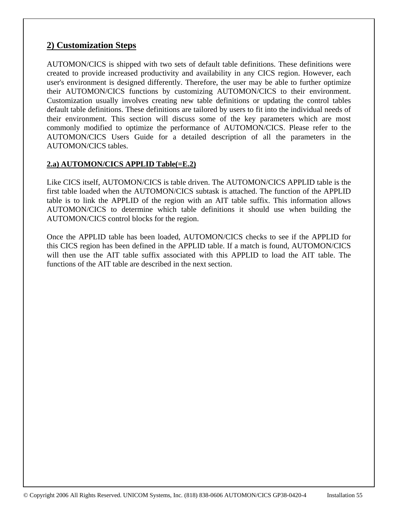# **2) Customization Steps**

AUTOMON/CICS is shipped with two sets of default table definitions. These definitions were created to provide increased productivity and availability in any CICS region. However, each user's environment is designed differently. Therefore, the user may be able to further optimize their AUTOMON/CICS functions by customizing AUTOMON/CICS to their environment. Customization usually involves creating new table definitions or updating the control tables default table definitions. These definitions are tailored by users to fit into the individual needs of their environment. This section will discuss some of the key parameters which are most commonly modified to optimize the performance of AUTOMON/CICS. Please refer to the AUTOMON/CICS Users Guide for a detailed description of all the parameters in the AUTOMON/CICS tables.

# **2.a) AUTOMON/CICS APPLID Table(=E.2)**

Like CICS itself, AUTOMON/CICS is table driven. The AUTOMON/CICS APPLID table is the first table loaded when the AUTOMON/CICS subtask is attached. The function of the APPLID table is to link the APPLID of the region with an AIT table suffix. This information allows AUTOMON/CICS to determine which table definitions it should use when building the AUTOMON/CICS control blocks for the region.

Once the APPLID table has been loaded, AUTOMON/CICS checks to see if the APPLID for this CICS region has been defined in the APPLID table. If a match is found, AUTOMON/CICS will then use the AIT table suffix associated with this APPLID to load the AIT table. The functions of the AIT table are described in the next section.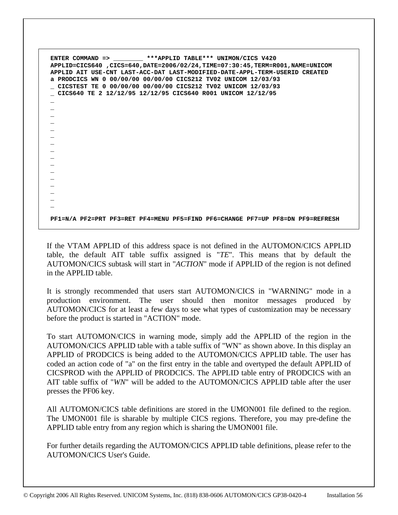**ENTER COMMAND => \_\_\_\_\_\_\_\_ \*\*\*APPLID TABLE\*\*\* UNIMON/CICS V420 APPLID=CICS640 ,CICS=640,DATE=2006/02/24,TIME=07:30:45,TERM=R001,NAME=UNICOM APPLID AIT USE-CNT LAST-ACC-DAT LAST-MODIFIED-DATE-APPL-TERM-USERID CREATED a PRODCICS WN 0 00/00/00 00/00/00 CICS212 TV02 UNICOM 12/03/93 \_ CICSTEST TE 0 00/00/00 00/00/00 CICS212 TV02 UNICOM 12/03/93 \_ CICS640 TE 2 12/12/95 12/12/95 CICS640 R001 UNICOM 12/12/95 \_ \_ \_ \_ \_ \_ \_ \_ \_ \_ \_ \_ \_ \_ \_ \_ PF1=N/A PF2=PRT PF3=RET PF4=MENU PF5=FIND PF6=CHANGE PF7=UP PF8=DN PF9=REFRESH**

If the VTAM APPLID of this address space is not defined in the AUTOMON/CICS APPLID table, the default AIT table suffix assigned is "*TE*". This means that by default the AUTOMON/CICS subtask will start in "*ACTION*" mode if APPLID of the region is not defined in the APPLID table.

It is strongly recommended that users start AUTOMON/CICS in "WARNING" mode in a production environment. The user should then monitor messages produced by AUTOMON/CICS for at least a few days to see what types of customization may be necessary before the product is started in "ACTION" mode.

To start AUTOMON/CICS in warning mode, simply add the APPLID of the region in the AUTOMON/CICS APPLID table with a table suffix of "WN" as shown above. In this display an APPLID of PRODCICS is being added to the AUTOMON/CICS APPLID table. The user has coded an action code of "a" on the first entry in the table and overtyped the default APPLID of CICSPROD with the APPLID of PRODCICS. The APPLID table entry of PRODCICS with an AIT table suffix of "*WN*" will be added to the AUTOMON/CICS APPLID table after the user presses the PF06 key.

All AUTOMON/CICS table definitions are stored in the UMON001 file defined to the region. The UMON001 file is sharable by multiple CICS regions. Therefore, you may pre-define the APPLID table entry from any region which is sharing the UMON001 file.

For further details regarding the AUTOMON/CICS APPLID table definitions, please refer to the AUTOMON/CICS User's Guide.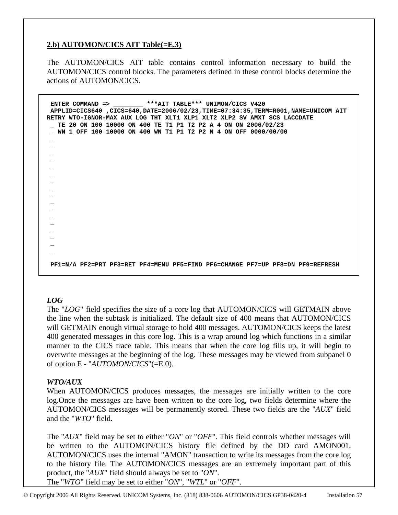## **2.b) AUTOMON/CICS AIT Table(=E.3)**

The AUTOMON/CICS AIT table contains control information necessary to build the AUTOMON/CICS control blocks. The parameters defined in these control blocks determine the actions of AUTOMON/CICS.

 **ENTER COMMAND => \_\_\_\_\_\_\_\_ \*\*\*AIT TABLE\*\*\* UNIMON/CICS V420 APPLID=CICS640 ,CICS=640,DATE=2006/02/23,TIME=07:34:35,TERM=R001,NAME=UNICOM AIT RETRY WTO-IGNOR-MAX AUX LOG THT XLT1 XLP1 XLT2 XLP2 SV AMXT SCS LACCDATE \_ TE 20 ON 100 10000 ON 400 TE T1 P1 T2 P2 A 4 ON ON 2006/02/23 \_ WN 1 OFF 100 10000 ON 400 WN T1 P1 T2 P2 N 4 ON OFF 0000/00/00 \_ \_ \_ \_ \_ \_ \_ \_ \_ \_ \_ \_ \_ \_ \_ \_ \_ PF1=N/A PF2=PRT PF3=RET PF4=MENU PF5=FIND PF6=CHANGE PF7=UP PF8=DN PF9=REFRESH** 

## *LOG*

The "*LOG*" field specifies the size of a core log that AUTOMON/CICS will GETMAIN above the line when the subtask is initialized. The default size of 400 means that AUTOMON/CICS will GETMAIN enough virtual storage to hold 400 messages. AUTOMON/CICS keeps the latest 400 generated messages in this core log. This is a wrap around log which functions in a similar manner to the CICS trace table. This means that when the core log fills up, it will begin to overwrite messages at the beginning of the log. These messages may be viewed from subpanel 0 of option E - "*AUTOMON/CICS*"(=E.0).

#### *WTO/AUX*

When AUTOMON/CICS produces messages, the messages are initially written to the core log.Once the messages are have been written to the core log, two fields determine where the AUTOMON/CICS messages will be permanently stored. These two fields are the "*AUX*" field and the "*WTO*" field.

The "*AUX*" field may be set to either "*ON*" or "*OFF*". This field controls whether messages will be written to the AUTOMON/CICS history file defined by the DD card AMON001. AUTOMON/CICS uses the internal "AMON" transaction to write its messages from the core log to the history file. The AUTOMON/CICS messages are an extremely important part of this product, the "*AUX*" field should always be set to "*ON*".

The "*WTO*" field may be set to either "*ON*", "*WTL*" or "*OFF*".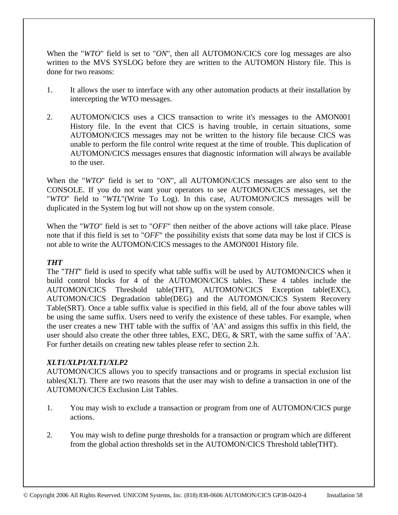When the "*WTO*" field is set to "*ON*", then all AUTOMON/CICS core log messages are also written to the MVS SYSLOG before they are written to the AUTOMON History file. This is done for two reasons:

- 1. It allows the user to interface with any other automation products at their installation by intercepting the WTO messages.
- 2. AUTOMON/CICS uses a CICS transaction to write it's messages to the AMON001 History file. In the event that CICS is having trouble, in certain situations, some AUTOMON/CICS messages may not be written to the history file because CICS was unable to perform the file control write request at the time of trouble. This duplication of AUTOMON/CICS messages ensures that diagnostic information will always be available to the user.

When the "*WTO*" field is set to "*ON*", all AUTOMON/CICS messages are also sent to the CONSOLE. If you do not want your operators to see AUTOMON/CICS messages, set the "*WTO*" field to "*WTL*"(Write To Log). In this case, AUTOMON/CICS messages will be duplicated in the System log but will not show up on the system console.

When the "*WTO*" field is set to "*OFF*" then neither of the above actions will take place. Please note that if this field is set to "*OFF*" the possibility exists that some data may be lost if CICS is not able to write the AUTOMON/CICS messages to the AMON001 History file.

## *THT*

The "*THT*" field is used to specify what table suffix will be used by AUTOMON/CICS when it build control blocks for 4 of the AUTOMON/CICS tables. These 4 tables include the AUTOMON/CICS Threshold table(THT), AUTOMON/CICS Exception table(EXC), AUTOMON/CICS Degradation table(DEG) and the AUTOMON/CICS System Recovery Table(SRT). Once a table suffix value is specified in this field, all of the four above tables will be using the same suffix. Users need to verify the existence of these tables. For example, when the user creates a new THT table with the suffix of 'AA' and assigns this suffix in this field, the user should also create the other three tables, EXC, DEG, & SRT, with the same suffix of 'AA'. For further details on creating new tables please refer to section 2.h.

## *XLT1/XLP1/XLT1/XLP2*

AUTOMON/CICS allows you to specify transactions and or programs in special exclusion list tables(XLT). There are two reasons that the user may wish to define a transaction in one of the AUTOMON/CICS Exclusion List Tables.

- 1. You may wish to exclude a transaction or program from one of AUTOMON/CICS purge actions.
- 2. You may wish to define purge thresholds for a transaction or program which are different from the global action thresholds set in the AUTOMON/CICS Threshold table(THT).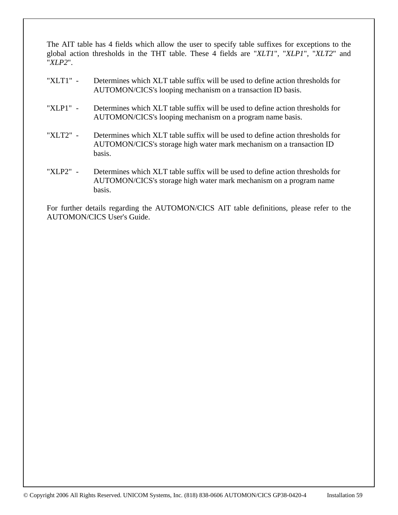The AIT table has 4 fields which allow the user to specify table suffixes for exceptions to the global action thresholds in the THT table. These 4 fields are "*XLT1*", "*XLP1*", "*XLT2*" and "*XLP2*".

- "XLT1" Determines which XLT table suffix will be used to define action thresholds for AUTOMON/CICS's looping mechanism on a transaction ID basis.
- "XLP1" Determines which XLT table suffix will be used to define action thresholds for AUTOMON/CICS's looping mechanism on a program name basis.
- "XLT2" Determines which XLT table suffix will be used to define action thresholds for AUTOMON/CICS's storage high water mark mechanism on a transaction ID basis.
- "XLP2" Determines which XLT table suffix will be used to define action thresholds for AUTOMON/CICS's storage high water mark mechanism on a program name basis.

For further details regarding the AUTOMON/CICS AIT table definitions, please refer to the AUTOMON/CICS User's Guide.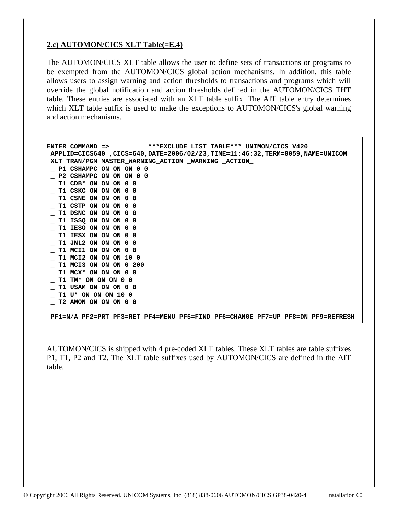## **2.c) AUTOMON/CICS XLT Table(=E.4)**

The AUTOMON/CICS XLT table allows the user to define sets of transactions or programs to be exempted from the AUTOMON/CICS global action mechanisms. In addition, this table allows users to assign warning and action thresholds to transactions and programs which will override the global notification and action thresholds defined in the AUTOMON/CICS THT table. These entries are associated with an XLT table suffix. The AIT table entry determines which XLT table suffix is used to make the exceptions to AUTOMON/CICS's global warning and action mechanisms.

| ENTER COMMAND => ________ ***EXCLUDE LIST TABLE*** UNIMON/CICS V420            |
|--------------------------------------------------------------------------------|
| APPLID=CICS640 ,CICS=640,DATE=2006/02/23,TIME=11:46:32,TERM=0059,NAME=UNICOM   |
| XLT TRAN/PGM MASTER_WARNING_ACTION _WARNING _ACTION_                           |
| P1 CSHAMPC ON ON ON 0 0                                                        |
| P2 CSHAMPC ON ON ON 0 0                                                        |
| T1 CDB* ON ON ON 0 0                                                           |
| T1 CSKC ON ON ON 0 0                                                           |
| T1 CSNE ON ON ON 0 0                                                           |
| T1 CSTP ON ON ON 0 0                                                           |
| T1 DSNC ON ON ON 0 0                                                           |
| <b>T1 I\$\$0 ON ON ON 0 0</b>                                                  |
| T1 IESO ON ON ON 0 0                                                           |
| T1 IESX ON ON ON 0 0                                                           |
| T1 JNL2 ON ON ON 0 0                                                           |
| T1 MCI1 ON ON ON 0 0                                                           |
| T1 MCI2 ON ON ON 10 0                                                          |
|                                                                                |
| T1 MCI3 ON ON ON 0 200                                                         |
| T1 MCX* ON ON ON 0 0                                                           |
| T1 TM* ON ON ON 0 0                                                            |
| T1 U\$AM ON ON ON 0 0                                                          |
| T1 U* ON ON ON 10 0                                                            |
| T2 AMON ON ON ON 0 0                                                           |
|                                                                                |
| PF1=N/A PF2=PRT PF3=RET PF4=MENU PF5=FIND PF6=CHANGE PF7=UP PF8=DN PF9=REFRESH |

AUTOMON/CICS is shipped with 4 pre-coded XLT tables. These XLT tables are table suffixes P1, T1, P2 and T2. The XLT table suffixes used by AUTOMON/CICS are defined in the AIT table.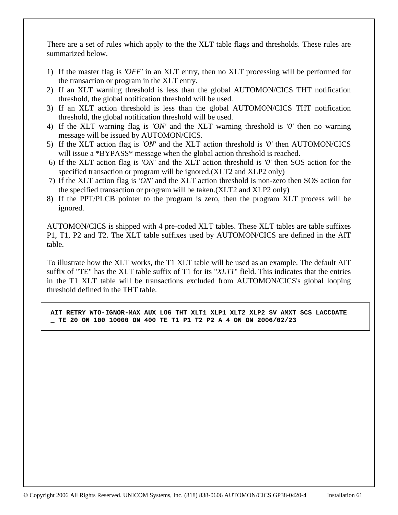There are a set of rules which apply to the the XLT table flags and thresholds. These rules are summarized below.

- 1) If the master flag is *'OFF'* in an XLT entry, then no XLT processing will be performed for the transaction or program in the XLT entry.
- 2) If an XLT warning threshold is less than the global AUTOMON/CICS THT notification threshold, the global notification threshold will be used.
- 3) If an XLT action threshold is less than the global AUTOMON/CICS THT notification threshold, the global notification threshold will be used.
- 4) If the XLT warning flag is *'ON'* and the XLT warning threshold is *'0'* then no warning message will be issued by AUTOMON/CICS.
- 5) If the XLT action flag is *'ON'* and the XLT action threshold is *'0'* then AUTOMON/CICS will issue a \*BYPASS\* message when the global action threshold is reached.
- 6) If the XLT action flag is *'ON'* and the XLT action threshold is *'0'* then SOS action for the specified transaction or program will be ignored.(XLT2 and XLP2 only)
- 7) If the XLT action flag is *'ON'* and the XLT action threshold is non-zero then SOS action for the specified transaction or program will be taken.(XLT2 and XLP2 only)
- 8) If the PPT/PLCB pointer to the program is zero, then the program XLT process will be ignored.

AUTOMON/CICS is shipped with 4 pre-coded XLT tables. These XLT tables are table suffixes P1, T1, P2 and T2. The XLT table suffixes used by AUTOMON/CICS are defined in the AIT table.

To illustrate how the XLT works, the T1 XLT table will be used as an example. The default AIT suffix of "TE" has the XLT table suffix of T1 for its "*XLT1*" field. This indicates that the entries in the T1 XLT table will be transactions excluded from AUTOMON/CICS's global looping threshold defined in the THT table.

 **AIT RETRY WTO-IGNOR-MAX AUX LOG THT XLT1 XLP1 XLT2 XLP2 SV AMXT SCS LACCDATE \_ TE 20 ON 100 10000 ON 400 TE T1 P1 T2 P2 A 4 ON ON 2006/02/23**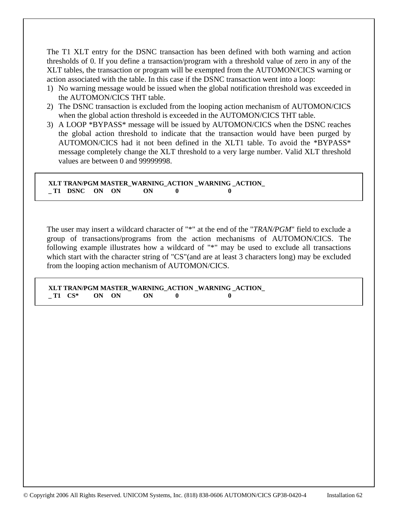The T1 XLT entry for the DSNC transaction has been defined with both warning and action thresholds of 0. If you define a transaction/program with a threshold value of zero in any of the XLT tables, the transaction or program will be exempted from the AUTOMON/CICS warning or action associated with the table. In this case if the DSNC transaction went into a loop:

- 1) No warning message would be issued when the global notification threshold was exceeded in the AUTOMON/CICS THT table.
- 2) The DSNC transaction is excluded from the looping action mechanism of AUTOMON/CICS when the global action threshold is exceeded in the AUTOMON/CICS THT table.
- 3) A LOOP \*BYPASS\* message will be issued by AUTOMON/CICS when the DSNC reaches the global action threshold to indicate that the transaction would have been purged by AUTOMON/CICS had it not been defined in the XLT1 table. To avoid the \*BYPASS\* message completely change the XLT threshold to a very large number. Valid XLT threshold values are between 0 and 99999998.

 **XLT TRAN/PGM MASTER\_WARNING\_ACTION \_WARNING \_ACTION\_ \_ T1 DSNC ON ON ON 0 0** 

The user may insert a wildcard character of "\*" at the end of the "*TRAN/PGM*" field to exclude a group of transactions/programs from the action mechanisms of AUTOMON/CICS. The following example illustrates how a wildcard of "\*" may be used to exclude all transactions which start with the character string of "CS"(and are at least 3 characters long) may be excluded from the looping action mechanism of AUTOMON/CICS.

 **XLT TRAN/PGM MASTER\_WARNING\_ACTION \_WARNING \_ACTION\_**   $\begin{array}{ccc} \n\text{-} \text{T1} & \text{CS}^* & \text{ON} & \text{ON} & \text{ON} & \text{ON} \\
\end{array}$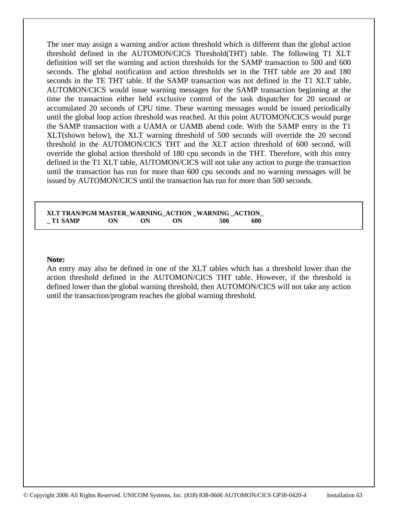The user may assign a warning and/or action threshold which is different than the global action threshold defined in the AUTOMON/CICS Threshold(THT) table. The following T1 XLT definition will set the warning and action thresholds for the SAMP transaction to 500 and 600 seconds. The global notification and action thresholds set in the THT table are 20 and 180 seconds in the TE THT table. If the SAMP transaction was not defined in the T1 XLT table, AUTOMON/CICS would issue warning messages for the SAMP transaction beginning at the time the transaction either held exclusive control of the task dispatcher for 20 second or accumulated 20 seconds of CPU time. These warning messages would be issued periodically until the global loop action threshold was reached. At this point AUTOMON/CICS would purge the SAMP transaction with a UAMA or UAMB abend code. With the SAMP entry in the T1 XLT(shown below), the XLT warning threshold of 500 seconds will override the 20 second threshold in the AUTOMON/CICS THT and the XLT action threshold of 600 second, will override the global action threshold of 180 cpu seconds in the THT. Therefore, with this entry defined in the T1 XLT table, AUTOMON/CICS will not take any action to purge the transaction until the transaction has run for more than 600 cpu seconds and no warning messages will be issued by AUTOMON/CICS until the transaction has run for more than 500 seconds.

**XLT TRAN/PGM MASTER\_WARNING\_ACTION \_WARNING \_ACTION\_ \_ T1 SAMP ON ON ON 500 600** 

#### **Note:**

An entry may also be defined in one of the XLT tables which has a threshold lower than the action threshold defined in the AUTOMON/CICS THT table. However, if the threshold is defined lower than the global warning threshold, then AUTOMON/CICS will not take any action until the transaction/program reaches the global warning threshold.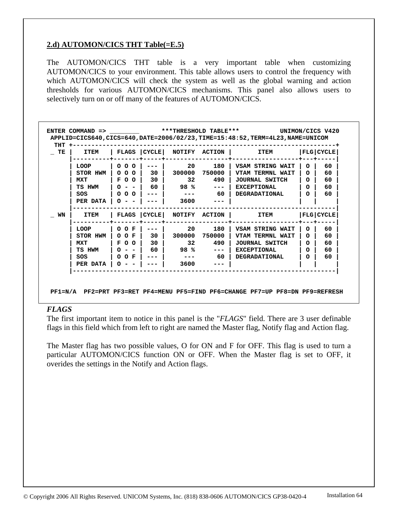## **2.d) AUTOMON/CICS THT Table(=E.5)**

The AUTOMON/CICS THT table is a very important table when customizing AUTOMON/CICS to your environment. This table allows users to control the frequency with which AUTOMON/CICS will check the system as well as the global warning and action thresholds for various AUTOMON/CICS mechanisms. This panel also allows users to selectively turn on or off many of the features of AUTOMON/CICS.

| T E | <b>ITEM</b> | FLAGS        | CYCLE <sup>1</sup> | NOTIFY          | <b>ACTION</b> | <b>ITEM</b>        |          | FLG CYCLE   |
|-----|-------------|--------------|--------------------|-----------------|---------------|--------------------|----------|-------------|
|     | <b>LOOP</b> | 000          |                    | 20              | 180           | VSAM STRING WAIT   | O        | 60          |
|     | STOR HWM    | 000          | 30                 |                 | 300000 750000 | VTAM TERMNL WAIT   | $\Omega$ | 60          |
|     | <b>MXT</b>  | $F$ O O      | 30                 | 32              | 490           | JOURNAL SWITCH     | $\Omega$ | 60          |
|     | TS HWM      | $0 - -$      | 60                 | 98 %            | $\frac{1}{2}$ | <b>EXCEPTIONAL</b> | $\Omega$ | 60          |
|     | SOS         | 000          |                    |                 | 60            | DEGRADATIONAL      | $\Omega$ | 60          |
|     | PER DATA    |              |                    | 3600            |               |                    |          |             |
| WN  | <b>ITEM</b> | <b>FLAGS</b> | CYCLE              |                 | NOTIFY ACTION | <b>ITEM</b>        |          | FLG   CYCLE |
|     | <b>LOOP</b> | O O F        |                    | 20 —            | 180           | VSAM STRING WAIT   | $\Omega$ | 60          |
|     | STOR HWM    | O O F        | 30                 | 300000          | 750000        | VTAM TERMNL WAIT   | $\Omega$ | 60          |
|     | <b>MXT</b>  | F O O        | 30                 | 32 <sub>2</sub> | 490           | JOURNAL SWITCH     | $\Omega$ | 60          |
|     | TS HWM      |              | 60                 | 98%             |               | <b>EXCEPTIONAL</b> | $\Omega$ | 60          |
|     | SOS         | O O F        |                    |                 | - 60          | DEGRADATIONAL      | $\Omega$ | 60          |
|     | PER DATA    |              |                    | 3600            |               |                    |          |             |

#### *FLAGS*

The first important item to notice in this panel is the "*FLAGS*" field. There are 3 user definable flags in this field which from left to right are named the Master flag, Notify flag and Action flag.

The Master flag has two possible values, O for ON and F for OFF. This flag is used to turn a particular AUTOMON/CICS function ON or OFF. When the Master flag is set to OFF, it overides the settings in the Notify and Action flags.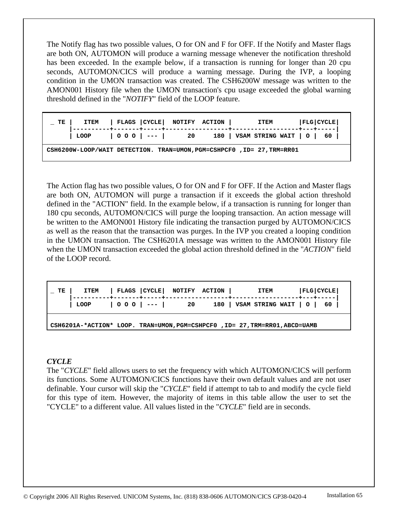The Notify flag has two possible values, O for ON and F for OFF. If the Notify and Master flags are both ON, AUTOMON will produce a warning message whenever the notification threshold has been exceeded. In the example below, if a transaction is running for longer than 20 cpu seconds, AUTOMON/CICS will produce a warning message. During the IVP, a looping condition in the UMON transaction was created. The CSH6200W message was written to the AMON001 History file when the UMON transaction's cpu usage exceeded the global warning threshold defined in the "*NOTIFY*" field of the LOOP feature.

| TE |                         | ITEM   FLAGS   CYCLE   NOTIFY ACTION |  | ITEM                                                                   | FLG CYCLE |
|----|-------------------------|--------------------------------------|--|------------------------------------------------------------------------|-----------|
|    | LOOP   0 0 0   ---   20 |                                      |  | 180   VSAM STRING WAIT $\vert$ 0 $\vert$ 60                            |           |
|    |                         |                                      |  | CSH6200W-LOOP/WAIT DETECTION. TRAN=UMON, PGM=CSHPCF0, ID= 27, TRM=RR01 |           |

The Action flag has two possible values, O for ON and F for OFF. If the Action and Master flags are both ON, AUTOMON will purge a transaction if it exceeds the global action threshold defined in the "ACTION" field. In the example below, if a transaction is running for longer than 180 cpu seconds, AUTOMON/CICS will purge the looping transaction. An action message will be written to the AMON001 History file indicating the transaction purged by AUTOMON/CICS as well as the reason that the transaction was purges. In the IVP you created a looping condition in the UMON transaction. The CSH6201A message was written to the AMON001 History file when the UMON transaction exceeded the global action threshold defined in the "*ACTION*" field of the LOOP record.

| $\begin{bmatrix} 0 & 0 & 0 \\ -1 & -1 & 20 \end{bmatrix}$ = $\begin{bmatrix} 20 & 180 \\ 180 & 180 \end{bmatrix}$ VSAM STRING WAIT $\begin{bmatrix} 0 & 1 \\ 0 & 1 \end{bmatrix}$<br>$\overline{1}$ LOOP | TE I | ITEM   FLAGS   CYCLE   NOTIFY ACTION |  | <b>ITEM</b> | FLG CYCLE |
|----------------------------------------------------------------------------------------------------------------------------------------------------------------------------------------------------------|------|--------------------------------------|--|-------------|-----------|
|                                                                                                                                                                                                          |      |                                      |  |             |           |

 **CSH6201A-\*ACTION\* LOOP. TRAN=UMON,PGM=CSHPCF0 ,ID= 27,TRM=RR01,ABCD=UAMB**

## *CYCLE*

The "*CYCLE*" field allows users to set the frequency with which AUTOMON/CICS will perform its functions. Some AUTOMON/CICS functions have their own default values and are not user definable. Your cursor will skip the "*CYCLE*" field if attempt to tab to and modify the cycle field for this type of item. However, the majority of items in this table allow the user to set the "CYCLE" to a different value. All values listed in the "*CYCLE*" field are in seconds.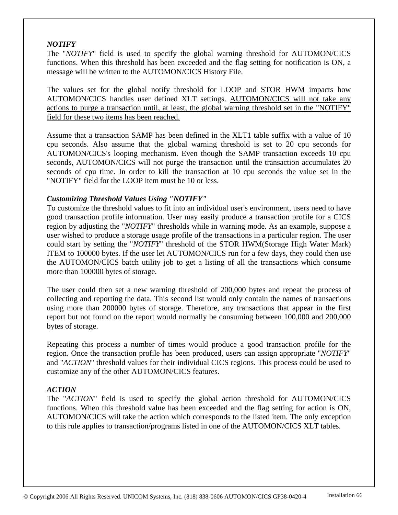## *NOTIFY*

The "*NOTIFY*" field is used to specify the global warning threshold for AUTOMON/CICS functions. When this threshold has been exceeded and the flag setting for notification is ON, a message will be written to the AUTOMON/CICS History File.

The values set for the global notify threshold for LOOP and STOR HWM impacts how AUTOMON/CICS handles user defined XLT settings. AUTOMON/CICS will not take any actions to purge a transaction until, at least, the global warning threshold set in the "NOTIFY" field for these two items has been reached.

Assume that a transaction SAMP has been defined in the XLT1 table suffix with a value of 10 cpu seconds. Also assume that the global warning threshold is set to 20 cpu seconds for AUTOMON/CICS's looping mechanism. Even though the SAMP transaction exceeds 10 cpu seconds, AUTOMON/CICS will not purge the transaction until the transaction accumulates 20 seconds of cpu time. In order to kill the transaction at 10 cpu seconds the value set in the "NOTIFY" field for the LOOP item must be 10 or less.

## *Customizing Threshold Values Using "NOTIFY"*

To customize the threshold values to fit into an individual user's environment, users need to have good transaction profile information. User may easily produce a transaction profile for a CICS region by adjusting the "*NOTIFY*" thresholds while in warning mode. As an example, suppose a user wished to produce a storage usage profile of the transactions in a particular region. The user could start by setting the "*NOTIFY*" threshold of the STOR HWM(Storage High Water Mark) ITEM to 100000 bytes. If the user let AUTOMON/CICS run for a few days, they could then use the AUTOMON/CICS batch utility job to get a listing of all the transactions which consume more than 100000 bytes of storage.

The user could then set a new warning threshold of 200,000 bytes and repeat the process of collecting and reporting the data. This second list would only contain the names of transactions using more than 200000 bytes of storage. Therefore, any transactions that appear in the first report but not found on the report would normally be consuming between 100,000 and 200,000 bytes of storage.

Repeating this process a number of times would produce a good transaction profile for the region. Once the transaction profile has been produced, users can assign appropriate "*NOTIFY*" and "*ACTION*" threshold values for their individual CICS regions. This process could be used to customize any of the other AUTOMON/CICS features.

#### *ACTION*

The "*ACTION*" field is used to specify the global action threshold for AUTOMON/CICS functions. When this threshold value has been exceeded and the flag setting for action is ON, AUTOMON/CICS will take the action which corresponds to the listed item. The only exception to this rule applies to transaction/programs listed in one of the AUTOMON/CICS XLT tables.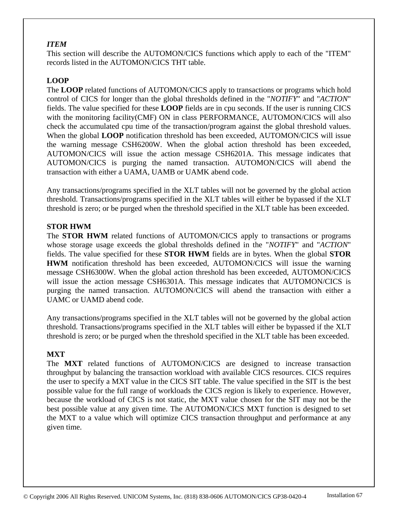## *ITEM*

This section will describe the AUTOMON/CICS functions which apply to each of the "ITEM" records listed in the AUTOMON/CICS THT table.

# **LOOP**

The **LOOP** related functions of AUTOMON/CICS apply to transactions or programs which hold control of CICS for longer than the global thresholds defined in the "*NOTIFY*" and "*ACTION*" fields. The value specified for these **LOOP** fields are in cpu seconds. If the user is running CICS with the monitoring facility(CMF) ON in class PERFORMANCE, AUTOMON/CICS will also check the accumulated cpu time of the transaction/program against the global threshold values. When the global **LOOP** notification threshold has been exceeded, AUTOMON/CICS will issue the warning message CSH6200W. When the global action threshold has been exceeded, AUTOMON/CICS will issue the action message CSH6201A. This message indicates that AUTOMON/CICS is purging the named transaction. AUTOMON/CICS will abend the transaction with either a UAMA, UAMB or UAMK abend code.

Any transactions/programs specified in the XLT tables will not be governed by the global action threshold. Transactions/programs specified in the XLT tables will either be bypassed if the XLT threshold is zero; or be purged when the threshold specified in the XLT table has been exceeded.

## **STOR HWM**

The **STOR HWM** related functions of AUTOMON/CICS apply to transactions or programs whose storage usage exceeds the global thresholds defined in the "*NOTIFY*" and "*ACTION*" fields. The value specified for these **STOR HWM** fields are in bytes. When the global **STOR HWM** notification threshold has been exceeded, AUTOMON/CICS will issue the warning message CSH6300W. When the global action threshold has been exceeded, AUTOMON/CICS will issue the action message CSH6301A. This message indicates that AUTOMON/CICS is purging the named transaction. AUTOMON/CICS will abend the transaction with either a UAMC or UAMD abend code.

Any transactions/programs specified in the XLT tables will not be governed by the global action threshold. Transactions/programs specified in the XLT tables will either be bypassed if the XLT threshold is zero; or be purged when the threshold specified in the XLT table has been exceeded.

## **MXT**

The **MXT** related functions of AUTOMON/CICS are designed to increase transaction throughput by balancing the transaction workload with available CICS resources. CICS requires the user to specify a MXT value in the CICS SIT table. The value specified in the SIT is the best possible value for the full range of workloads the CICS region is likely to experience. However, because the workload of CICS is not static, the MXT value chosen for the SIT may not be the best possible value at any given time. The AUTOMON/CICS MXT function is designed to set the MXT to a value which will optimize CICS transaction throughput and performance at any given time.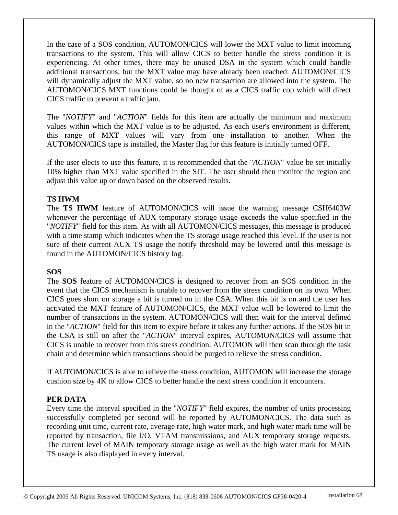In the case of a SOS condition, AUTOMON/CICS will lower the MXT value to limit incoming transactions to the system. This will allow CICS to better handle the stress condition it is experiencing. At other times, there may be unused DSA in the system which could handle additional transactions, but the MXT value may have already been reached. AUTOMON/CICS will dynamically adjust the MXT value, so no new transaction are allowed into the system. The AUTOMON/CICS MXT functions could be thought of as a CICS traffic cop which will direct CICS traffic to prevent a traffic jam.

The "*NOTIFY*" and "*ACTION*" fields for this item are actually the minimum and maximum values within which the MXT value is to be adjusted. As each user's environment is different, this range of MXT values will vary from one installation to another. When the AUTOMON/CICS tape is installed, the Master flag for this feature is initially turned OFF.

If the user elects to use this feature, it is recommended that the "*ACTION*" value be set initially 10% higher than MXT value specified in the SIT. The user should then monitor the region and adjust this value up or down based on the observed results.

## **TS HWM**

The **TS HWM** feature of AUTOMON/CICS will issue the warning message CSH6403W whenever the percentage of AUX temporary storage usage exceeds the value specified in the "*NOTIFY*" field for this item. As with all AUTOMON/CICS messages, this message is produced with a time stamp which indicates when the TS storage usage reached this level. If the user is not sure of their current AUX TS usage the notify threshold may be lowered until this message is found in the AUTOMON/CICS history log.

# **SOS**

The **SOS** feature of AUTOMON/CICS is designed to recover from an SOS condition in the event that the CICS mechanism is unable to recover from the stress condition on its own. When CICS goes short on storage a bit is turned on in the CSA. When this bit is on and the user has activated the MXT feature of AUTOMON/CICS, the MXT value will be lowered to limit the number of transactions in the system. AUTOMON/CICS will then wait for the interval defined in the "*ACTION*" field for this item to expire before it takes any further actions. If the SOS bit in the CSA is still on after the "*ACTION*" interval expires, AUTOMON/CICS will assume that CICS is unable to recover from this stress condition. AUTOMON will then scan through the task chain and determine which transactions should be purged to relieve the stress condition.

If AUTOMON/CICS is able to relieve the stress condition, AUTOMON will increase the storage cushion size by 4K to allow CICS to better handle the next stress condition it encounters.

# **PER DATA**

Every time the interval specified in the "*NOTIFY*" field expires, the number of units processing successfully completed per second will be reported by AUTOMON/CICS. The data such as recording unit time, current rate, average rate, high water mark, and high water mark time will be reported by transaction, file I/O, VTAM transmissions, and AUX temporary storage requests. The current level of MAIN temporary storage usage as well as the high water mark for MAIN TS usage is also displayed in every interval.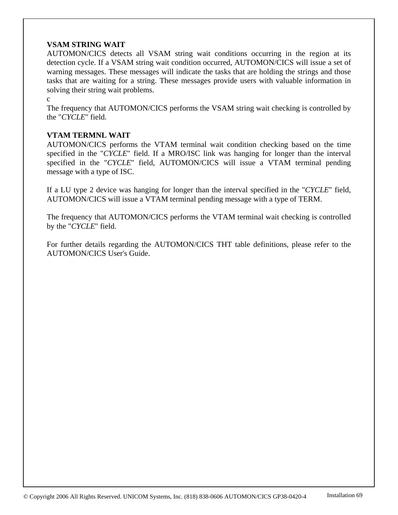## **VSAM STRING WAIT**

AUTOMON/CICS detects all VSAM string wait conditions occurring in the region at its detection cycle. If a VSAM string wait condition occurred, AUTOMON/CICS will issue a set of warning messages. These messages will indicate the tasks that are holding the strings and those tasks that are waiting for a string. These messages provide users with valuable information in solving their string wait problems.

c

The frequency that AUTOMON/CICS performs the VSAM string wait checking is controlled by the "*CYCLE*" field.

## **VTAM TERMNL WAIT**

AUTOMON/CICS performs the VTAM terminal wait condition checking based on the time specified in the "*CYCLE*" field. If a MRO/ISC link was hanging for longer than the interval specified in the "*CYCLE*" field, AUTOMON/CICS will issue a VTAM terminal pending message with a type of ISC.

If a LU type 2 device was hanging for longer than the interval specified in the "*CYCLE*" field, AUTOMON/CICS will issue a VTAM terminal pending message with a type of TERM.

The frequency that AUTOMON/CICS performs the VTAM terminal wait checking is controlled by the "*CYCLE*" field.

For further details regarding the AUTOMON/CICS THT table definitions, please refer to the AUTOMON/CICS User's Guide.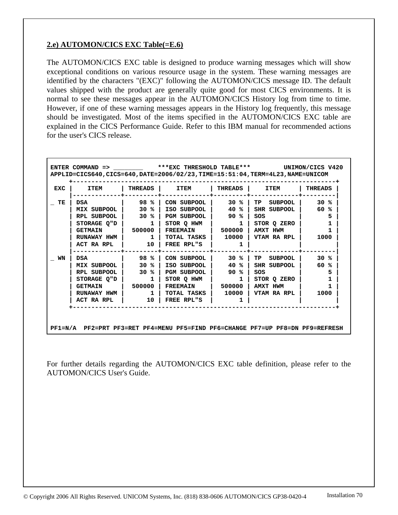## **2.e) AUTOMON/CICS EXC Table(=E.6)**

The AUTOMON/CICS EXC table is designed to produce warning messages which will show exceptional conditions on various resource usage in the system. These warning messages are identified by the characters "(EXC)" following the AUTOMON/CICS message ID. The default values shipped with the product are generally quite good for most CICS environments. It is normal to see these messages appear in the AUTOMON/CICS History log from time to time. However, if one of these warning messages appears in the History log frequently, this message should be investigated. Most of the items specified in the AUTOMON/CICS EXC table are explained in the CICS Performance Guide. Refer to this IBM manual for recommended actions for the user's CICS release.

| <b>EXC</b> | <b>ITEM</b>    | THREADS | <b>ITEM</b>          | THREADS      | <b>ITEM</b>          | <b>THREADS</b> |
|------------|----------------|---------|----------------------|--------------|----------------------|----------------|
| TE         | <b>DSA</b>     | 98 %    | CON SUBPOOL          | 30%          | <b>TP</b><br>SUBPOOL | 30%            |
|            | MIX SUBPOOL    | 30 %    | ISO SUBPOOL          | 40 %         | SHR SUBPOOL          | 60 %           |
|            | RPL SUBPOOL    | 30 %    | <b>PGM SUBPOOL  </b> | 90 %         | SOS                  | 5              |
|            | STORAGE O"D    | 1       | STOR O HWM           | $\mathbf{1}$ | STOR Q ZERO          |                |
|            | <b>GETMAIN</b> | 500000  | <b>FREEMAIN</b>      | 500000       | AMXT HWM             |                |
|            | RUNAWAY HWM    | 1       | TOTAL TASKS          | 10000        | VTAM RA RPL          | 1000           |
|            | ACT RA RPL     | 10      | FREE RPL"S           |              |                      |                |
| WN         | <b>DSA</b>     | 98 %    | CON SUBPOOL          | 30%          | <b>TP</b><br>SUBPOOL | $30*$          |
|            | MIX SUBPOOL    | 30 %    | ISO SUBPOOL          | 40<br>°≈     | SHR SUBPOOL          | 60<br>℁        |
|            | RPL SUBPOOL    | 30 %    | PGM SUBPOOL          | 90 %         | SOS                  | 5              |
|            | STORAGE O"D    | 1       | STOR O HWM           | 1            | STOR O ZERO          | 1              |
|            | <b>GETMAIN</b> | 500000  | <b>FREEMAIN</b>      | 500000       | AMXT HWM             |                |
|            | RUNAWAY HWM    | 1       | TOTAL TASKS I        | 10000        | VTAM RA RPL          | 1000           |
|            | ACT RA RPL     | 10      | FREE RPL"S           | 1            |                      |                |

For further details regarding the AUTOMON/CICS EXC table definition, please refer to the AUTOMON/CICS User's Guide.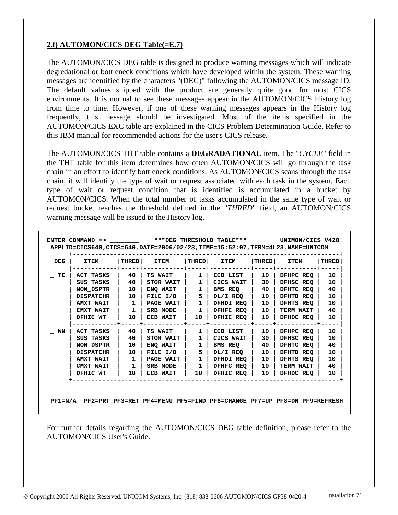# **2.f) AUTOMON/CICS DEG Table(=E.7)**

The AUTOMON/CICS DEG table is designed to produce warning messages which will indicate degredational or bottleneck conditions which have developed within the system. These warning messages are identified by the characters "(DEG)" following the AUTOMON/CICS message ID. The default values shipped with the product are generally quite good for most CICS environments. It is normal to see these messages appear in the AUTOMON/CICS History log from time to time. However, if one of these warning messages appears in the History log frequently, this message should be investigated. Most of the items specified in the AUTOMON/CICS EXC table are explained in the CICS Problem Determination Guide. Refer to this IBM manual for recommended actions for the user's CICS release.

The AUTOMON/CICS THT table contains a **DEGRADATIONAL** item. The "*CYCLE*" field in the THT table for this item determines how often AUTOMON/CICS will go through the task chain in an effort to identify bottleneck conditions. As AUTOMON/CICS scans through the task chain, it will identify the type of wait or request associated with each task in the system. Each type of wait or request condition that is identified is accumulated in a bucket by AUTOMON/CICS. When the total number of tasks accumulated in the same type of wait or request bucket reaches the threshold defined in the "*THRED*" field, an AUTOMON/CICS warning message will be issued to the History log.

| TE<br>ACT TASKS<br>TS WAIT<br>DFHPC REO<br>40<br>ECB LIST<br>10<br>1<br>SUS TASKS<br>40<br>30<br>DFHSC REQ<br>STOR WAIT<br>1<br>CICS WAIT<br>NON DSPTR<br>10<br>ENO WAIT<br>1<br>BMS REQ<br>40<br><b>DFHTC REQ</b><br>5<br>FILE I/O<br>10<br>DFHTD REQ<br><b>DISPATCHR</b><br>10<br>DL/I REQ<br>1<br>10<br><b>AMXT WAIT</b><br><b>PAGE WAIT</b><br>DFHDI REQ  <br><b>DFHTS REO</b><br>1<br>1<br>CMXT WAIT<br>SRB MODE<br>DFHFC REO  <br>10<br>1<br><b>TERM WAIT</b><br>DFHIC REO<br>DFHIC WT<br>10<br>ECB WAIT<br>10<br>10<br>DFHDC REO | 10<br>10<br>40 |
|-----------------------------------------------------------------------------------------------------------------------------------------------------------------------------------------------------------------------------------------------------------------------------------------------------------------------------------------------------------------------------------------------------------------------------------------------------------------------------------------------------------------------------------------|----------------|
|                                                                                                                                                                                                                                                                                                                                                                                                                                                                                                                                         |                |
|                                                                                                                                                                                                                                                                                                                                                                                                                                                                                                                                         |                |
|                                                                                                                                                                                                                                                                                                                                                                                                                                                                                                                                         |                |
|                                                                                                                                                                                                                                                                                                                                                                                                                                                                                                                                         | 10             |
|                                                                                                                                                                                                                                                                                                                                                                                                                                                                                                                                         | 10             |
|                                                                                                                                                                                                                                                                                                                                                                                                                                                                                                                                         | 40             |
|                                                                                                                                                                                                                                                                                                                                                                                                                                                                                                                                         | 10             |
| DFHPC REQ<br>WN<br>ACT TASKS<br>40<br>TS WAIT<br>ECB LIST<br>10<br>1                                                                                                                                                                                                                                                                                                                                                                                                                                                                    | 10             |
| SUS TASKS<br>DFHSC REQ<br>40<br>STOR WAIT<br>CICS WAIT<br>30<br>1                                                                                                                                                                                                                                                                                                                                                                                                                                                                       | 10             |
| <b>DFHTC REQ</b><br>NON DSPTR<br>10<br>ENO WAIT<br>1<br>BMS REO<br>40                                                                                                                                                                                                                                                                                                                                                                                                                                                                   | 40             |
| 5<br><b>DISPATCHR</b><br>10<br>FILE I/O<br>DL/I REQ<br>10<br>DFHTD REQ                                                                                                                                                                                                                                                                                                                                                                                                                                                                  | 10             |
| $\mathbf{1}$<br><b>AMXT WAIT</b><br>PAGE WAIT<br>DFHDI REQ  <br>10<br><b>DFHTS REQ</b><br>ı                                                                                                                                                                                                                                                                                                                                                                                                                                             | 10             |
| CMXT WAIT<br>SRB MODE<br>DFHFC REQ<br>10<br>$\mathbf{1}$<br>TERM WAIT<br>1                                                                                                                                                                                                                                                                                                                                                                                                                                                              | 40             |
|                                                                                                                                                                                                                                                                                                                                                                                                                                                                                                                                         |                |

For further details regarding the AUTOMON/CICS DEG table definition, please refer to the AUTOMON/CICS User's Guide.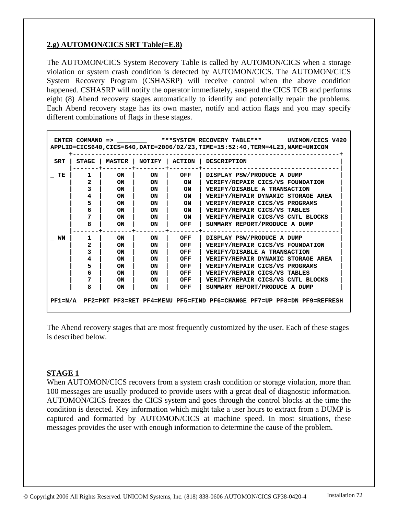# **2.g) AUTOMON/CICS SRT Table(=E.8)**

The AUTOMON/CICS System Recovery Table is called by AUTOMON/CICS when a storage violation or system crash condition is detected by AUTOMON/CICS. The AUTOMON/CICS System Recovery Program (CSHASRP) will receive control when the above condition happened. CSHASRP will notify the operator immediately, suspend the CICS TCB and performs eight (8) Abend recovery stages automatically to identify and potentially repair the problems. Each Abend recovery stage has its own master, notify and action flags and you may specify different combinations of flags in these stages.

|            | ENTER COMMAND => *** SYSTEM RECOVERY TABLE*** UNIMON/CICS V420<br>APPLID=CICS640,CICS=640,DATE=2006/02/23,TIME=15:52:40,TERM=4L23,NAME=UNICOM |               |           |               |                                                                                |  |  |  |  |
|------------|-----------------------------------------------------------------------------------------------------------------------------------------------|---------------|-----------|---------------|--------------------------------------------------------------------------------|--|--|--|--|
| <b>SRT</b> | <b>STAGE</b>                                                                                                                                  | <b>MASTER</b> | NOTIFY    | <b>ACTION</b> | <b>DESCRIPTION</b>                                                             |  |  |  |  |
| TE         | 1                                                                                                                                             | <b>ON</b>     | ON.       | OFF           | DISPLAY PSW/PRODUCE A DUMP                                                     |  |  |  |  |
|            | 2                                                                                                                                             | <b>ON</b>     | <b>ON</b> | <b>ON</b>     | VERIFY/REPAIR CICS/VS FOUNDATION                                               |  |  |  |  |
|            | 3                                                                                                                                             | <b>ON</b>     | <b>ON</b> | <b>ON</b>     | VERIFY/DISABLE A TRANSACTION                                                   |  |  |  |  |
|            | 4                                                                                                                                             | ON            | ON        | <b>ON</b>     | VERIFY/REPAIR DYNAMIC STORAGE AREA                                             |  |  |  |  |
|            | 5                                                                                                                                             | <b>ON</b>     | ON        | <b>ON</b>     | VERIFY/REPAIR CICS/VS PROGRAMS                                                 |  |  |  |  |
|            | 6                                                                                                                                             | <b>ON</b>     | ON        | <b>ON</b>     | VERIFY/REPAIR CICS/VS TABLES                                                   |  |  |  |  |
|            | 7                                                                                                                                             | <b>ON</b>     | <b>ON</b> | ON            | VERIFY/REPAIR CICS/VS CNTL BLOCKS                                              |  |  |  |  |
|            | 8                                                                                                                                             | <b>ON</b>     | ON        | OFF           | SUMMARY REPORT/PRODUCE A DUMP                                                  |  |  |  |  |
| WN         | 1                                                                                                                                             | <b>ON</b>     | <b>ON</b> | OFF           | DISPLAY PSW/PRODUCE A DUMP                                                     |  |  |  |  |
|            | 2                                                                                                                                             | <b>ON</b>     | <b>ON</b> | OFF           | VERIFY/REPAIR CICS/VS FOUNDATION                                               |  |  |  |  |
|            | 3                                                                                                                                             | <b>ON</b>     | <b>ON</b> | OFF           | VERIFY/DISABLE A TRANSACTION                                                   |  |  |  |  |
|            | 4                                                                                                                                             | <b>ON</b>     | ON        | OFF           | VERIFY/REPAIR DYNAMIC STORAGE AREA                                             |  |  |  |  |
|            | 5                                                                                                                                             | <b>ON</b>     | <b>ON</b> | OFF           | VERIFY/REPAIR CICS/VS PROGRAMS                                                 |  |  |  |  |
|            | 6                                                                                                                                             | <b>ON</b>     | <b>ON</b> | OFF           | VERIFY/REPAIR CICS/VS TABLES                                                   |  |  |  |  |
|            | 7                                                                                                                                             | <b>ON</b>     | <b>ON</b> | OFF           | VERIFY/REPAIR CICS/VS CNTL BLOCKS                                              |  |  |  |  |
|            | 8                                                                                                                                             | ON            | ON        | OFF           | SUMMARY REPORT/PRODUCE A DUMP                                                  |  |  |  |  |
|            |                                                                                                                                               |               |           |               | PF1=N/A PF2=PRT PF3=RET PF4=MENU PF5=FIND PF6=CHANGE PF7=UP PF8=DN PF9=REFRESH |  |  |  |  |

The Abend recovery stages that are most frequently customized by the user. Each of these stages is described below.

#### **STAGE 1**

When AUTOMON/CICS recovers from a system crash condition or storage violation, more than 100 messages are usually produced to provide users with a great deal of diagnostic information. AUTOMON/CICS freezes the CICS system and goes through the control blocks at the time the condition is detected. Key information which might take a user hours to extract from a DUMP is captured and formatted by AUTOMON/CICS at machine speed. In most situations, these messages provides the user with enough information to determine the cause of the problem.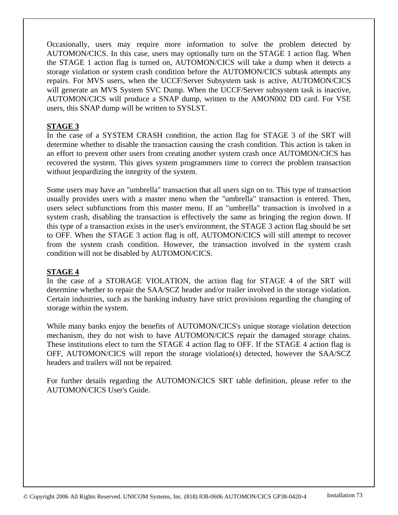Occasionally, users may require more information to solve the problem detected by AUTOMON/CICS. In this case, users may optionally turn on the STAGE 1 action flag. When the STAGE 1 action flag is turned on, AUTOMON/CICS will take a dump when it detects a storage violation or system crash condition before the AUTOMON/CICS subtask attempts any repairs. For MVS users, when the UCCF/Server Subsystem task is active, AUTOMON/CICS will generate an MVS System SVC Dump. When the UCCF/Server subsystem task is inactive, AUTOMON/CICS will produce a SNAP dump, written to the AMON002 DD card. For VSE users, this SNAP dump will be written to SYSLST.

#### **STAGE 3**

In the case of a SYSTEM CRASH condition, the action flag for STAGE 3 of the SRT will determine whether to disable the transaction causing the crash condition. This action is taken in an effort to prevent other users from creating another system crash once AUTOMON/CICS has recovered the system. This gives system programmers time to correct the problem transaction without jeopardizing the integrity of the system.

Some users may have an "umbrella" transaction that all users sign on to. This type of transaction usually provides users with a master menu when the "umbrella" transaction is entered. Then, users select subfunctions from this master menu. If an "umbrella" transaction is involved in a system crash, disabling the transaction is effectively the same as bringing the region down. If this type of a transaction exists in the user's environment, the STAGE 3 action flag should be set to OFF. When the STAGE 3 action flag is off, AUTOMON/CICS will still attempt to recover from the system crash condition. However, the transaction involved in the system crash condition will not be disabled by AUTOMON/CICS.

## **STAGE 4**

In the case of a STORAGE VIOLATION, the action flag for STAGE 4 of the SRT will determine whether to repair the SAA/SCZ header and/or trailer involved in the storage violation. Certain industries, such as the banking industry have strict provisions regarding the changing of storage within the system.

While many banks enjoy the benefits of AUTOMON/CICS's unique storage violation detection mechanism, they do not wish to have AUTOMON/CICS repair the damaged storage chains. These institutions elect to turn the STAGE 4 action flag to OFF. If the STAGE 4 action flag is OFF, AUTOMON/CICS will report the storage violation(s) detected, however the SAA/SCZ headers and trailers will not be repaired.

For further details regarding the AUTOMON/CICS SRT table definition, please refer to the AUTOMON/CICS User's Guide.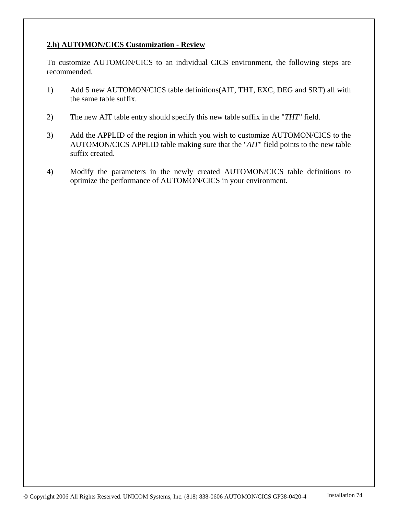## **2.h) AUTOMON/CICS Customization - Review**

To customize AUTOMON/CICS to an individual CICS environment, the following steps are recommended.

- 1) Add 5 new AUTOMON/CICS table definitions(AIT, THT, EXC, DEG and SRT) all with the same table suffix.
- 2) The new AIT table entry should specify this new table suffix in the "*THT*" field.
- 3) Add the APPLID of the region in which you wish to customize AUTOMON/CICS to the AUTOMON/CICS APPLID table making sure that the "*AIT*" field points to the new table suffix created.
- 4) Modify the parameters in the newly created AUTOMON/CICS table definitions to optimize the performance of AUTOMON/CICS in your environment.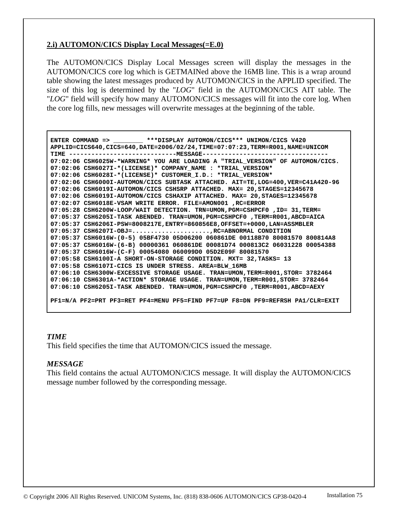## **2.i) AUTOMON/CICS Display Local Messages(=E.0)**

The AUTOMON/CICS Display Local Messages screen will display the messages in the AUTOMON/CICS core log which is GETMAINed above the 16MB line. This is a wrap around table showing the latest messages produced by AUTOMON/CICS in the APPLID specified. The size of this log is determined by the "*LOG*" field in the AUTOMON/CICS AIT table. The "*LOG*" field will specify how many AUTOMON/CICS messages will fit into the core log. When the core log fills, new messages will overwrite messages at the beginning of the table.

```
 ENTER COMMAND => ________ ***DISPLAY AUTOMON/CICS*** UNIMON/CICS V420 
 APPLID=CICS640,CICS=640,DATE=2006/02/24,TIME=07:07:23,TERM=R001,NAME=UNICOM 
 TIME -----------------------------MESSAGE---------------------------------- 
 07:02:06 CSH6025W-*WARNING* YOU ARE LOADING A "TRIAL_VERSION" OF AUTOMON/CICS. 
 07:02:06 CSH6027I-*(LICENSE)* COMPANY_NAME : *TRIAL_VERSION* 
 07:02:06 CSH6028I-*(LICENSE)* CUSTOMER_I.D.: *TRIAL_VERSION* 
 07:02:06 CSH6000I-AUTOMON/CICS SUBTASK ATTACHED. AIT=TE,LOG=400,VER=C41A420-96 
 07:02:06 CSH6019I-AUTOMON/CICS CSHSRP ATTACHED. MAX= 20,STAGES=12345678 
 07:02:06 CSH6019I-AUTOMON/CICS CSHAXIP ATTACHED. MAX= 20,STAGES=12345678 
 07:02:07 CSH6018E-VSAM WRITE ERROR. FILE=AMON001 ,RC=ERROR 
 07:05:28 CSH6200W-LOOP/WAIT DETECTION. TRN=UMON,PGM=CSHPCF0 ,ID= 31,TERM= 
 07:05:37 CSH6205I-TASK ABENDED. TRAN=UMON,PGM=CSHPCF0 ,TERM=R001,ABCD=AICA 
 07:05:37 CSH6206I-PSW=8008217E,ENTRY=860856E8,OFFSET=+0000,LAN=ASSMBLER 
 07:05:37 CSH6207I-OBJ=.....................,RC=ABNORMAL CONDITION 
 07:05:37 CSH6016W-(0-5) 05BF4730 05D06200 060861DE 00118B70 80081570 800814A8 
 07:05:37 CSH6016W-(6-B) 00000361 060861DE 00081D74 000813C2 06031228 00054388 
 07:05:37 CSH6016W-(C-F) 00054080 060099D0 05D2E09F 80081570 
 07:05:58 CSH6100I-A SHORT-ON-STORAGE CONDITION. MXT= 32,TASKS= 13 
 07:05:58 CSH6107I-CICS IS UNDER STRESS. AREA=BLW_16MB 
 07:06:10 CSH6300W-EXCESSIVE STORAGE USAGE. TRAN=UMON,TERM=R001,STOR= 3782464 
 07:06:10 CSH6301A-*ACTION* STORAGE USAGE. TRAN=UMON,TERM=R001,STOR= 3782464 
 07:06:10 CSH6205I-TASK ABENDED. TRAN=UMON,PGM=CSHPCF0 ,TERM=R001,ABCD=AEXY 
 PF1=N/A PF2=PRT PF3=RET PF4=MENU PF5=FIND PF7=UP F8=DN PF9=REFRSH PA1/CLR=EXIT
```
#### *TIME*

This field specifies the time that AUTOMON/CICS issued the message.

## *MESSAGE*

This field contains the actual AUTOMON/CICS message. It will display the AUTOMON/CICS message number followed by the corresponding message.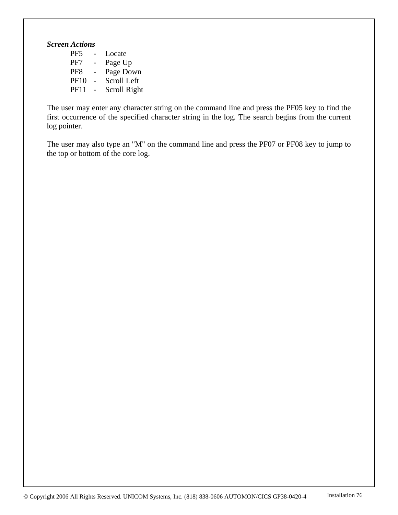# *Screen Actions*

| PF <sub>5</sub> | Locate       |
|-----------------|--------------|
| PF7             | Page Up      |
| PF <sub>8</sub> | Page Down    |
| <b>PF10</b>     | Scroll Left  |
| <b>PF11</b>     | Scroll Right |

The user may enter any character string on the command line and press the PF05 key to find the first occurrence of the specified character string in the log. The search begins from the current log pointer.

The user may also type an "M" on the command line and press the PF07 or PF08 key to jump to the top or bottom of the core log.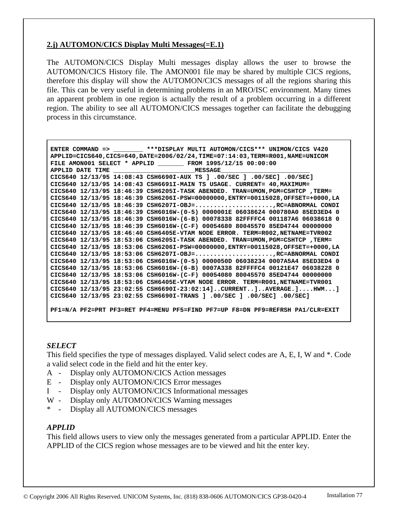## **2.j) AUTOMON/CICS Display Multi Messages(=E.1)**

The AUTOMON/CICS Display Multi messages display allows the user to browse the AUTOMON/CICS History file. The AMON001 file may be shared by multiple CICS regions, therefore this display will show the AUTOMON/CICS messages of all the regions sharing this file. This can be very useful in determining problems in an MRO/ISC environment. Many times an apparent problem in one region is actually the result of a problem occurring in a different region. The ability to see all AUTOMON/CICS messages together can facilitate the debugging process in this circumstance.

 **ENTER COMMAND => \_\_\_\_\_\_\_\_ \*\*\*DISPLAY MULTI AUTOMON/CICS\*\*\* UNIMON/CICS V420 APPLID=CICS640,CICS=640,DATE=2006/02/24,TIME=07:14:03,TERM=R001,NAME=UNICOM FILE AMON001 SELECT \* APPLID \_\_\_\_\_\_\_ FROM 1995/12/15 00:00:00 APPLID DATE TIME \_\_\_\_\_\_\_\_\_\_\_\_\_\_\_\_\_\_\_\_\_\_MESSAGE\_\_\_\_\_\_\_\_\_\_\_\_\_\_\_\_\_\_\_\_\_\_\_\_ CICS640 12/13/95 14:08:43 CSH6690I-AUX TS ] .00/SEC ] .00/SEC] .00/SEC] CICS640 12/13/95 14:08:43 CSH6691I-MAIN TS USAGE. CURRENT= 40,MAXIMUM= CICS640 12/13/95 18:46:39 CSH6205I-TASK ABENDED. TRAN=UMON,PGM=CSHTCP ,TERM= CICS640 12/13/95 18:46:39 CSH6206I-PSW=00000000,ENTRY=00115028,OFFSET=+0000,LA CICS640 12/13/95 18:46:39 CSH6207I-OBJ=.....................,RC=ABNORMAL CONDI CICS640 12/13/95 18:46:39 CSH6016W-(0-5) 0000001E 06038624 000780A0 85ED3ED4 0 CICS640 12/13/95 18:46:39 CSH6016W-(6-B) 00078338 82FFFFC4 001187A6 06038618 0 CICS640 12/13/95 18:46:39 CSH6016W-(C-F) 00054680 80045570 85ED4744 00000000 CICS640 12/13/95 18:46:40 CSH6405E-VTAM NODE ERROR. TERM=R002,NETNAME=TVR002 CICS640 12/13/95 18:53:06 CSH6205I-TASK ABENDED. TRAN=UMON,PGM=CSHTCP ,TERM= CICS640 12/13/95 18:53:06 CSH6206I-PSW=00000000,ENTRY=00115028,OFFSET=+0000,LA CICS640 12/13/95 18:53:06 CSH6207I-OBJ=.....................,RC=ABNORMAL CONDI CICS640 12/13/95 18:53:06 CSH6016W-(0-5) 0000050D 06038234 0007A5A4 85ED3ED4 0 CICS640 12/13/95 18:53:06 CSH6016W-(6-B) 0007A338 82FFFFC4 00121E47 06038228 0 CICS640 12/13/95 18:53:06 CSH6016W-(C-F) 00054080 80045570 85ED4744 00000000 CICS640 12/13/95 18:53:06 CSH6405E-VTAM NODE ERROR. TERM=R001,NETNAME=TVR001 CICS640 12/13/95 23:02:55 CSH6690I-23:02:14]..CURRENT..]..AVERAGE.]....HWM...] CICS640 12/13/95 23:02:55 CSH6690I-TRANS ] .00/SEC ] .00/SEC] .00/SEC] PF1=N/A PF2=PRT PF3=RET PF4=MENU PF5=FIND PF7=UP F8=DN PF9=REFRSH PA1/CLR=EXIT** 

# *SELECT*

This field specifies the type of messages displayed. Valid select codes are A, E, I, W and \*. Code a valid select code in the field and hit the enter key.

- A Display only AUTOMON/CICS Action messages
- E Display only AUTOMON/CICS Error messages
- I Display only AUTOMON/CICS Informational messages
- W Display only AUTOMON/CICS Warning messages
- \* Display all AUTOMON/CICS messages

## *APPLID*

This field allows users to view only the messages generated from a particular APPLID. Enter the APPLID of the CICS region whose messages are to be viewed and hit the enter key.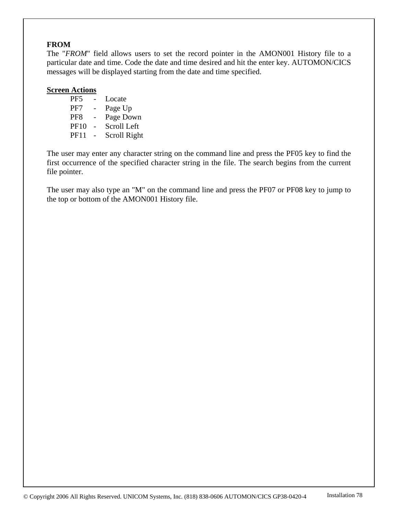# **FROM**

The "*FROM*" field allows users to set the record pointer in the AMON001 History file to a particular date and time. Code the date and time desired and hit the enter key. AUTOMON/CICS messages will be displayed starting from the date and time specified.

## **Screen Actions**

| PF <sub>5</sub> | Locate       |
|-----------------|--------------|
| PF7             | Page Up      |
| PF <sub>8</sub> | Page Down    |
| <b>PF10</b>     | Scroll Left  |
| <b>PF11</b>     | Scroll Right |
|                 |              |

The user may enter any character string on the command line and press the PF05 key to find the first occurrence of the specified character string in the file. The search begins from the current file pointer.

The user may also type an "M" on the command line and press the PF07 or PF08 key to jump to the top or bottom of the AMON001 History file.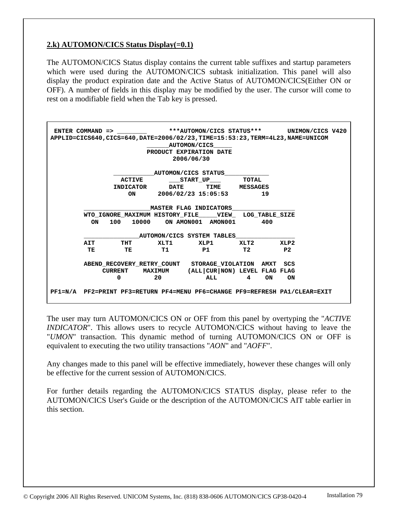# **2.k) AUTOMON/CICS Status Display(=0.1)**

The AUTOMON/CICS Status display contains the current table suffixes and startup parameters which were used during the AUTOMON/CICS subtask initialization. This panel will also display the product expiration date and the Active Status of AUTOMON/CICS(Either ON or OFF). A number of fields in this display may be modified by the user. The cursor will come to rest on a modifiable field when the Tab key is pressed.

|    |               |    | ENTER COMMAND => ***AUTOMON/CICS STATUS*** UNIMON/CICS V420                      |          |      |  |
|----|---------------|----|----------------------------------------------------------------------------------|----------|------|--|
|    |               |    | APPLID=CICS640, CICS=640, DATE=2006/02/23, TIME=15:53:23, TERM=4L23, NAME=UNICOM |          |      |  |
|    |               |    | AUTOMON/CICS                                                                     |          |      |  |
|    |               |    | PRODUCT EXPIRATION DATE                                                          |          |      |  |
|    |               |    | 2006/06/30                                                                       |          |      |  |
|    |               |    |                                                                                  |          |      |  |
|    |               |    | AUTOMON/CICS STATUS                                                              |          |      |  |
|    | <b>ACTIVE</b> |    | START UP TOTAL                                                                   |          |      |  |
|    |               |    | INDICATOR DATE TIME MESSAGES                                                     |          |      |  |
|    | ON            |    | 2006/02/23 15:05:53 19                                                           |          |      |  |
|    |               |    |                                                                                  |          |      |  |
|    |               |    | <b>MASTER FLAG INDICATORS</b>                                                    |          |      |  |
|    |               |    | WTO IGNORE MAXIMUM HISTORY FILE VIEW LOG TABLE SIZE                              |          |      |  |
| ON |               |    | 100 10000 ON AMON001 AMON001 400                                                 |          |      |  |
|    |               |    |                                                                                  |          |      |  |
|    |               |    | AUTOMON/CICS SYSTEM TABLES                                                       |          |      |  |
|    | AIT THT       |    | XLT1 XLP1 XLT2                                                                   |          | XLP2 |  |
|    |               |    | TE TE T1 P1 T2 P2                                                                |          |      |  |
|    |               |    |                                                                                  |          |      |  |
|    |               |    | ABEND RECOVERY RETRY COUNT STORAGE VIOLATION AMXT SCS                            |          |      |  |
|    |               |    | CURRENT MAXIMUM (ALL CUR NON) LEVEL FLAG FLAG                                    |          |      |  |
|    | $\Omega$      | 20 |                                                                                  | ALL 4 ON | ON   |  |
|    |               |    |                                                                                  |          |      |  |
|    |               |    | PF1=N/A PF2=PRINT PF3=RETURN PF4=MENU PF6=CHANGE PF9=REFRESH PA1/CLEAR=EXIT      |          |      |  |
|    |               |    |                                                                                  |          |      |  |

The user may turn AUTOMON/CICS ON or OFF from this panel by overtyping the "*ACTIVE INDICATOR*". This allows users to recycle AUTOMON/CICS without having to leave the "*UMON*" transaction. This dynamic method of turning AUTOMON/CICS ON or OFF is equivalent to executing the two utility transactions "*AON*" and "*AOFF*".

Any changes made to this panel will be effective immediately, however these changes will only be effective for the current session of AUTOMON/CICS.

For further details regarding the AUTOMON/CICS STATUS display, please refer to the AUTOMON/CICS User's Guide or the description of the AUTOMON/CICS AIT table earlier in this section.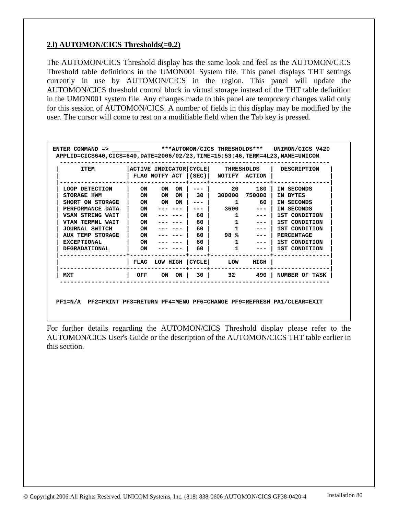# **2.l) AUTOMON/CICS Thresholds(=0.2)**

The AUTOMON/CICS Threshold display has the same look and feel as the AUTOMON/CICS Threshold table definitions in the UMON001 System file. This panel displays THT settings currently in use by AUTOMON/CICS in the region. This panel will update the AUTOMON/CICS threshold control block in virtual storage instead of the THT table definition in the UMON001 system file. Any changes made to this panel are temporary changes valid only for this session of AUTOMON/CICS. A number of fields in this display may be modified by the user. The cursor will come to rest on a modifiable field when the Tab key is pressed.

| <b>TTEM</b>             | ACTIVE INDICATOR CYCLE |    |           | FLAG NOTFY ACT $ (SEC) $ | <b>THRESHOLDS</b><br>NOTIFY ACTION |        | DESCRIPTION       |
|-------------------------|------------------------|----|-----------|--------------------------|------------------------------------|--------|-------------------|
| LOOP DETECTION          | ON                     | ON | ON        |                          | 20                                 | 180    | IN SECONDS        |
| STORAGE HWM             | ON                     | ON | <b>ON</b> | 30                       | 300000                             | 750000 | IN BYTES          |
| SHORT ON STORAGE        | ON                     | ON | ON        |                          | 1                                  | 60.    | IN SECONDS        |
| PERFORMANCE DATA        | ON                     |    |           |                          | 3600                               | ---    | IN SECONDS        |
| <b>VSAM STRING WAIT</b> | ON                     |    |           | 60                       |                                    |        | 1ST CONDITION     |
| <b>VTAM TERMNL WAIT</b> | ON                     |    |           | 60                       |                                    | ---    | 1ST CONDITION     |
| <b>JOURNAL SWITCH</b>   | ON                     |    |           | 60                       |                                    |        | 1ST CONDITION     |
| <b>AUX TEMP STORAGE</b> | ON                     |    |           | 60                       | 98 %                               |        | <b>PERCENTAGE</b> |
| <b>EXCEPTIONAL</b>      | ON                     |    |           | 60                       |                                    |        | 1ST CONDITION     |
| <b>DEGRADATIONAL</b>    | ON                     |    |           | 60                       |                                    |        | 1ST CONDITION     |
|                         | FLAG                   |    |           | LOW HIGH   CYCLE         | LOW                                | HIGH   |                   |
| MXT                     | OFF                    | ON | ON        | 30 I                     | 32                                 | 490    | NUMBER OF TASK    |

 **PF1=N/A PF2=PRINT PF3=RETURN PF4=MENU PF6=CHANGE PF9=REFRESH PA1/CLEAR=EXIT** 

For further details regarding the AUTOMON/CICS Threshold display please refer to the AUTOMON/CICS User's Guide or the description of the AUTOMON/CICS THT table earlier in this section.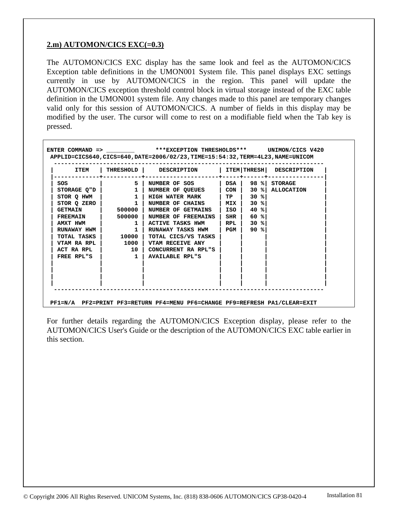# **2.m) AUTOMON/CICS EXC(=0.3)**

The AUTOMON/CICS EXC display has the same look and feel as the AUTOMON/CICS Exception table definitions in the UMON001 System file. This panel displays EXC settings currently in use by AUTOMON/CICS in the region. This panel will update the AUTOMON/CICS exception threshold control block in virtual storage instead of the EXC table definition in the UMON001 system file. Any changes made to this panel are temporary changes valid only for this session of AUTOMON/CICS. A number of fields in this display may be modified by the user. The cursor will come to rest on a modifiable field when the Tab key is pressed.

| <b>ITEM</b>     |                                                                   | THRESHOLD   DESCRIPTION     |                   |        | ITEM THRESH  DESCRIPTION            |
|-----------------|-------------------------------------------------------------------|-----------------------------|-------------------|--------|-------------------------------------|
| SOS             | $5^{\circ}$                                                       | NUMBER OF SOS               |                   |        | $ $ DSA $ $ 98 % STORAGE            |
| STORAGE Q"D     | $\overline{\mathbf{1}}$                                           | <b>NUMBER OF QUEUES</b>     |                   |        | $\vert$ CON $\vert$ 30 % ALLOCATION |
| STOR O HWM      | $\begin{array}{ccc} \end{array}$ $\begin{array}{ccc} \end{array}$ | <b>HIGH WATER MARK</b>      | TP                | $30$ % |                                     |
| STORQZERO       | $\mathbf{1}$                                                      | NUMBER OF CHAINS   MIX      |                   | 30 %   |                                     |
| <b>GETMAIN</b>  |                                                                   | 500000   NUMBER OF GETMAINS | l ISO l           | 40 %   |                                     |
| <b>FREEMAIN</b> | 500000                                                            | <b>NUMBER OF FREEMAINS</b>  | $\mid$ SHR $\mid$ | $60$ % |                                     |
| <b>AMXT HWM</b> | $\mathbf{1}$                                                      | ACTIVE TASKS HWM            | RPL               | $30$ % |                                     |
| RUNAWAY HWM     | $\mathbf{1}$                                                      | RUNAWAY TASKS HWM           | l PGM             | 90%    |                                     |
|                 | TOTAL TASKS   10000                                               | TOTAL CICS/VS TASKS         |                   |        |                                     |
|                 | $VTAM RA RPL$ $1000$                                              | VTAM RECEIVE ANY            |                   |        |                                     |
| ACT RA RPL      | 10 l                                                              | CONCURRENT RA RPL"S         |                   |        |                                     |
| FREE RPL"S      | $\sim$ 1                                                          | <b>AVAILABLE RPL"S</b>      |                   |        |                                     |
|                 |                                                                   |                             |                   |        |                                     |
|                 |                                                                   |                             |                   |        |                                     |

For further details regarding the AUTOMON/CICS Exception display, please refer to the AUTOMON/CICS User's Guide or the description of the AUTOMON/CICS EXC table earlier in this section.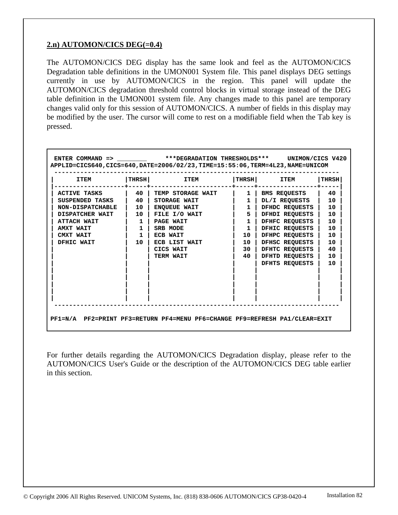# **2.n) AUTOMON/CICS DEG(=0.4)**

The AUTOMON/CICS DEG display has the same look and feel as the AUTOMON/CICS Degradation table definitions in the UMON001 System file. This panel displays DEG settings currently in use by AUTOMON/CICS in the region. This panel will update the AUTOMON/CICS degradation threshold control blocks in virtual storage instead of the DEG table definition in the UMON001 system file. Any changes made to this panel are temporary changes valid only for this session of AUTOMON/CICS. A number of fields in this display may be modified by the user. The cursor will come to rest on a modifiable field when the Tab key is pressed.

| <b>ITEM</b>             | <b>THRSH</b>                                                         | <b>ITEM</b>         | <b>THRSH</b> | <b>ITEM</b>         | <b>THRSH</b> |
|-------------------------|----------------------------------------------------------------------|---------------------|--------------|---------------------|--------------|
| ACTIVE TASKS            | $\begin{array}{ccc} \end{array}$ 40 $\begin{array}{ccc} \end{array}$ | TEMP STORAGE WAIT   | $1 \perp$    | <b>BMS REQUESTS</b> | 40           |
| SUSPENDED TASKS         | 40 l                                                                 | STORAGE WAIT        | $\mathbf{1}$ | DL/I REQUESTS       | 10           |
| <b>NON-DISPATCHABLE</b> | $10-1$                                                               | <b>ENQUEUE WAIT</b> | $1 \mid$     | DFHDC REQUESTS      | 10           |
| DISPATCHER WAIT         | 10 <sub>1</sub>                                                      | FILE I/O WAIT       | $\vert$ 5    | DFHDI REOUESTS      | 10           |
| ATTACH WAIT             | 1                                                                    | PAGE WAIT           | $\mathbf{1}$ | DFHFC REQUESTS      | 10           |
| AMXT WAIT               | $\mathbf{1}$                                                         | SRB MODE            | $\mathbf{1}$ | DFHIC REQUESTS      | 10           |
| CMXT WAIT               | $\mathbf{1}$                                                         | ECB WAIT            | 10           | DFHPC REQUESTS      | 10           |
| DFHIC WAIT              | 10                                                                   | ECB LIST WAIT       | 10           | DFHSC REQUESTS      | 10           |
|                         |                                                                      | CICS WAIT           | 30           | DFHTC REOUESTS      | 40           |
|                         |                                                                      | <b>TERM WAIT</b>    | 40           | DFHTD REQUESTS      | 10           |
|                         |                                                                      |                     |              | DFHTS REOUESTS      | 10           |
|                         |                                                                      |                     |              |                     |              |
|                         |                                                                      |                     |              |                     |              |

For further details regarding the AUTOMON/CICS Degradation display, please refer to the AUTOMON/CICS User's Guide or the description of the AUTOMON/CICS DEG table earlier in this section.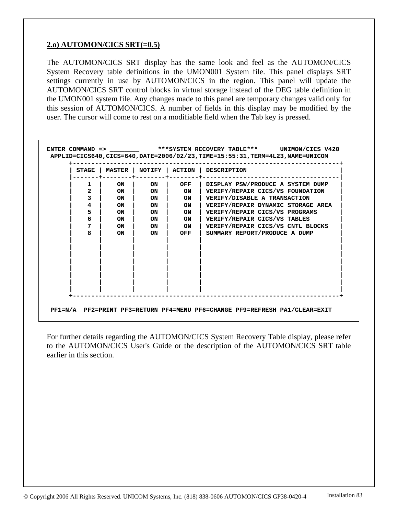# **2.o) AUTOMON/CICS SRT(=0.5)**

The AUTOMON/CICS SRT display has the same look and feel as the AUTOMON/CICS System Recovery table definitions in the UMON001 System file. This panel displays SRT settings currently in use by AUTOMON/CICS in the region. This panel will update the AUTOMON/CICS SRT control blocks in virtual storage instead of the DEG table definition in the UMON001 system file. Any changes made to this panel are temporary changes valid only for this session of AUTOMON/CICS. A number of fields in this display may be modified by the user. The cursor will come to rest on a modifiable field when the Tab key is pressed.

| <b>STAGE</b> |           | MASTER   NOTIFY   ACTION |           | <b>DESCRIPTION</b>                 |
|--------------|-----------|--------------------------|-----------|------------------------------------|
| 1            | <b>ON</b> | <b>ON</b>                | OFF       | DISPLAY PSW/PRODUCE A SYSTEM DUMP  |
| 2            | ON        | ON                       | <b>ON</b> | VERIFY/REPAIR CICS/VS FOUNDATION   |
| 3            | ON        | ON                       | <b>ON</b> | VERIFY/DISABLE A TRANSACTION       |
| 4            | ON        | ON                       | <b>ON</b> | VERIFY/REPAIR DYNAMIC STORAGE AREA |
| 5            | ON        | ON                       | <b>ON</b> | VERIFY/REPAIR CICS/VS PROGRAMS     |
| 6            | ON        | ON                       | ON        | VERIFY/REPAIR CICS/VS TABLES       |
| 7            | ON        | ON                       | ON        | VERIFY/REPAIR CICS/VS CNTL BLOCKS  |
| 8            | <b>ON</b> | ON                       | OFF       | SUMMARY REPORT/PRODUCE A DUMP      |
|              |           |                          |           |                                    |
|              |           |                          |           |                                    |
|              |           |                          |           |                                    |
|              |           |                          |           |                                    |
|              |           |                          |           |                                    |
|              |           |                          |           |                                    |
|              |           |                          |           |                                    |

For further details regarding the AUTOMON/CICS System Recovery Table display, please refer to the AUTOMON/CICS User's Guide or the description of the AUTOMON/CICS SRT table earlier in this section.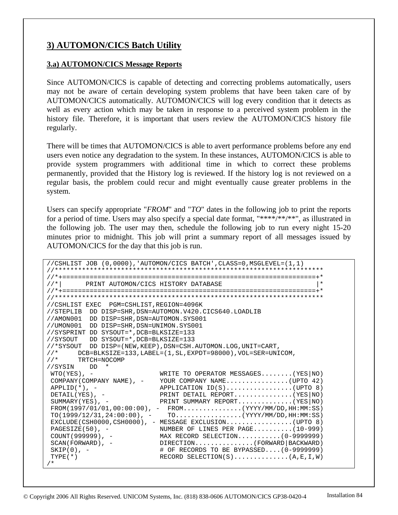# **3) AUTOMON/CICS Batch Utility**

#### **3.a) AUTOMON/CICS Message Reports**

Since AUTOMON/CICS is capable of detecting and correcting problems automatically, users may not be aware of certain developing system problems that have been taken care of by AUTOMON/CICS automatically. AUTOMON/CICS will log every condition that it detects as well as every action which may be taken in response to a perceived system problem in the history file. Therefore, it is important that users review the AUTOMON/CICS history file regularly.

There will be times that AUTOMON/CICS is able to avert performance problems before any end users even notice any degradation to the system. In these instances, AUTOMON/CICS is able to provide system programmers with additional time in which to correct these problems permanently, provided that the History log is reviewed. If the history log is not reviewed on a regular basis, the problem could recur and might eventually cause greater problems in the system.

Users can specify appropriate "*FROM*" and "*TO*" dates in the following job to print the reports for a period of time. Users may also specify a special date format, "\*\*\*\*/\*\*/\*\*", as illustrated in the following job. The user may then, schedule the following job to run every night 15-20 minutes prior to midnight. This job will print a summary report of all messages issued by AUTOMON/CICS for the day that this job is run.

```
//CSHLIST JOB (0,0000),'AUTOMON/CICS BATCH',CLASS=0,MSGLEVEL=(1,1) 
                        //********************************************************************* 
//*+=================================================================+* 
//*| PRINT AUTOMON/CICS HISTORY DATABASE
//*+=================================================================+* 
//********************************************************************* 
//CSHLIST EXEC PGM=CSHLIST,REGION=4096K 
//STEPLIB DD DISP=SHR,DSN=AUTOMON.V420.CICS640.LOADLIB 
//AMON001 DD DISP=SHR,DSN=AUTOMON.SYS001 
//UMON001 DD DISP=SHR,DSN=UNIMON.SYS001 
//SYSPRINT DD SYSOUT=*,DCB=BLKSIZE=133 
//SYSOUT DD SYSOUT=*,DCB=BLKSIZE=133 
1/*SYSOUT DD DISP=(NEW,KEEP),DSN=CSH.AUTOMON.LOG,UNIT=CART,<br>1/* DCB=BLKSIZE=133,LABEL=(1,SL,EXPDT=98000),VOL=SER=UNI
      //* DCB=BLKSIZE=133,LABEL=(1,SL,EXPDT=98000),VOL=SER=UNICOM, 
//* TRTCH=NOCOMP 
//SYSIN DD * 
WTO(YES), - WRITE to OPERATOR MESSAGES.......(YES NO)
COMPANY(COMPANY NAME), - YOUR COMPANY NAME...............(UPTO 42)
\text{APPLID}(*), - APPLICATION ID(S)................(UPTO 8)
DETAIL(YES), - PRINT DETAIL REPORT..............(YES NO)
SUMMARY(YES), - PRINT SUMMARY REPORT..............(YES NO)
FROM(1997/01/01, 00:00:00), - FROM...............(YYYY/MM/DD, HH:MM:SS)
{\tt TO(1999/12/31,24:00:00)} \;,\;\; - \qquad {\tt TO.}\ldots. \ldots. \ldots. \ldots. \; ({\tt YYYY/MM/DD,HH:MM:SS})EXCLUDE(CSH0000,CSH0000), - MESSAGE EXCLUSION................(UPTO 8)<br>PAGESIZE(50), - NUMBER OF LINES PER PAGE.........(10-999)
PAGESIZE(50), - NUMBER OF LINES PER PAGE.........(10-999)
 COUNT(999999), - MAX RECORD SELECTION...........(0-9999999) 
SCAN(FORWARD), - DIRECTION.............(FORWARD|BACKWARD)
\text{SKIP}(0), - \text{H} OF RECORDS TO BE BYPASSED....(0-9999999)<br>\text{YYE}(\star)RECORD SELECTION(S)...............(A, E, I, W)
/*
```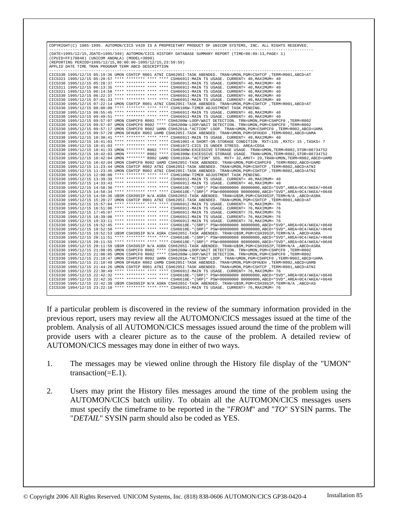COPYRIGHT(C) 1985-1995. AUTOMON/CICS V420 IS A PROPRIETARY PRODUCT OF UNICOM SYSTEMS, INC. ALL RIGHTS RESERVED. ----------------------------------------------------------------------------------------------------------------- (DATE=1995/12/15,JDATE=1995/349) AUTOMON/CICS HISTORY DATABASE SUMMARY REPORT (TIME=08:09:13,PAGE= 1) (CPUID=FF170848) (UNICOM ANONLA) (MODEL=3090) (REPORTING PERIOD=1995/12/15,00:00:00-1995/12/15,23:59:59) APPLID DATE TIME TRAN PROGRAM TERM ABCD DESCRIPTION ----------------------------------------------------------------------------------------------------------------- CICS330 1995/12/15 05:19:36 UMON CSHTCP R001 ATNI CSH6205I-TASK ABENDED. TRAN=UMON,PGM=CSHTCP ,TERM=R001,ABCD=AT CICS321 1995/12/15 05:20:57 \*\*\*\* \*\*\*\*\*\*\*\* \*\*\*\* \*\*\*\* CSH6691I-MAIN TS USAGE. CURRENT= 40,MAXIMUM= 40 CICS330 1995/12/15 05:28:37 \*\*\*\* \*\*\*\*\*\*\*\* \*\*\*\* \*\*\*\* CSH6691I-MAIN TS USAGE. CURRENT= 40,MAXIMUM= 40 CICS311 1995/12/15 06:13:35 \*\*\*\* \*\*\*\*\*\*\*\* \*\*\*\* \*\*\*\* CSH6691I-MAIN TS USAGE. CURRENT= 40,MAXIMUM= 40 CICS321 1995/12/15 06:14:58 \*\*\*\* \*\*\*\*\*\*\*\* \*\*\*\* \*\*\*\* CSH6691I-MAIN TS USAGE. CURRENT= 40,MAXIMUM= 40 CICS330 1995/12/15 06:22:37 \*\*\*\* \*\*\*\*\*\*\*\* \*\*\*\* \*\*\* CH6691I-MAIN TS USAGE. CURRENT= 40,MAXIMUM= 40<br>CICS330 1995/12/15 06:22:37 \*\*\*\* \*\*\*\*\*\*\*\* \*\*\*\* \*\*\* CSH6691I-MAIN TS USAGE. CURRENT= 40,MAXIMUM= 40 CICS330 1995/12/15 07:01:33 \*\*\*\* \*\*\*\*\*\*\* \*\*\*\* \*\*\*\* CSH6691I-MAIN TS USAGE. CURRENT= 40, MAXIMUM= 40<br>CICS330 1995/12/15 07:22:14 UMON CSHTCP ROO1 ATNI CSH6605I-TASK ABENDED. TRAN-UMON, PGM-CSHTCP, TERM-ROO1, ABCD-AT<br>CICS330 CICS330 1995/12/15 09:57:20 UMON DFHUEH R002 UAMB CSH6205I-TASK ABENDED. TRAN=UMON,PGM=DFHUEH ,TERM=R002,ABCD=UAMA<br>CICS330 1995/12/15 10:30:41 \*\*\*\* \*\*\*\*\*\*\*\* \*\*\*\* \*\*\*\* CSH6691I-MAIN TS USAGE. CURRENT= 40,MAXIMUM= 40<br>CICS330 CICS330 1995/12/15 10:41:03 \*\*\*\* \*\*\*\*\*\*\*\* \*\*\*\* CSH6107I-CICS IS UNDER STRESS. AREA-CDSA<br>CICS330 1995/12/15 10:41:33 UMON \*\*\*\*\*\*\*\* R002 \*\*\*\* CSH6300W-EXCESSIVE STORAGE USAGE. TRAN=UMON,TERM=R002,STOR=00734752<br>CICS330 1995/1 CICS330 1995/12/15 10:42:04 UMON CSHPCF0 R002 UAMD CSH6205I-TASK ABENDED. TRAN=UMON,PGM=CSHPCF0 ,TERM=R002,ABCD=UAMD<br>CICS330 1995/12/15 11:23:44 UMON CSHTCP R002 ATNI CSH6205I-TASK ABENDED. TRAN=UMON,PGM=CSHTCP ,TERM=R002, CICS330 1995/12/15 11:23:45 UMON CSHTCP R002 ATNI CSH62051-TASK ABENDED. TRAN=UMON, PGM=CSHTCP ,TERM=R002, ABCD=ATNI<br>CICS330 1995/12/15 12:00:00 \*\*\*\* \*\*\*\*\*\*\*\* \*\*\*\* CSH66091-TAMEN ADJUSTMENT TASK PENDING.<br>CICS330 1995/12/15 CICS330 1995/12/15 17:45:07 \*\*\*\* \*\*\*\*\*\*\*\* \*\*\*\* \*\*\*\* CSH6691I-MAIN TS USAGE. CURRENT= 76,MAXIMUM= 76<br>CICS330 1995/12/15 18:39:08 \*\*\*\* \*\*\*\*\*\*\*\* \*\*\*\* \*\*\* CSH6691I-MAIN TS USAGE. CURRENT= 76,MAXIMUM= 76 CICS330 1995/12/15 18:39:08 \*\*\*\* \*\*\*\*\*\*\*\*\* \*\*\*\* CSH6691I-MAIN TS USAGE. CURRENT= 76, MAXIMUM= 76<br>CICS330 1995/12/15 19:33:11 \*\*\*\* \*\*\*\*\*\*\*\*\*\* \*\*\*\* CSH6691I-MAIN TS USAGE. CURRENT= 76, MAXIMUM= 76<br>CICS330 1995/12/15 19:52:45 CICS330 1995/12/15 21:10:47 UMON CSHPCF0 R002 UAMA CSH6201A-\*ACTION\* LOOP. TRAN=UMON, PGM=CSHPCF0 ,TERM=R002, ABCD=UAMA<br>CICS330 1995/12/15 21:10:49 UMON DEHUBH R002 UAMB CSH6205I-TASK ABENDED. TRAN=UMON, PGM=DFHUEH ,TERM= CICS330 1994/12/15 23:22:10 \*\*\*\* \*\*\*\*\*\*\*\* \*\*\*\* \*\*\*\* CSH6691I-MAIN TS USAGE. CURRENT= 76,MAXIMUM= 76

If a particular problem is discovered in the review of the summary information provided in the previous report, users may review all the AUTOMON/CICS messages issued at the time of the problem. Analysis of all AUTOMON/CICS messages issued around the time of the problem will provide users with a clearer picture as to the cause of the problem. A detailed review of AUTOMON/CICS messages may done in either of two ways.

- 1. The messages may be viewed online through the History file display of the "UMON" transaction(=E.1).
- 2. Users may print the History files messages around the time of the problem using the AUTOMON/CICS batch utility. To obtain all the AUTOMON/CICS messages users must specify the timeframe to be reported in the "*FROM*" and "*TO*" SYSIN parms. The "*DETAIL*" SYSIN parm should also be coded as YES.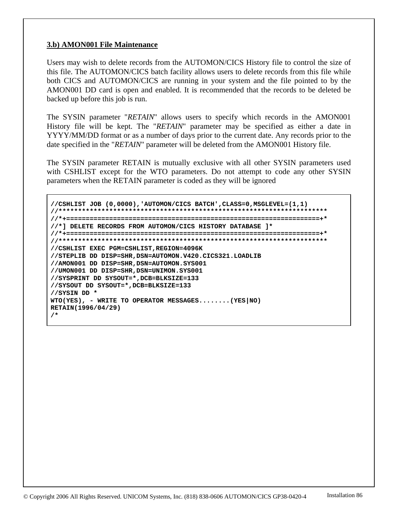#### **3.b) AMON001 File Maintenance**

Users may wish to delete records from the AUTOMON/CICS History file to control the size of this file. The AUTOMON/CICS batch facility allows users to delete records from this file while both CICS and AUTOMON/CICS are running in your system and the file pointed to by the AMON001 DD card is open and enabled. It is recommended that the records to be deleted be backed up before this job is run.

The SYSIN parameter "*RETAIN*" allows users to specify which records in the AMON001 History file will be kept. The "*RETAIN*" parameter may be specified as either a date in YYYY/MM/DD format or as a number of days prior to the current date. Any records prior to the date specified in the "*RETAIN*" parameter will be deleted from the AMON001 History file.

The SYSIN parameter RETAIN is mutually exclusive with all other SYSIN parameters used with CSHLIST except for the WTO parameters. Do not attempt to code any other SYSIN parameters when the RETAIN parameter is coded as they will be ignored

**//CSHLIST JOB (0,0000),'AUTOMON/CICS BATCH',CLASS=0,MSGLEVEL=(1,1) //\*\*\*\*\*\*\*\*\*\*\*\*\*\*\*\*\*\*\*\*\*\*\*\*\*\*\*\*\*\*\*\*\*\*\*\*\*\*\*\*\*\*\*\*\*\*\*\*\*\*\*\*\*\*\*\*\*\*\*\*\*\*\*\*\*\*\*\*\* //\*+=================================================================+\* //\*] DELETE RECORDS FROM AUTOMON/CICS HISTORY DATABASE ]\* //\*+=================================================================+\* //\*\*\*\*\*\*\*\*\*\*\*\*\*\*\*\*\*\*\*\*\*\*\*\*\*\*\*\*\*\*\*\*\*\*\*\*\*\*\*\*\*\*\*\*\*\*\*\*\*\*\*\*\*\*\*\*\*\*\*\*\*\*\*\*\*\*\*\*\* //CSHLIST EXEC PGM=CSHLIST,REGION=4096K //STEPLIB DD DISP=SHR,DSN=AUTOMON.V420.CICS321.LOADLIB //AMON001 DD DISP=SHR,DSN=AUTOMON.SYS001 //UMON001 DD DISP=SHR,DSN=UNIMON.SYS001 //SYSPRINT DD SYSOUT=\*,DCB=BLKSIZE=133 //SYSOUT DD SYSOUT=\*,DCB=BLKSIZE=133 //SYSIN DD \* WTO(YES), - WRITE TO OPERATOR MESSAGES........(YES|NO) RETAIN(1996/04/29) /\***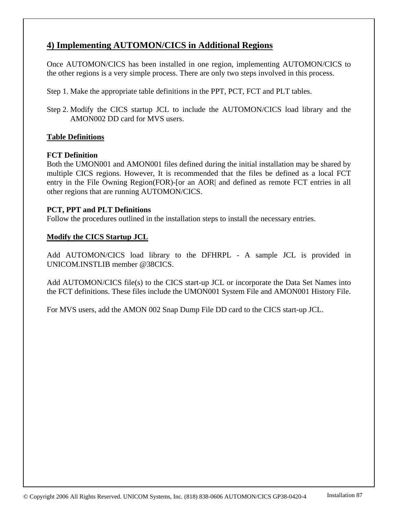# **4) Implementing AUTOMON/CICS in Additional Regions**

Once AUTOMON/CICS has been installed in one region, implementing AUTOMON/CICS to the other regions is a very simple process. There are only two steps involved in this process.

Step 1. Make the appropriate table definitions in the PPT, PCT, FCT and PLT tables.

Step 2. Modify the CICS startup JCL to include the AUTOMON/CICS load library and the AMON002 DD card for MVS users.

## **Table Definitions**

#### **FCT Definition**

Both the UMON001 and AMON001 files defined during the initial installation may be shared by multiple CICS regions. However, It is recommended that the files be defined as a local FCT entry in the File Owning Region(FOR)-[or an AOR| and defined as remote FCT entries in all other regions that are running AUTOMON/CICS.

#### **PCT, PPT and PLT Definitions**

Follow the procedures outlined in the installation steps to install the necessary entries.

#### **Modify the CICS Startup JCL**

Add AUTOMON/CICS load library to the DFHRPL - A sample JCL is provided in UNICOM.INSTLIB member @38CICS.

Add AUTOMON/CICS file(s) to the CICS start-up JCL or incorporate the Data Set Names into the FCT definitions. These files include the UMON001 System File and AMON001 History File.

For MVS users, add the AMON 002 Snap Dump File DD card to the CICS start-up JCL.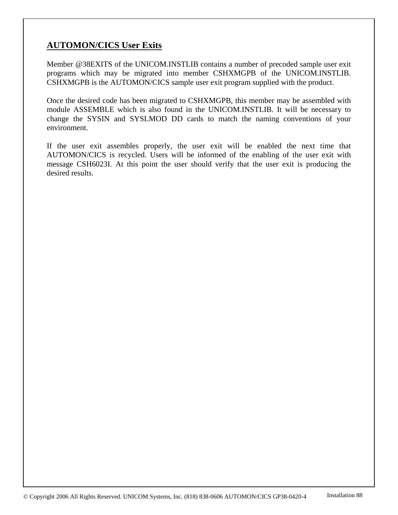# **AUTOMON/CICS User Exits**

Member @38EXITS of the UNICOM.INSTLIB contains a number of precoded sample user exit programs which may be migrated into member CSHXMGPB of the UNICOM.INSTLIB. CSHXMGPB is the AUTOMON/CICS sample user exit program supplied with the product.

Once the desired code has been migrated to CSHXMGPB, this member may be assembled with module ASSEMBLE which is also found in the UNICOM.INSTLIB. It will be necessary to change the SYSIN and SYSLMOD DD cards to match the naming conventions of your environment.

If the user exit assembles properly, the user exit will be enabled the next time that AUTOMON/CICS is recycled. Users will be informed of the enabling of the user exit with message CSH6023I. At this point the user should verify that the user exit is producing the desired results.